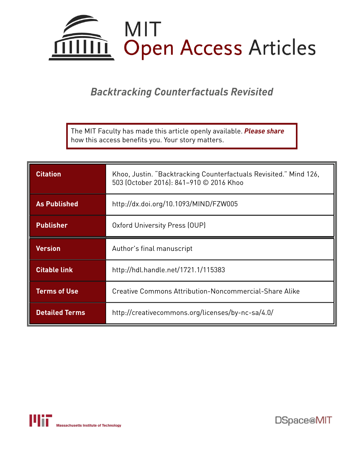

*Backtracking Counterfactuals Revisited*

The MIT Faculty has made this article openly available. *[Please](https://libraries.mit.edu/forms/dspace-oa-articles.html) share* how this access benefits you. Your story matters.

| <b>Citation</b>       | Khoo, Justin. "Backtracking Counterfactuals Revisited." Mind 126,<br>503 (October 2016): 841-910 © 2016 Khoo |  |
|-----------------------|--------------------------------------------------------------------------------------------------------------|--|
| <b>As Published</b>   | http://dx.doi.org/10.1093/MIND/FZW005                                                                        |  |
| <b>Publisher</b>      | Oxford University Press (OUP)                                                                                |  |
| <b>Version</b>        | Author's final manuscript                                                                                    |  |
| <b>Citable link</b>   | http://hdl.handle.net/1721.1/115383                                                                          |  |
| <b>Terms of Use</b>   | Creative Commons Attribution-Noncommercial-Share Alike                                                       |  |
| <b>Detailed Terms</b> | http://creativecommons.org/licenses/by-nc-sa/4.0/                                                            |  |



DSpace@MIT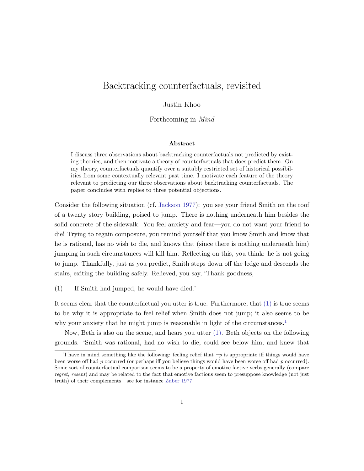# Backtracking counterfactuals, revisited

## Justin Khoo

Forthcoming in Mind

#### Abstract

I discuss three observations about backtracking counterfactuals not predicted by existing theories, and then motivate a theory of counterfactuals that does predict them. On my theory, counterfactuals quantify over a suitably restricted set of historical possibilities from some contextually relevant past time. I motivate each feature of the theory relevant to predicting our three observations about backtracking counterfactuals. The paper concludes with replies to three potential objections.

Consider the following situation (cf. [Jackson](#page-66-0) [1977\)](#page-66-0): you see your friend Smith on the roof of a twenty story building, poised to jump. There is nothing underneath him besides the solid concrete of the sidewalk. You feel anxiety and fear—you do not want your friend to die! Trying to regain composure, you remind yourself that you know Smith and know that he is rational, has no wish to die, and knows that (since there is nothing underneath him) jumping in such circumstances will kill him. Reflecting on this, you think: he is not going to jump. Thankfully, just as you predict, Smith steps down off the ledge and descends the stairs, exiting the building safely. Relieved, you say, 'Thank goodness,

<span id="page-1-0"></span>(1) If Smith had jumped, he would have died.'

It seems clear that the counterfactual you utter is true. Furthermore, that  $(1)$  is true seems to be why it is appropriate to feel relief when Smith does not jump; it also seems to be why your anxiety that he might jump is reasonable in light of the circumstances.<sup>[1](#page-1-1)</sup>

Now, Beth is also on the scene, and hears you utter [\(1\).](#page-1-0) Beth objects on the following grounds. 'Smith was rational, had no wish to die, could see below him, and knew that

<span id="page-1-1"></span><sup>&</sup>lt;sup>1</sup>I have in mind something like the following: feeling relief that  $\neg p$  is appropriate iff things would have been worse off had p occurred (or perhaps iff you believe things would have been worse off had p occurred). Some sort of counterfactual comparison seems to be a property of emotive factive verbs generally (compare regret, resent) and may be related to the fact that emotive factious seem to presuppose knowledge (not just truth) of their complements—see for instance [Zuber](#page-70-0) [1977.](#page-70-0)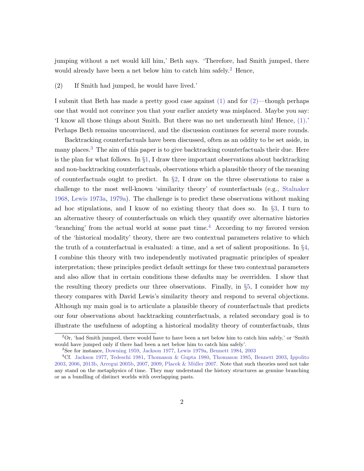jumping without a net would kill him,' Beth says. 'Therefore, had Smith jumped, there would already have been a net below him to catch him safely.<sup>[2](#page-2-0)</sup> Hence,

<span id="page-2-1"></span>(2) If Smith had jumped, he would have lived.'

I submit that Beth has made a pretty good case against  $(1)$  and for  $(2)$ —though perhaps one that would not convince you that your earlier anxiety was misplaced. Maybe you say: 'I know all those things about Smith. But there was no net underneath him! Hence, [\(1\).](#page-1-0)' Perhaps Beth remains unconvinced, and the discussion continues for several more rounds.

Backtracking counterfactuals have been discussed, often as an oddity to be set aside, in many places.<sup>[3](#page-2-2)</sup> The aim of this paper is to give backtracking counterfactuals their due. Here is the plan for what follows. In §[1,](#page-3-0) I draw three important observations about backtracking and non-backtracking counterfactuals, observations which a plausible theory of the meaning of counterfactuals ought to predict. In  $\S2$ , I draw on the three observations to raise a challenge to the most well-known 'similarity theory' of counterfactuals (e.g., [Stalnaker](#page-69-0) [1968,](#page-69-0) [Lewis](#page-67-0) [1973a,](#page-67-0) [1979a\)](#page-67-1). The challenge is to predict these observations without making ad hoc stipulations, and I know of no existing theory that does so. In §[3,](#page-10-0) I turn to an alternative theory of counterfactuals on which they quantify over alternative histories 'branching' from the actual world at some past time.[4](#page-2-3) According to my favored version of the 'historical modality' theory, there are two contextual parameters relative to which the truth of a counterfactual is evaluated: a time, and a set of salient propositions. In  $\S4$ , I combine this theory with two independently motivated pragmatic principles of speaker interpretation; these principles predict default settings for these two contextual parameters and also allow that in certain conditions these defaults may be overridden. I show that the resulting theory predicts our three observations. Finally, in  $\S5$ , I consider how my theory compares with David Lewis's similarity theory and respond to several objections. Although my main goal is to articulate a plausible theory of counterfactuals that predicts our four observations about backtracking counterfactuals, a related secondary goal is to illustrate the usefulness of adopting a historical modality theory of counterfactuals, thus

<span id="page-2-0"></span> $2\text{Or}, \text{ 'had Smith jumped, there would have to have been a net below him to catch him safely,' or 'Smith}$ would have jumped only if there had been a net below him to catch him safely'.

<span id="page-2-3"></span><span id="page-2-2"></span><sup>3</sup>See for instance, [Downing](#page-65-0) [1959,](#page-65-0) [Jackson](#page-66-0) [1977,](#page-66-0) [Lewis](#page-67-1) [1979a,](#page-67-1) [Bennett](#page-64-0) [1984,](#page-64-0) [2003](#page-64-1)

<sup>4</sup>Cf. [Jackson](#page-66-0) [1977,](#page-66-0) [Tedeschi](#page-69-1) [1981,](#page-69-1) [Thomason & Gupta](#page-70-1) [1980,](#page-70-1) [Thomason](#page-69-2) [1985,](#page-69-2) [Bennett](#page-64-1) [2003,](#page-64-1) [Ippolito](#page-66-1) [2003,](#page-66-1) [2006,](#page-66-2) [2013b,](#page-66-3) [Arregui](#page-63-0) [2005b,](#page-63-0) [2007,](#page-64-2) [2009,](#page-64-3) Placek & Müller [2007.](#page-68-0) Note that such theories need not take any stand on the metaphysics of time. They may understand the history structures as genuine branching or as a bundling of distinct worlds with overlapping pasts.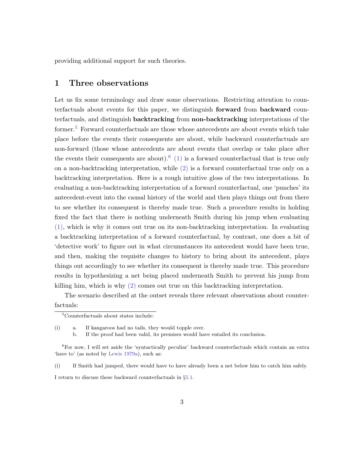providing additional support for such theories.

## <span id="page-3-0"></span>1 Three observations

Let us fix some terminology and draw some observations. Restricting attention to counterfactuals about events for this paper, we distinguish forward from backward counterfactuals, and distinguish backtracking from non-backtracking interpretations of the former.<sup>[5](#page-3-1)</sup> Forward counterfactuals are those whose antecedents are about events which take place before the events their consequents are about, while backward counterfactuals are non-forward (those whose antecedents are about events that overlap or take place after the events their consequents are about).<sup>[6](#page-3-2)</sup> [\(1\)](#page-1-0) is a forward counterfactual that is true only on a non-backtracking interpretation, while [\(2\)](#page-2-1) is a forward counterfactual true only on a backtracking interpretation. Here is a rough intuitive gloss of the two interpretations. In evaluating a non-backtracking interpretation of a forward counterfactual, one 'punches' its antecedent-event into the causal history of the world and then plays things out from there to see whether its consequent is thereby made true. Such a procedure results in holding fixed the fact that there is nothing underneath Smith during his jump when evaluating [\(1\),](#page-1-0) which is why it comes out true on its non-backtracking interpretation. In evaluating a backtracking interpretation of a forward counterfactual, by contrast, one does a bit of 'detective work' to figure out in what circumstances its antecedent would have been true, and then, making the requisite changes to history to bring about its antecedent, plays things out accordingly to see whether its consequent is thereby made true. This procedure results in hypothesizing a net being placed underneath Smith to prevent his jump from killing him, which is why [\(2\)](#page-2-1) comes out true on this backtracking interpretation.

The scenario described at the outset reveals three relevant observations about counter-

factuals:

(i) a. If kangaroos had no tails, they would topple over.

b. If the proof had been valid, its premises would have entailed its conclusion.

(i) If Smith had jumped, there would have to have already been a net below him to catch him safely.

I return to discuss these backward counterfactuals in §[5.1.](#page-52-1)

<span id="page-3-1"></span><sup>5</sup>Counterfactuals about states include:

<span id="page-3-2"></span><sup>6</sup>For now, I will set aside the 'syntactically peculiar' backward counterfactuals which contain an extra 'have to' (as noted by [Lewis](#page-67-1) [1979a\)](#page-67-1), such as: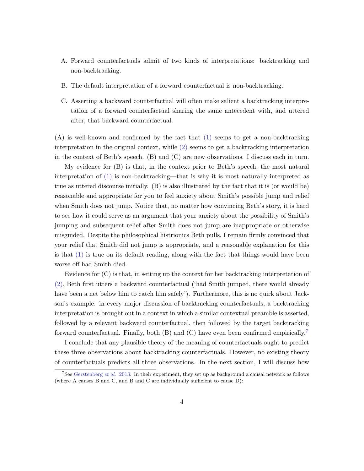- A. Forward counterfactuals admit of two kinds of interpretations: backtracking and non-backtracking.
- B. The default interpretation of a forward counterfactual is non-backtracking.
- C. Asserting a backward counterfactual will often make salient a backtracking interpretation of a forward counterfactual sharing the same antecedent with, and uttered after, that backward counterfactual.

(A) is well-known and confirmed by the fact that [\(1\)](#page-1-0) seems to get a non-backtracking interpretation in the original context, while [\(2\)](#page-2-1) seems to get a backtracking interpretation in the context of Beth's speech. (B) and (C) are new observations. I discuss each in turn.

My evidence for (B) is that, in the context prior to Beth's speech, the most natural interpretation of [\(1\)](#page-1-0) is non-backtracking—that is why it is most naturally interpreted as true as uttered discourse initially. (B) is also illustrated by the fact that it is (or would be) reasonable and appropriate for you to feel anxiety about Smith's possible jump and relief when Smith does not jump. Notice that, no matter how convincing Beth's story, it is hard to see how it could serve as an argument that your anxiety about the possibility of Smith's jumping and subsequent relief after Smith does not jump are inappropriate or otherwise misguided. Despite the philosophical histrionics Beth pulls, I remain firmly convinced that your relief that Smith did not jump is appropriate, and a reasonable explanation for this is that [\(1\)](#page-1-0) is true on its default reading, along with the fact that things would have been worse off had Smith died.

Evidence for (C) is that, in setting up the context for her backtracking interpretation of [\(2\),](#page-2-1) Beth first utters a backward counterfactual ('had Smith jumped, there would already have been a net below him to catch him safely'). Furthermore, this is no quirk about Jackson's example: in every major discussion of backtracking counterfactuals, a backtracking interpretation is brought out in a context in which a similar contextual preamble is asserted, followed by a relevant backward counterfactual, then followed by the target backtracking forward counterfactual. Finally, both  $(B)$  and  $(C)$  have even been confirmed empirically.<sup>[7](#page-4-0)</sup>

I conclude that any plausible theory of the meaning of counterfactuals ought to predict these three observations about backtracking counterfactuals. However, no existing theory of counterfactuals predicts all three observations. In the next section, I will discuss how

<span id="page-4-0"></span><sup>&</sup>lt;sup>7</sup>See [Gerstenberg](#page-65-1) *et al.* [2013.](#page-65-1) In their experiment, they set up as background a causal network as follows (where A causes B and C, and B and C are individually sufficient to cause D):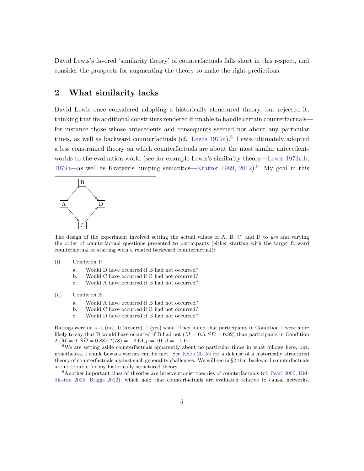David Lewis's favored 'similarity theory' of counterfactuals falls short in this respect, and consider the prospects for augmenting the theory to make the right predictions.

## <span id="page-5-0"></span>2 What similarity lacks

David Lewis once considered adopting a historically structured theory, but rejected it, thinking that its additional constraints rendered it unable to handle certain counterfactuals for instance those whose antecedents and consequents seemed not about any particular times, as well as backward counterfactuals (cf. [Lewis](#page-67-1)  $1979a$ ).<sup>[8](#page-5-1)</sup> Lewis ultimately adopted a less constrained theory on which counterfactuals are about the most similar antecedentworlds to the evaluation world (see for example Lewis's similarity theory[—Lewis](#page-67-0) [1973a,](#page-67-0)[b,](#page-67-2) [1979a—](#page-67-1)as well as Kratzer's lumping semantics[—Kratzer](#page-67-3) [1989,](#page-67-3) [2012\)](#page-67-4).<sup>[9](#page-5-2)</sup> My goal in this



The design of the experiment involved setting the actual values of A, B, C, and D to yes and varying the order of counterfactual questions presented to participants (either starting with the target forward counterfactual or starting with a related backward counterfactual):

#### (i) Condition 1:

- a. Would D have occurred if B had not occurred?
- b. Would C have occurred if B had not occurred?
- c. Would A have occurred if B had not occurred?
- (ii) Condition 2:
	- a. Would A have occurred if B had not occurred?
	- b. Would C have occurred if B had not occurred?
	- c. Would D have occurred if B had not occurred?

Ratings were on a -1 (no), 0 (unsure), 1 (yes) scale. They found that participants in Condition 1 were more likely to say that D would have occurred if B had not  $(M = 0.5, SD = 0.82)$  than participants in Condition 2 ( $M = 0$ ,  $SD = 0.88$ ),  $t(78) = -2.64$ ,  $p = .01$ ,  $d = -0.6$ .

<span id="page-5-1"></span><sup>8</sup>We are setting aside counterfactuals apparently about no particular times in what follows here, but, nonetheless, I think Lewis's worries can be met. See [Khoo](#page-67-5) [2015b](#page-67-5) for a defense of a historically structured theory of counterfactuals against such generality challenges. We will see in §[2](#page-5-0) that backward counterfactuals are no trouble for my historically structured theory.

<span id="page-5-2"></span><sup>9</sup>Another important class of theories are interventionist theories of counterfactuals (cf. [Pearl](#page-68-1) [2000,](#page-68-1) [Hid](#page-66-4)[dleston](#page-66-4) [2005,](#page-66-4) [Briggs](#page-64-4) [2012\)](#page-64-4), which hold that counterfactuals are evaluated relative to causal networks.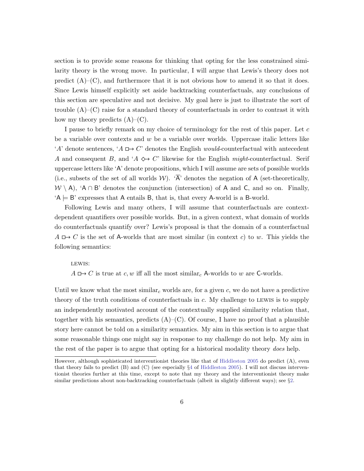section is to provide some reasons for thinking that opting for the less constrained similarity theory is the wrong move. In particular, I will argue that Lewis's theory does not predict  $(A)$ – $(C)$ , and furthermore that it is not obvious how to amend it so that it does. Since Lewis himself explicitly set aside backtracking counterfactuals, any conclusions of this section are speculative and not decisive. My goal here is just to illustrate the sort of trouble  $(A)$ – $(C)$  raise for a standard theory of counterfactuals in order to contrast it with how my theory predicts  $(A)$ – $(C)$ .

I pause to briefly remark on my choice of terminology for the rest of this paper. Let c be a variable over contexts and  $w$  be a variable over worlds. Uppercase italic letters like 'A' denote sentences, 'A  $\Box$  C' denotes the English *would*-counterfactual with antecedent A and consequent B, and  $A \leftrightarrow C'$  likewise for the English might-counterfactual. Serif uppercase letters like 'A' denote propositions, which I will assume are sets of possible worlds (i.e., subsets of the set of all worlds W).  $\overline{A}$  denotes the negation of A (set-theoretically,  $W \setminus A$ , 'A ∩ B' denotes the conjunction (intersection) of A and C, and so on. Finally,  $A \models B'$  expresses that A entails B, that is, that every A-world is a B-world.

Following Lewis and many others, I will assume that counterfactuals are contextdependent quantifiers over possible worlds. But, in a given context, what domain of worlds do counterfactuals quantify over? Lewis's proposal is that the domain of a counterfactual  $A \rightharpoonup C$  is the set of A-worlds that are most similar (in context c) to w. This yields the following semantics:

#### LEWIS:

 $A \mapsto C$  is true at c, w iff all the most similar<sub>c</sub> A-worlds to w are C-worlds.

Until we know what the most similar<sub>c</sub> worlds are, for a given c, we do not have a predictive theory of the truth conditions of counterfactuals in c. My challenge to lewis is to supply an independently motivated account of the contextually supplied similarity relation that, together with his semantics, predicts  $(A)$ – $(C)$ . Of course, I have no proof that a plausible story here cannot be told on a similarity semantics. My aim in this section is to argue that some reasonable things one might say in response to my challenge do not help. My aim in the rest of the paper is to argue that opting for a historical modality theory does help.

However, although sophisticated interventionist theories like that of [Hiddleston](#page-66-4) [2005](#page-66-4) do predict (A), even that theory fails to predict  $(B)$  and  $(C)$  (see especially  $\S 4$  $\S 4$  of [Hiddleston](#page-66-4) [2005\)](#page-66-4). I will not discuss interventionist theories further at this time, except to note that my theory and the interventionist theory make similar predictions about non-backtracking counterfactuals (albeit in slightly different ways); see §[2.](#page-5-0)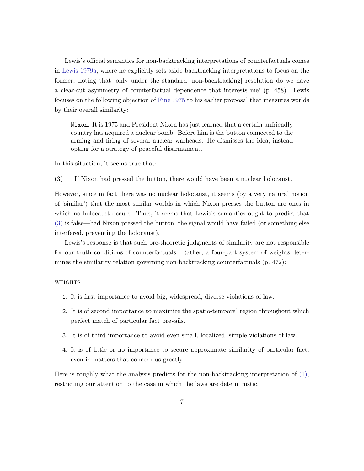Lewis's official semantics for non-backtracking interpretations of counterfactuals comes in [Lewis](#page-67-1) [1979a,](#page-67-1) where he explicitly sets aside backtracking interpretations to focus on the former, noting that 'only under the standard [non-backtracking] resolution do we have a clear-cut asymmetry of counterfactual dependence that interests me' (p. 458). Lewis focuses on the following objection of [Fine](#page-65-2) [1975](#page-65-2) to his earlier proposal that measures worlds by their overall similarity:

Nixon. It is 1975 and President Nixon has just learned that a certain unfriendly country has acquired a nuclear bomb. Before him is the button connected to the arming and firing of several nuclear warheads. He dismisses the idea, instead opting for a strategy of peaceful disarmament.

<span id="page-7-0"></span>In this situation, it seems true that:

(3) If Nixon had pressed the button, there would have been a nuclear holocaust.

However, since in fact there was no nuclear holocaust, it seems (by a very natural notion of 'similar') that the most similar worlds in which Nixon presses the button are ones in which no holocaust occurs. Thus, it seems that Lewis's semantics ought to predict that [\(3\)](#page-7-0) is false—had Nixon pressed the button, the signal would have failed (or something else interfered, preventing the holocaust).

Lewis's response is that such pre-theoretic judgments of similarity are not responsible for our truth conditions of counterfactuals. Rather, a four-part system of weights determines the similarity relation governing non-backtracking counterfactuals (p. 472):

#### **WEIGHTS**

- 1. It is first importance to avoid big, widespread, diverse violations of law.
- 2. It is of second importance to maximize the spatio-temporal region throughout which perfect match of particular fact prevails.
- 3. It is of third importance to avoid even small, localized, simple violations of law.
- 4. It is of little or no importance to secure approximate similarity of particular fact, even in matters that concern us greatly.

Here is roughly what the analysis predicts for the non-backtracking interpretation of [\(1\),](#page-1-0) restricting our attention to the case in which the laws are deterministic.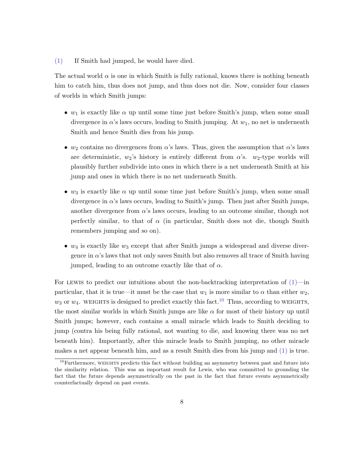#### [\(1\)](#page-1-0) If Smith had jumped, he would have died.

The actual world  $\alpha$  is one in which Smith is fully rational, knows there is nothing beneath him to catch him, thus does not jump, and thus does not die. Now, consider four classes of worlds in which Smith jumps:

- $w_1$  is exactly like  $\alpha$  up until some time just before Smith's jump, when some small divergence in  $\alpha$ 's laws occurs, leading to Smith jumping. At  $w_1$ , no net is underneath Smith and hence Smith dies from his jump.
- w<sub>2</sub> contains no divergences from  $\alpha$ 's laws. Thus, given the assumption that  $\alpha$ 's laws are deterministic,  $w_2$ 's history is entirely different from  $\alpha$ 's.  $w_2$ -type worlds will plausibly further subdivide into ones in which there is a net underneath Smith at his jump and ones in which there is no net underneath Smith.
- w<sub>3</sub> is exactly like  $\alpha$  up until some time just before Smith's jump, when some small divergence in  $\alpha$ 's laws occurs, leading to Smith's jump. Then just after Smith jumps, another divergence from  $\alpha$ 's laws occurs, leading to an outcome similar, though not perfectly similar, to that of  $\alpha$  (in particular, Smith does not die, though Smith remembers jumping and so on).
- $w_4$  is exactly like  $w_3$  except that after Smith jumps a widespread and diverse divergence in  $\alpha$ 's laws that not only saves Smith but also removes all trace of Smith having jumped, leading to an outcome exactly like that of  $\alpha$ .

For LEWIS to predict our intuitions about the non-backtracking interpretation of  $(1)$ —in particular, that it is true—it must be the case that  $w_1$  is more similar to  $\alpha$  than either  $w_2$ ,  $w_3$  or  $w_4$ . WEIGHTS is designed to predict exactly this fact.<sup>[10](#page-8-0)</sup> Thus, according to WEIGHTS, the most similar worlds in which Smith jumps are like  $\alpha$  for most of their history up until Smith jumps; however, each contains a small miracle which leads to Smith deciding to jump (contra his being fully rational, not wanting to die, and knowing there was no net beneath him). Importantly, after this miracle leads to Smith jumping, no other miracle makes a net appear beneath him, and as a result Smith dies from his jump and [\(1\)](#page-1-0) is true.

<span id="page-8-0"></span> $10$ Furthermore, WEIGHTS predicts this fact without building an asymmetry between past and future into the similarity relation. This was an important result for Lewis, who was committed to grounding the fact that the future depends asymmetrically on the past in the fact that future events asymmetrically counterfactually depend on past events.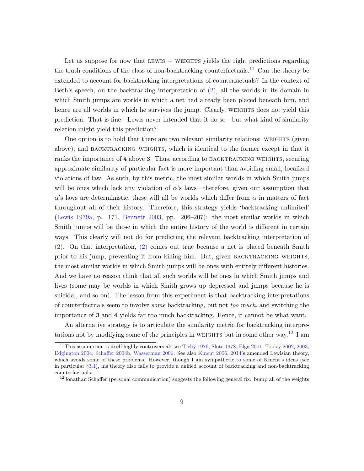Let us suppose for now that LEWIS  $+$  WEIGHTS yields the right predictions regarding the truth conditions of the class of non-backtracking counterfactuals.<sup>[11](#page-9-0)</sup> Can the theory be extended to account for backtracking interpretations of counterfactuals? In the context of Beth's speech, on the backtracking interpretation of [\(2\),](#page-2-1) all the worlds in its domain in which Smith jumps are worlds in which a net had already been placed beneath him, and hence are all worlds in which he survives the jump. Clearly, weights does not yield this prediction. That is fine—Lewis never intended that it do so—but what kind of similarity relation might yield this prediction?

One option is to hold that there are two relevant similarity relations: WEIGHTS (given above), and backtracking weights, which is identical to the former except in that it ranks the importance of 4 above 3. Thus, according to BACKTRACKING WEIGHTS, securing approximate similarity of particular fact is more important than avoiding small, localized violations of law. As such, by this metric, the most similar worlds in which Smith jumps will be ones which lack any violation of  $\alpha$ 's laws—therefore, given our assumption that  $\alpha$ 's laws are deterministic, these will all be worlds which differ from  $\alpha$  in matters of fact throughout all of their history. Therefore, this strategy yields 'backtracking unlimited' [\(Lewis](#page-67-1) [1979a,](#page-67-1) p. 171, [Bennett](#page-64-1) [2003,](#page-64-1) pp. 206–207): the most similar worlds in which Smith jumps will be those in which the entire history of the world is different in certain ways. This clearly will not do for predicting the relevant backtracking interpretation of [\(2\).](#page-2-1) On that interpretation, [\(2\)](#page-2-1) comes out true because a net is placed beneath Smith prior to his jump, preventing it from killing him. But, given backtracking weights, the most similar worlds in which Smith jumps will be ones with entirely different histories. And we have no reason think that all such worlds will be ones in which Smith jumps and lives (some may be worlds in which Smith grows up depressed and jumps because he is suicidal, and so on). The lesson from this experiment is that backtracking interpretations of counterfactuals seem to involve some backtracking, but not too much, and switching the importance of 3 and 4 yields far too much backtracking. Hence, it cannot be what want.

An alternative strategy is to articulate the similarity metric for backtracking interpre-tations not by modifying some of the principles in WEIGHTS but in some other way.<sup>[12](#page-9-1)</sup> I am

<span id="page-9-0"></span><sup>&</sup>lt;sup>11</sup>This assumption is itself highly controversial: see Tichý [1976,](#page-70-2) [Slote](#page-69-3) [1978,](#page-69-3) [Elga](#page-65-3) [2001,](#page-65-3) [Tooley](#page-70-3) [2002,](#page-70-3) [2003,](#page-70-4) [Edgington](#page-65-4) [2004,](#page-65-4) [Schaffer](#page-69-4) [2004b,](#page-69-4) [Wasserman](#page-70-5) [2006.](#page-70-5) See also [Kment](#page-67-6) [2006,](#page-67-6) [2014'](#page-67-7)s amended Lewisian theory, which avoids some of these problems. However, though I am sympathetic to some of Kment's ideas (see in particular §[3.1\)](#page-14-0), his theory also fails to provide a unified account of backtracking and non-backtracking counterfactuals.

<span id="page-9-1"></span><sup>&</sup>lt;sup>12</sup> Jonathan Schaffer (personal communication) suggests the following general fix: bump all of the weights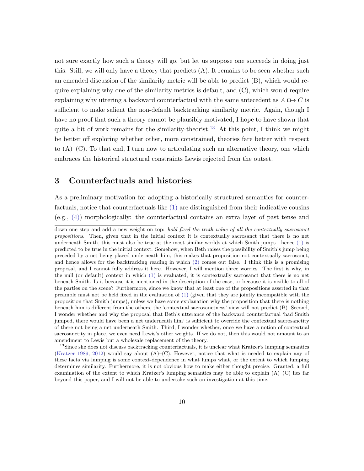not sure exactly how such a theory will go, but let us suppose one succeeds in doing just this. Still, we will only have a theory that predicts (A). It remains to be seen whether such an emended discussion of the similarity metric will be able to predict (B), which would require explaining why one of the similarity metrics is default, and  $(C)$ , which would require explaining why uttering a backward counterfactual with the same antecedent as  $A \Box B$ sufficient to make salient the non-default backtracking similarity metric. Again, though I have no proof that such a theory cannot be plausibly motivated, I hope to have shown that quite a bit of work remains for the similarity-theorist.<sup>[13](#page-10-1)</sup> At this point, I think we might be better off exploring whether other, more constrained, theories fare better with respect to  $(A)$ – $(C)$ . To that end, I turn now to articulating such an alternative theory, one which embraces the historical structural constraints Lewis rejected from the outset.

## <span id="page-10-0"></span>3 Counterfactuals and histories

As a preliminary motivation for adopting a historically structured semantics for counterfactuals, notice that counterfactuals like [\(1\)](#page-1-0) are distinguished from their indicative cousins (e.g., [\(4\)\)](#page-11-0) morphologically: the counterfactual contains an extra layer of past tense and

<span id="page-10-1"></span><sup>13</sup>Since she does not discuss backtracking counterfactuals, it is unclear what Kratzer's lumping semantics [\(Kratzer](#page-67-3) [1989,](#page-67-3) [2012\)](#page-67-4) would say about (A)–(C). However, notice that what is needed to explain any of these facts via lumping is some context-dependence in what lumps what, or the extent to which lumping determines similarity. Furthermore, it is not obvious how to make either thought precise. Granted, a full examination of the extent to which Kratzer's lumping semantics may be able to explain  $(A)$ – $(C)$  lies far beyond this paper, and I will not be able to undertake such an investigation at this time.

down one step and add a new weight on top: hold fixed the truth value of all the contextually sacrosanct propositions. Then, given that in the initial context it is contextually sacrosanct that there is no net underneath Smith, this must also be true at the most similar worlds at which Smith jumps—hence [\(1\)](#page-1-0) is predicted to be true in the initial context. Somehow, when Beth raises the possibility of Smith's jump being preceded by a net being placed underneath him, this makes that proposition not contextually sacrosanct, and hence allows for the backtracking reading in which [\(2\)](#page-2-1) comes out false. I think this is a promising proposal, and I cannot fully address it here. However, I will mention three worries. The first is why, in the null (or default) context in which [\(1\)](#page-1-0) is evaluated, it is contextually sacrosanct that there is no net beneath Smith. Is it because it is mentioned in the description of the case, or because it is visible to all of the parties on the scene? Furthermore, since we know that at least one of the propositions asserted in that preamble must not be held fixed in the evaluation of [\(1\)](#page-1-0) (given that they are jointly incompatible with the proposition that Smith jumps), unless we have some explanation why the proposition that there is nothing beneath him is different from the others, the 'contextual sacrosanctness' view will not predict (B). Second, I wonder whether and why the proposal that Beth's utterance of the backward counterfactual 'had Smith jumped, there would have been a net underneath him' is sufficient to override the contextual sacrosanctity of there not being a net underneath Smith. Third, I wonder whether, once we have a notion of contextual sacrosanctity in place, we even need Lewis's other weights. If we do not, then this would not amount to an amendment to Lewis but a wholesale replacement of the theory.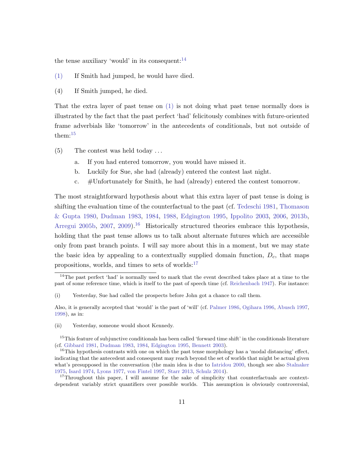the tense auxiliary 'would' in its consequent:  $14$ 

- [\(1\)](#page-1-0) If Smith had jumped, he would have died.
- <span id="page-11-0"></span>(4) If Smith jumped, he died.

That the extra layer of past tense on [\(1\)](#page-1-0) is not doing what past tense normally does is illustrated by the fact that the past perfect 'had' felicitously combines with future-oriented frame adverbials like 'tomorrow' in the antecedents of conditionals, but not outside of them:[15](#page-11-2)

- (5) The contest was held today . . .
	- a. If you had entered tomorrow, you would have missed it.
	- b. Luckily for Sue, she had (already) entered the contest last night.
	- c. #Unfortunately for Smith, he had (already) entered the contest tomorrow.

The most straightforward hypothesis about what this extra layer of past tense is doing is shifting the evaluation time of the counterfactual to the past (cf. [Tedeschi](#page-69-1) [1981,](#page-69-1) [Thomason](#page-70-1) [& Gupta](#page-70-1) [1980,](#page-70-1) [Dudman](#page-65-5) [1983,](#page-65-5) [1984,](#page-65-6) [1988,](#page-65-7) [Edgington](#page-65-8) [1995,](#page-65-8) [Ippolito](#page-66-1) [2003,](#page-66-1) [2006,](#page-66-2) [2013b,](#page-66-3) [Arregui](#page-63-0) [2005b,](#page-63-0) [2007,](#page-64-2) [2009\)](#page-64-3).<sup>[16](#page-11-3)</sup> Historically structured theories embrace this hypothesis, holding that the past tense allows us to talk about alternate futures which are accessible only from past branch points. I will say more about this in a moment, but we may state the basic idea by appealing to a contextually supplied domain function,  $D<sub>c</sub>$ , that maps propositions, worlds, and times to sets of worlds: $17$ 

(ii) Yesterday, someone would shoot Kennedy.

<span id="page-11-1"></span> $14$ The past perfect 'had' is normally used to mark that the event described takes place at a time to the past of some reference time, which is itself to the past of speech time (cf. [Reichenbach](#page-68-2) [1947\)](#page-68-2). For instance:

<sup>(</sup>i) Yesterday, Sue had called the prospects before John got a chance to call them.

Also, it is generally accepted that 'would' is the past of 'will' (cf. [Palmer](#page-68-3) [1986,](#page-68-3) [Ogihara](#page-68-4) [1996,](#page-68-4) [Abusch](#page-63-1) [1997,](#page-63-1) [1998\)](#page-63-2), as in:

<span id="page-11-2"></span><sup>&</sup>lt;sup>15</sup>This feature of subjunctive conditionals has been called 'forward time shift' in the conditionals literature (cf. [Gibbard](#page-66-5) [1981,](#page-66-5) [Dudman](#page-65-5) [1983,](#page-65-5) [1984,](#page-65-6) [Edgington](#page-65-8) [1995,](#page-65-8) [Bennett](#page-64-1) [2003\)](#page-64-1).

<span id="page-11-3"></span><sup>&</sup>lt;sup>16</sup>This hypothesis contrasts with one on which the past tense morphology has a 'modal distancing' effect, indicating that the antecedent and consequent may reach beyond the set of worlds that might be actual given what's presupposed in the conversation (the main idea is due to [Iatridou](#page-66-6) [2000,](#page-66-6) though see also [Stalnaker](#page-69-5) [1975,](#page-69-5) [Isard](#page-66-7) [1974,](#page-66-7) [Lyons](#page-68-5) [1977,](#page-68-5) [von Fintel](#page-65-9) [1997,](#page-65-9) [Starr](#page-69-6) [2013,](#page-69-6) [Schulz](#page-69-7) [2014\)](#page-69-7).

<span id="page-11-4"></span><sup>&</sup>lt;sup>17</sup>Throughout this paper, I will assume for the sake of simplicity that counterfactuals are contextdependent variably strict quantifiers over possible worlds. This assumption is obviously controversial,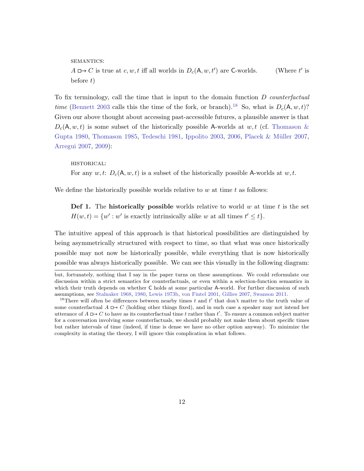semantics:  $A \Box \rightarrow C$  is true at  $c, w, t$  iff all worlds in  $D_c(A, w, t')$  are C-worlds. (Where t  $\prime$  is before  $t$ )

To fix terminology, call the time that is input to the domain function  $D$  counterfactual time [\(Bennett](#page-64-1) [2003](#page-64-1) calls this the time of the fork, or branch).<sup>[18](#page-12-0)</sup> So, what is  $D_c(A, w, t)$ ? Given our above thought about accessing past-accessible futures, a plausible answer is that  $D_c(A, w, t)$  is some subset of the historically possible A-worlds at  $w, t$  (cf. [Thomason &](#page-70-1) [Gupta](#page-70-1) [1980,](#page-70-1) [Thomason](#page-69-2) [1985,](#page-69-2) [Tedeschi](#page-69-1) [1981,](#page-69-1) [Ippolito](#page-66-1) [2003,](#page-66-1) [2006,](#page-66-2) Placek & Müller [2007,](#page-68-0) [Arregui](#page-64-2) [2007,](#page-64-2) [2009\)](#page-64-3):

historical: For any  $w, t: D_c(A, w, t)$  is a subset of the historically possible A-worlds at  $w, t$ .

We define the historically possible worlds relative to  $w$  at time  $t$  as follows:

**Def 1.** The **historically possible** worlds relative to world w at time t is the set  $H(w, t) = \{w' : w' \text{ is exactly intrinsically alike } w \text{ at all times } t' \leq t\}.$ 

The intuitive appeal of this approach is that historical possibilities are distinguished by being asymmetrically structured with respect to time, so that what was once historically possible may not now be historically possible, while everything that is now historically possible was always historically possible. We can see this visually in the following diagram:

but, fortunately, nothing that I say in the paper turns on these assumptions. We could reformulate our discussion within a strict semantics for counterfactuals, or even within a selection-function semantics in which their truth depends on whether C holds at some particular A-world. For further discussion of such assumptions, see [Stalnaker](#page-69-0) [1968,](#page-69-0) [1980,](#page-69-8) [Lewis](#page-67-2) [1973b,](#page-67-2) [von Fintel](#page-65-10) [2001,](#page-65-10) [Gillies](#page-66-8) [2007,](#page-66-8) [Swanson](#page-69-9) [2011.](#page-69-9)

<span id="page-12-0"></span><sup>&</sup>lt;sup>18</sup>There will often be differences between nearby times t and t' that don't matter to the truth value of some counterfactual  $A \rightharpoonup C$  (holding other things fixed), and in such case a speaker may not intend her utterance of  $A \rightharpoonup C$  to have as its counterfactual time t rather than t'. To ensure a common subject matter for a conversation involving some counterfactuals, we should probably not make them about specific times but rather intervals of time (indeed, if time is dense we have no other option anyway). To minimize the complexity in stating the theory, I will ignore this complication in what follows.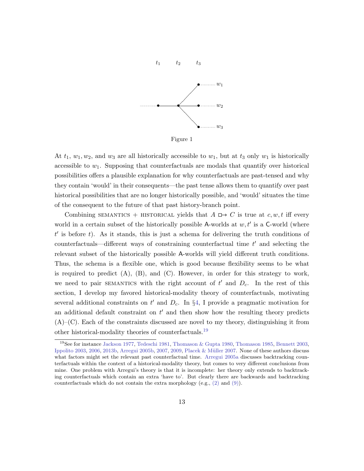

Figure 1

At  $t_1$ ,  $w_1, w_2$ , and  $w_3$  are all historically accessible to  $w_1$ , but at  $t_3$  only  $w_1$  is historically accessible to  $w_1$ . Supposing that counterfactuals are modals that quantify over historical possibilities offers a plausible explanation for why counterfactuals are past-tensed and why they contain 'would' in their consequents—the past tense allows them to quantify over past historical possibilities that are no longer historically possible, and 'would' situates the time of the consequent to the future of that past history-branch point.

Combining SEMANTICS + HISTORICAL yields that  $A \Box \rightarrow C$  is true at c, w, t iff every world in a certain subset of the historically possible A-worlds at  $w, t'$  is a C-world (where  $t'$  is before t). As it stands, this is just a schema for delivering the truth conditions of counterfactuals—different ways of constraining counterfactual time  $t'$  and selecting the relevant subset of the historically possible A-worlds will yield different truth conditions. Thus, the schema is a flexible one, which is good because flexibility seems to be what is required to predict  $(A)$ ,  $(B)$ , and  $(C)$ . However, in order for this strategy to work, we need to pair SEMANTICS with the right account of  $t'$  and  $D_c$ . In the rest of this section, I develop my favored historical-modality theory of counterfactuals, motivating several additional constraints on  $t'$  and  $D_c$ . In §[4,](#page-26-0) I provide a pragmatic motivation for an additional default constraint on  $t'$  and then show how the resulting theory predicts  $(A)$ –(C). Each of the constraints discussed are novel to my theory, distinguishing it from other historical-modality theories of counterfactuals.[19](#page-13-0)

<span id="page-13-0"></span><sup>&</sup>lt;sup>19</sup>See for instance [Jackson](#page-66-0) [1977,](#page-66-0) [Tedeschi](#page-69-1) [1981,](#page-69-1) [Thomason & Gupta](#page-70-1) [1980,](#page-70-1) [Thomason](#page-69-2) [1985,](#page-69-2) [Bennett](#page-64-1) [2003,](#page-64-1) [Ippolito](#page-66-1) [2003,](#page-66-1) [2006,](#page-66-2) [2013b,](#page-66-3) [Arregui](#page-63-0) [2005b,](#page-63-0) [2007,](#page-64-2) [2009,](#page-64-3) [Placek & M¨uller](#page-68-0) [2007.](#page-68-0) None of these authors discuss what factors might set the relevant past counterfactual time. [Arregui](#page-63-3) [2005a](#page-63-3) discusses backtracking counterfactuals within the context of a historical-modality theory, but comes to very different conclusions from mine. One problem with Arregui's theory is that it is incomplete: her theory only extends to backtracking counterfactuals which contain an extra 'have to'. But clearly there are backwards and backtracking counterfactuals which do not contain the extra morphology (e.g., [\(2\)](#page-2-1) and [\(9\)\)](#page-20-0).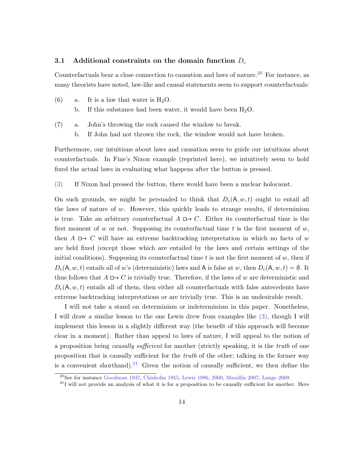## <span id="page-14-0"></span>3.1 Additional constraints on the domain function  $D_c$

Counterfactuals bear a close connection to causation and laws of nature.[20](#page-14-1) For instance, as many theorists have noted, law-like and causal statements seem to support counterfactuals:

- (6) a. It is a law that water is  $H_2O$ .
	- b. If this substance had been water, it would have been  $H_2O$ .
- (7) a. John's throwing the rock caused the window to break.
	- b. If John had not thrown the rock, the window would not have broken.

Furthermore, our intuitions about laws and causation seem to guide our intuitions about counterfactuals. In Fine's Nixon example (reprinted here), we intuitively seem to hold fixed the actual laws in evaluating what happens after the button is pressed.

[\(3\)](#page-7-0) If Nixon had pressed the button, there would have been a nuclear holocaust.

On such grounds, we might be persuaded to think that  $D_c(A, w, t)$  ought to entail all the laws of nature of  $w$ . However, this quickly leads to strange results, if determinism is true. Take an arbitrary counterfactual  $A \Box \rightarrow C$ . Either its counterfactual time is the first moment of w or not. Supposing its counterfactual time t is the first moment of w, then  $A \mapsto C$  will have an extreme backtracking interpretation in which no facts of w are held fixed (except those which are entailed by the laws and certain settings of the initial conditions). Supposing its counterfactual time  $t$  is not the first moment of  $w$ , then if  $D_c(A, w, t)$  entails all of w's (deterministic) laws and A is false at w, then  $D_c(A, w, t) = \emptyset$ . It thus follows that  $A \square \rightarrow C$  is trivially true. Therefore, if the laws of w are deterministic and  $D_c(A, w, t)$  entails all of them, then either all counterfactuals with false antecedents have extreme backtracking interpretations or are trivially true. This is an undesirable result.

I will not take a stand on determinism or indeterminism in this paper. Nonetheless, I will draw a similar lesson to the one Lewis drew from examples like [\(3\),](#page-7-0) though I will implement this lesson in a slightly different way (the benefit of this approach will become clear in a moment). Rather than appeal to laws of nature, I will appeal to the notion of a proposition being *causally sufficient* for another (strictly speaking, it is the *truth* of one proposition that is causally sufficient for the truth of the other; talking in the former way is a convenient shorthand).<sup>[21](#page-14-2)</sup> Given the notion of causally sufficient, we then define the

<span id="page-14-1"></span><sup>20</sup>See for instance [Goodman](#page-66-9) [1947,](#page-66-9) [Chisholm](#page-64-5) [1955,](#page-64-5) [Lewis](#page-67-8) [1986,](#page-67-8) [2000,](#page-68-6) [Maudlin](#page-68-7) [2007,](#page-68-7) [Lange](#page-67-9) [2009.](#page-67-9)

<span id="page-14-2"></span> $^{21}$ I will not provide an analysis of what it is for a proposition to be causally sufficient for another. Here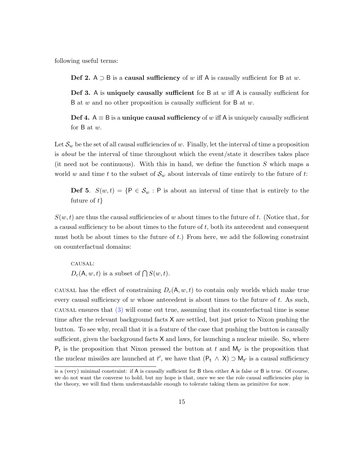following useful terms:

Def 2. A ⊃ B is a causal sufficiency of w iff A is causally sufficient for B at w.

**Def 3.** A is uniquely causally sufficient for B at  $w$  iff A is causally sufficient for B at w and no other proposition is causally sufficient for B at w.

Def 4.  $A \equiv B$  is a unique causal sufficiency of w iff A is uniquely causally sufficient for B at w.

Let  $\mathcal{S}_w$  be the set of all causal sufficiencies of w. Finally, let the interval of time a proposition is about be the interval of time throughout which the event/state it describes takes place (it need not be continuous). With this in hand, we define the function  $S$  which maps a world w and time t to the subset of  $\mathcal{S}_w$  about intervals of time entirely to the future of t:

**Def 5.**  $S(w,t) = \{P \in \mathcal{S}_w : P \text{ is about an interval of time that is entirely to the } \}$ future of  $t$ 

 $S(w, t)$  are thus the causal sufficiencies of w about times to the future of t. (Notice that, for a causal sufficiency to be about times to the future of  $t$ , both its antecedent and consequent must both be about times to the future of  $t$ .) From here, we add the following constraint on counterfactual domains:

causal:  $D_c(\mathsf{A}, w, t)$  is a subset of  $\bigcap S(w, t)$ .

CAUSAL has the effect of constraining  $D_c(A, w, t)$  to contain only worlds which make true every causal sufficiency of  $w$  whose antecedent is about times to the future of  $t$ . As such,  $\alpha$  causal ensures that  $(3)$  will come out true, assuming that its counterfactual time is some time after the relevant background facts X are settled, but just prior to Nixon pushing the button. To see why, recall that it is a feature of the case that pushing the button is causally sufficient, given the background facts  $X$  and laws, for launching a nuclear missile. So, where  $P_t$  is the proposition that Nixon pressed the button at t and  $M_{t'}$  is the proposition that the nuclear missiles are launched at t', we have that  $(P_t \wedge X) \supset M_{t'}$  is a causal sufficiency

is a (very) minimal constraint: if A is causally sufficient for B then either A is false or B is true. Of course, we do not want the converse to hold, but my hope is that, once we see the role causal sufficiencies play in the theory, we will find them understandable enough to tolerate taking them as primitive for now.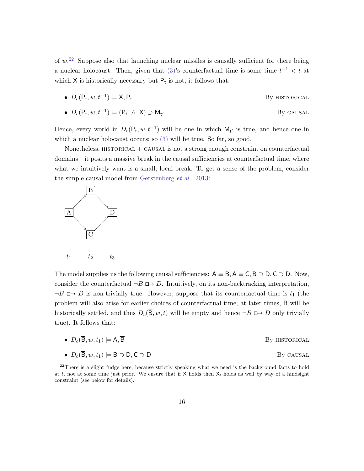of  $w<sup>22</sup>$  $w<sup>22</sup>$  $w<sup>22</sup>$  Suppose also that launching nuclear missiles is causally sufficient for there being a nuclear holocaust. Then, given that  $(3)$ 's counterfactual time is some time  $t^{-1} < t$  at which  $X$  is historically necessary but  $P_t$  is not, it follows that:

• 
$$
D_c(P_t, w, t^{-1}) \models X, P_t
$$
 By HISTORICAL

• 
$$
D_c(P_t, w, t^{-1}) \models (P_t \land X) \supset M_{t'}
$$
 By causal

Hence, every world in  $D_c(P_t, w, t^{-1})$  will be one in which  $M_{t'}$  is true, and hence one in which a nuclear holocaust occurs; so [\(3\)](#page-7-0) will be true. So far, so good.

Nonetheless, HISTORICAL + CAUSAL is not a strong enough constraint on counterfactual domains—it posits a massive break in the causal sufficiencies at counterfactual time, where what we intuitively want is a small, local break. To get a sense of the problem, consider the simple causal model from [Gerstenberg](#page-65-1) et al. [2013:](#page-65-1)



The model supplies us the following causal sufficiencies:  $A \equiv B, A \equiv C, B \supset D, C \supset D$ . Now, consider the counterfactual  $\neg B \Box \rightarrow D$ . Intuitively, on its non-backtracking interpretation,  $\neg B \rightharpoonup D$  is non-trivially true. However, suppose that its counterfactual time is  $t_1$  (the problem will also arise for earlier choices of counterfactual time; at later times, B will be historically settled, and thus  $D_c(\overline{B}, w, t)$  will be empty and hence  $\neg B \Box \rightarrow D$  only trivially true). It follows that:

• 
$$
D_c(\overline{B}, w, t_1) \models A, \overline{B}
$$
 By HISTORICAL

• 
$$
D_c(\overline{B}, w, t_1) \models B \supset D, C \supset D
$$
 By causal

<span id="page-16-0"></span> $^{22}$ There is a slight fudge here, because strictly speaking what we need is the background facts to hold at t, not at some time just prior. We ensure that if  $X$  holds then  $X_t$  holds as well by way of a hindsight constraint (see below for details).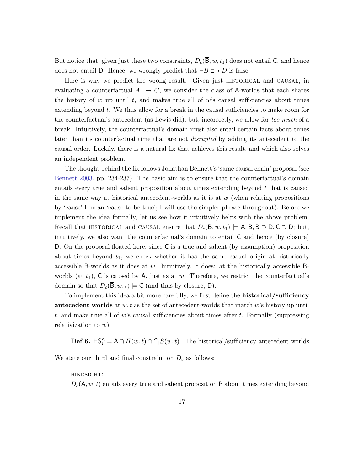But notice that, given just these two constraints,  $D_c(\overline{B}, w, t_1)$  does not entail C, and hence does not entail D. Hence, we wrongly predict that  $\neg B \Box \rightarrow D$  is false!

Here is why we predict the wrong result. Given just historical and causal, in evaluating a counterfactual  $A \rightharpoonup C$ , we consider the class of A-worlds that each shares the history of  $w$  up until  $t$ , and makes true all of  $w$ 's causal sufficiencies about times extending beyond  $t$ . We thus allow for a break in the causal sufficiencies to make room for the counterfactual's antecedent (as Lewis did), but, incorrectly, we allow for too much of a break. Intuitively, the counterfactual's domain must also entail certain facts about times later than its counterfactual time that are not disrupted by adding its antecedent to the causal order. Luckily, there is a natural fix that achieves this result, and which also solves an independent problem.

The thought behind the fix follows Jonathan Bennett's 'same causal chain' proposal (see [Bennett](#page-64-1) [2003,](#page-64-1) pp. 234-237). The basic aim is to ensure that the counterfactual's domain entails every true and salient proposition about times extending beyond  $t$  that is caused in the same way at historical antecedent-worlds as it is at  $w$  (when relating propositions by 'cause' I mean 'cause to be true'; I will use the simpler phrase throughout). Before we implement the idea formally, let us see how it intuitively helps with the above problem. Recall that HISTORICAL and CAUSAL ensure that  $D_c(\overline{B}, w, t_1) \models A, \overline{B}, B \supset D, C \supset D$ ; but, intuitively, we also want the counterfactual's domain to entail C and hence (by closure) D. On the proposal floated here, since C is a true and salient (by assumption) proposition about times beyond  $t_1$ , we check whether it has the same casual origin at historically accessible B-worlds as it does at  $w$ . Intuitively, it does: at the historically accessible Bworlds (at  $t_1$ ), C is caused by A, just as at w. Therefore, we restrict the counterfactual's domain so that  $D_c(\mathsf{B}, w, t) \models \mathsf{C}$  (and thus by closure, D).

To implement this idea a bit more carefully, we first define the historical/sufficiency antecedent worlds at  $w, t$  as the set of antecedent-worlds that match w's history up until t, and make true all of w's causal sufficiencies about times after  $t$ . Formally (suppressing relativization to  $w$ :

**Def 6.**  $\text{HS}_{t}^{A} = A \cap H(w, t) \cap \bigcap S(w, t)$  The historical/sufficiency antecedent worlds

We state our third and final constraint on  $D_c$  as follows:

#### hindsight:

 $D_c(A, w, t)$  entails every true and salient proposition P about times extending beyond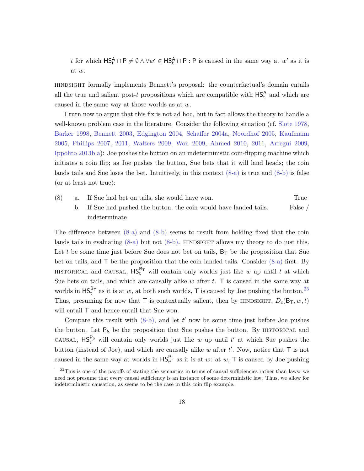t for which  $\mathsf{HS}_{t}^{\mathsf{A}} \cap \mathsf{P} \neq \emptyset \land \forall w' \in \mathsf{HS}_{t}^{\mathsf{A}} \cap \mathsf{P} : \mathsf{P}$  is caused in the same way at  $w'$  as it is at w.

hindsight formally implements Bennett's proposal: the counterfactual's domain entails all the true and salient post-t propositions which are compatible with  $\mathsf{HS}^{\mathsf{A}}_{\mathsf{t}}$  and which are caused in the same way at those worlds as at w.

I turn now to argue that this fix is not ad hoc, but in fact allows the theory to handle a well-known problem case in the literature. Consider the following situation (cf. [Slote](#page-69-3) [1978,](#page-69-3) [Barker](#page-64-6) [1998,](#page-64-6) [Bennett](#page-64-1) [2003,](#page-64-1) [Edgington](#page-65-4) [2004,](#page-65-4) [Schaffer](#page-69-10) [2004a,](#page-69-10) [Noordhof](#page-68-8) [2005,](#page-68-8) [Kaufmann](#page-66-10) [2005,](#page-66-10) [Phillips](#page-68-9) [2007,](#page-68-9) [2011,](#page-68-10) [Walters](#page-70-6) [2009,](#page-70-6) [Won](#page-70-7) [2009,](#page-70-7) [Ahmed](#page-63-4) [2010,](#page-63-4) [2011,](#page-63-5) [Arregui](#page-64-3) [2009,](#page-64-3) [Ippolito](#page-66-3) [2013b](#page-66-3)[,a\)](#page-66-11): Joe pushes the button on an indeterministic coin-flipping machine which initiates a coin flip; as Joe pushes the button, Sue bets that it will land heads; the coin lands tails and Sue loses the bet. Intuitively, in this context  $(8-a)$  is true and  $(8-b)$  is false (or at least not true):

- <span id="page-18-1"></span><span id="page-18-0"></span>(8) a. If Sue had bet on tails, she would have won. True
	- b. If Sue had pushed the button, the coin would have landed tails. False / indeterminate

The difference between [\(8-a\)](#page-18-0) and [\(8-b\)](#page-18-1) seems to result from holding fixed that the coin lands tails in evaluating  $(8-a)$  but not  $(8-b)$ . HINDSIGHT allows my theory to do just this. Let t be some time just before Sue does not bet on tails,  $B_T$  be the proposition that Sue bet on tails, and T be the proposition that the coin landed tails. Consider [\(8-a\)](#page-18-0) first. By HISTORICAL and CAUSAL,  $\mathsf{HS}^{\mathsf{B}_{\mathsf{T}}}_{\mathsf{t}}$  will contain only worlds just like w up until t at which Sue bets on tails, and which are causally alike  $w$  after  $t$ . T is caused in the same way at worlds in  $HS_t^{B_T}$  as it is at w, at both such worlds, T is caused by Joe pushing the button.<sup>[23](#page-18-2)</sup> Thus, presuming for now that T is contextually salient, then by HINDSIGHT,  $D_c(\mathsf{B}_{\mathsf{T}}, w, t)$ will entail  $T$  and hence entail that Sue won.

Compare this result with  $(8-b)$ , and let t' now be some time just before Joe pushes the button. Let  $P_S$  be the proposition that Sue pushes the button. By HISTORICAL and CAUSAL,  $HS_{t'}^{Ps}$  will contain only worlds just like w up until t' at which Sue pushes the button (instead of Joe), and which are causally alike  $w$  after  $t'$ . Now, notice that  $\mathsf T$  is not caused in the same way at worlds in  $HS_{t'}^{P_S}$  as it is at w: at w, T is caused by Joe pushing

<span id="page-18-2"></span><sup>&</sup>lt;sup>23</sup>This is one of the payoffs of stating the semantics in terms of causal sufficiencies rather than laws: we need not presume that every causal sufficiency is an instance of some deterministic law. Thus, we allow for indeterministic causation, as seems to be the case in this coin flip example.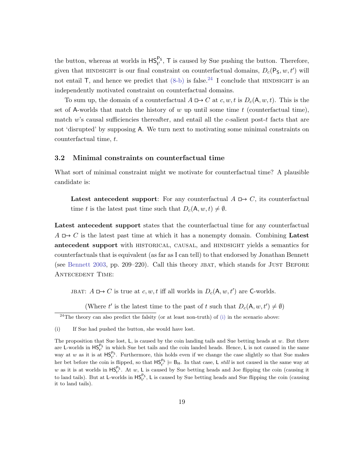the button, whereas at worlds in  $HS_{t'}^{P_S}$ , T is caused by Sue pushing the button. Therefore, given that HINDSIGHT is our final constraint on counterfactual domains,  $D_c(P_S, w, t')$  will not entail  $\mathsf{T}$ , and hence we predict that  $(8-b)$  is false.<sup>[24](#page-19-0)</sup> I conclude that HINDSIGHT is an independently motivated constraint on counterfactual domains.

To sum up, the domain of a counterfactual  $A \Box \rightarrow C$  at c, w, t is  $D_c(A, w, t)$ . This is the set of A-worlds that match the history of w up until some time t (counterfactual time), match w's causal sufficiencies thereafter, and entail all the  $c$ -salient post-t facts that are not 'disrupted' by supposing A. We turn next to motivating some minimal constraints on counterfactual time, t.

### 3.2 Minimal constraints on counterfactual time

What sort of minimal constraint might we motivate for counterfactual time? A plausible candidate is:

Latest antecedent support: For any counterfactual  $A \rightharpoonup C$ , its counterfactual time t is the latest past time such that  $D_c(A, w, t) \neq \emptyset$ .

Latest antecedent support states that the counterfactual time for any counterfactual  $A \rightharpoonup C$  is the latest past time at which it has a nonempty domain. Combining Latest antecedent support with HISTORICAL, CAUSAL, and HINDSIGHT yields a semantics for counterfactuals that is equivalent (as far as I can tell) to that endorsed by Jonathan Bennett (see [Bennett](#page-64-1) [2003,](#page-64-1) pp. 209–220). Call this theory jbat, which stands for Just Before Antecedent Time:

JBAT:  $A \Box \rightarrow C$  is true at  $c, w, t$  iff all worlds in  $D_c(\mathsf{A}, w, t')$  are C-worlds.

(Where  $t'$  is the latest time to the past of t such that  $D_c(A, w, t') \neq \emptyset$ )

<span id="page-19-0"></span> $^{24}$ The theory can also predict the falsity (or at least non-truth) of [\(i\)](#page-19-1) in the scenario above:

<span id="page-19-1"></span><sup>(</sup>i) If Sue had pushed the button, she would have lost.

The proposition that Sue lost,  $L$ , is caused by the coin landing tails and Sue betting heads at  $w$ . But there are L-worlds in  $HS_{t'}^{P_S}$  in which Sue bet tails and the coin landed heads. Hence, L is not caused in the same way at w as it is at  $HS_{t'}^{P_S}$ . Furthermore, this holds even if we change the case slightly so that Sue makes her bet before the coin is flipped, so that  $HS_{t'}^{P_S} \models B_H$ . In that case, L *still* is not caused in the same way at w as it is at worlds in  $HS_{t'}^{P_5}$ . At w, L is caused by Sue betting heads and Joe flipping the coin (causing it to land tails). But at L-worlds in  $HS_{t'}^{P_5}$ , L is caused by Sue betting heads and Sue flipping the coin (causing it to land tails).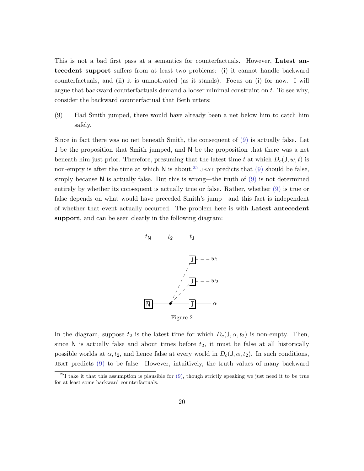This is not a bad first pass at a semantics for counterfactuals. However, Latest antecedent support suffers from at least two problems: (i) it cannot handle backward counterfactuals, and (ii) it is unmotivated (as it stands). Focus on (i) for now. I will argue that backward counterfactuals demand a looser minimal constraint on t. To see why, consider the backward counterfactual that Beth utters:

<span id="page-20-0"></span>(9) Had Smith jumped, there would have already been a net below him to catch him safely.

Since in fact there was no net beneath Smith, the consequent of [\(9\)](#page-20-0) is actually false. Let J be the proposition that Smith jumped, and N be the proposition that there was a net beneath him just prior. Therefore, presuming that the latest time t at which  $D_c(J, w, t)$  is non-empty is after the time at which N is about,<sup>[25](#page-20-1)</sup> JBAT predicts that [\(9\)](#page-20-0) should be false, simply because  $N$  is actually false. But this is wrong—the truth of  $(9)$  is not determined entirely by whether its consequent is actually true or false. Rather, whether [\(9\)](#page-20-0) is true or false depends on what would have preceded Smith's jump—and this fact is independent of whether that event actually occurred. The problem here is with Latest antecedent support, and can be seen clearly in the following diagram:



In the diagram, suppose  $t_2$  is the latest time for which  $D_c(J, \alpha, t_2)$  is non-empty. Then, since  $N$  is actually false and about times before  $t_2$ , it must be false at all historically possible worlds at  $\alpha$ ,  $t_2$ , and hence false at every world in  $D_c(J, \alpha, t_2)$ . In such conditions, JBAT predicts  $(9)$  to be false. However, intuitively, the truth values of many backward

<span id="page-20-1"></span><sup>&</sup>lt;sup>25</sup>I take it that this assumption is plausible for  $(9)$ , though strictly speaking we just need it to be true for at least some backward counterfactuals.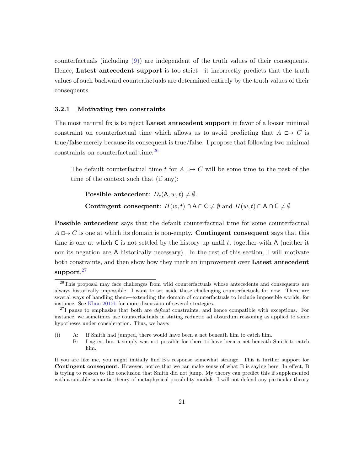counterfactuals (including [\(9\)\)](#page-20-0) are independent of the truth values of their consequents. Hence, Latest antecedent support is too strict—it incorrectly predicts that the truth values of such backward counterfactuals are determined entirely by the truth values of their consequents.

#### 3.2.1 Motivating two constraints

The most natural fix is to reject **Latest antecedent support** in favor of a looser minimal constraint on counterfactual time which allows us to avoid predicting that  $A \mapsto C$  is true/false merely because its consequent is true/false. I propose that following two minimal constraints on counterfactual time:[26](#page-21-0)

The default counterfactual time t for  $A \rightharpoonup C$  will be some time to the past of the time of the context such that (if any):

**Possible antecedent:**  $D_c(A, w, t) \neq \emptyset$ . Contingent consequent:  $H(w, t) \cap A \cap C \neq \emptyset$  and  $H(w, t) \cap A \cap \overline{C} \neq \emptyset$ 

Possible antecedent says that the default counterfactual time for some counterfactual  $A \mapsto C$  is one at which its domain is non-empty. **Contingent consequent** says that this time is one at which  $\mathsf C$  is not settled by the history up until t, together with  $\mathsf A$  (neither it nor its negation are A-historically necessary). In the rest of this section, I will motivate both constraints, and then show how they mark an improvement over Latest antecedent  $\boldsymbol{\mathrm{support}.^{27}}$  $\boldsymbol{\mathrm{support}.^{27}}$  $\boldsymbol{\mathrm{support}.^{27}}$ 

(i) A: If Smith had jumped, there would have been a net beneath him to catch him.

<span id="page-21-0"></span><sup>&</sup>lt;sup>26</sup>This proposal may face challenges from wild counterfactuals whose antecedents and consequents are always historically impossible. I want to set aside these challenging counterfactuals for now. There are several ways of handling them—extending the domain of counterfactuals to include impossible worlds, for instance. See [Khoo](#page-67-5) [2015b](#page-67-5) for more discussion of several strategies.

<span id="page-21-1"></span> $^{27}I$  pause to emphasize that both are *default* constraints, and hence compatible with exceptions. For instance, we sometimes use counterfactuals in stating reductio ad absurdum reasoning as applied to some hypotheses under consideration. Thus, we have:

B: I agree, but it simply was not possible for there to have been a net beneath Smith to catch him.

If you are like me, you might initially find B's response somewhat strange. This is further support for Contingent consequent. However, notice that we can make sense of what B is saying here. In effect, B is trying to reason to the conclusion that Smith did not jump. My theory can predict this if supplemented with a suitable semantic theory of metaphysical possibility modals. I will not defend any particular theory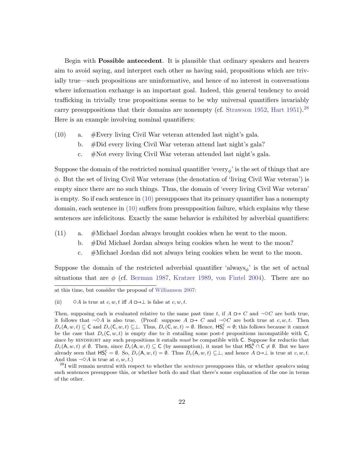Begin with Possible antecedent. It is plausible that ordinary speakers and hearers aim to avoid saying, and interpret each other as having said, propositions which are trivially true—such propositions are uninformative, and hence of no interest in conversations where information exchange is an important goal. Indeed, this general tendency to avoid trafficking in trivially true propositions seems to be why universal quantifiers invariably carry presuppositions that their domains are nonempty (cf. [Strawson](#page-69-11) [1952,](#page-69-11) [Hart](#page-66-12) [1951\)](#page-66-12).<sup>[28](#page-22-0)</sup> Here is an example involving nominal quantifiers:

- <span id="page-22-1"></span>(10) a. #Every living Civil War veteran attended last night's gala.
	- b. #Did every living Civil War veteran attend last night's gala?
	- c. #Not every living Civil War veteran attended last night's gala.

Suppose the domain of the restricted nominal quantifier 'every $\phi$ ' is the set of things that are  $\phi$ . But the set of living Civil War veterans (the denotation of 'living Civil War veteran') is empty since there are no such things. Thus, the domain of 'every living Civil War veteran' is empty. So if each sentence in [\(10\)](#page-22-1) presupposes that its primary quantifier has a nonempty domain, each sentence in [\(10\)](#page-22-1) suffers from presupposition failure, which explains why these sentences are infelicitous. Exactly the same behavior is exhibited by adverbial quantifiers:

- <span id="page-22-2"></span>(11) a. #Michael Jordan always brought cookies when he went to the moon.
	- b. #Did Michael Jordan always bring cookies when he went to the moon?
	- c. #Michael Jordan did not always bring cookies when he went to the moon.

Suppose the domain of the restricted adverbial quantifier 'always<sub> $\phi$ </sub>' is the set of actual situations that are  $\phi$  (cf. [Berman](#page-64-7) [1987,](#page-64-7) [Kratzer](#page-67-3) [1989,](#page-67-3) [von Fintel](#page-65-11) [2004\)](#page-65-11). There are no

at this time, but consider the proposal of [Williamson](#page-70-8) [2007:](#page-70-8)

<sup>(</sup>ii)  $\Diamond A$  is true at c, w, t iff  $A \Box \rightarrow \bot$  is false at c, w, t.

Then, supposing each is evaluated relative to the same past time t, if  $A \Box B$   $\rightarrow C$  and  $\neg \Diamond C$  are both true, it follows that  $\neg \Diamond A$  is also true. (Proof: suppose  $A \Box \neg C$  and  $\neg \Diamond C$  are both true at c, w, t. Then  $D_c(\mathsf{A}, w, t) \subseteq \mathsf{C}$  and  $D_c(\mathsf{C}, w, t) \subseteq \mathsf{L}$ . Thus,  $D_c(\mathsf{C}, w, t) = \emptyset$ . Hence,  $\mathsf{HS}_{t}^{\mathsf{C}} = \emptyset$ ; this follows because it cannot be the case that  $D_c(C, w, t)$  is empty due to it entailing some post-t propositions incompatible with C, since by HINDSIGHT any such propositions it entails must be compatible with C. Suppose for reductio that  $D_c(\mathsf{A}, w, t) \neq \emptyset$ . Then, since  $D_c(\mathsf{A}, w, t) \subseteq \mathsf{C}$  (by assumption), it must be that  $\mathsf{HS}_{t}^{\mathsf{A}} \cap \mathsf{C} \neq \emptyset$ . But we have already seen that  $\mathsf{HS}^{\mathsf{C}}_t = \emptyset$ . So,  $D_c(\mathsf{A}, w, t) = \emptyset$ . Thus  $D_c(\mathsf{A}, w, t) \subseteq \bot$ , and hence  $A \square \rightarrow \bot$  is true at  $c, w, t$ . And thus  $\neg \Diamond A$  is true at c, w, t.)

<span id="page-22-0"></span> $^{28}$ I will remain neutral with respect to whether the *sentence* presupposes this, or whether *speakers* using such sentences presuppose this, or whether both do and that there's some explanation of the one in terms of the other.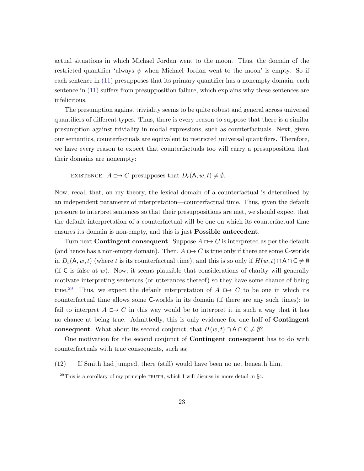actual situations in which Michael Jordan went to the moon. Thus, the domain of the restricted quantifier 'always  $\psi$  when Michael Jordan went to the moon' is empty. So if each sentence in  $(11)$  presupposes that its primary quantifier has a nonempty domain, each sentence in [\(11\)](#page-22-2) suffers from presupposition failure, which explains why these sentences are infelicitous.

The presumption against triviality seems to be quite robust and general across universal quantifiers of different types. Thus, there is every reason to suppose that there is a similar presumption against triviality in modal expressions, such as counterfactuals. Next, given our semantics, counterfactuals are equivalent to restricted universal quantifiers. Therefore, we have every reason to expect that counterfactuals too will carry a presupposition that their domains are nonempty:

EXISTENCE:  $A \square \rightarrow C$  presupposes that  $D_c(A, w, t) \neq \emptyset$ .

Now, recall that, on my theory, the lexical domain of a counterfactual is determined by an independent parameter of interpretation—counterfactual time. Thus, given the default pressure to interpret sentences so that their presuppositions are met, we should expect that the default interpretation of a counterfactual will be one on which its counterfactual time ensures its domain is non-empty, and this is just Possible antecedent.

Turn next **Contingent consequent**. Suppose  $A \rightharpoonup C$  is interpreted as per the default (and hence has a non-empty domain). Then,  $A \Box \rightarrow C$  is true only if there are some C-worlds in  $D_c(\mathsf{A}, w, t)$  (where t is its counterfactual time), and this is so only if  $H(w, t) \cap \mathsf{A} \cap \mathsf{C} \neq \emptyset$ (if  $\mathsf C$  is false at w). Now, it seems plausible that considerations of charity will generally motivate interpreting sentences (or utterances thereof) so they have some chance of being true.<sup>[29](#page-23-0)</sup> Thus, we expect the default interpretation of  $A \Box \rightarrow C$  to be one in which its counterfactual time allows some C-worlds in its domain (if there are any such times); to fail to interpret  $A \rightharpoonup C$  in this way would be to interpret it in such a way that it has no chance at being true. Admittedly, this is only evidence for one half of Contingent consequent. What about its second conjunct, that  $H(w, t) \cap A \cap \overline{C} \neq \emptyset$ ?

One motivation for the second conjunct of Contingent consequent has to do with counterfactuals with true consequents, such as:

<span id="page-23-1"></span>(12) If Smith had jumped, there (still) would have been no net beneath him.

<span id="page-23-0"></span> $^{29}$ This is a corollary of my principle TRUTH, which I will discuss in more detail in  $\S4$ .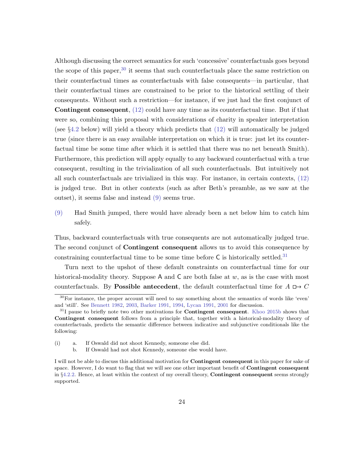Although discussing the correct semantics for such 'concessive' counterfactuals goes beyond the scope of this paper,  $30$  it seems that such counterfactuals place the same restriction on their counterfactual times as counterfactuals with false consequents—in particular, that their counterfactual times are constrained to be prior to the historical settling of their consequents. Without such a restriction—for instance, if we just had the first conjunct of Contingent consequent, [\(12\)](#page-23-1) could have any time as its counterfactual time. But if that were so, combining this proposal with considerations of charity in speaker interpretation (see §[4.2](#page-32-0) below) will yield a theory which predicts that [\(12\)](#page-23-1) will automatically be judged true (since there is an easy available interpretation on which it is true: just let its counterfactual time be some time after which it is settled that there was no net beneath Smith). Furthermore, this prediction will apply equally to any backward counterfactual with a true consequent, resulting in the trivialization of all such counterfactuals. But intuitively not all such counterfactuals are trivialized in this way. For instance, in certain contexts, [\(12\)](#page-23-1) is judged true. But in other contexts (such as after Beth's preamble, as we saw at the outset), it seems false and instead [\(9\)](#page-20-0) seems true.

[\(9\)](#page-20-0) Had Smith jumped, there would have already been a net below him to catch him safely.

Thus, backward counterfactuals with true consequents are not automatically judged true. The second conjunct of Contingent consequent allows us to avoid this consequence by constraining counterfactual time to be some time before  $C$  is historically settled.<sup>[31](#page-24-1)</sup>

Turn next to the upshot of these default constraints on counterfactual time for our historical-modality theory. Suppose A and  $C$  are both false at  $w$ , as is the case with most counterfactuals. By **Possible antecedent**, the default counterfactual time for  $A \rightharpoonup C$ 

<span id="page-24-0"></span> $30$ For instance, the proper account will need to say something about the semantics of words like 'even' and 'still'. See [Bennett](#page-64-8) [1982,](#page-64-8) [2003,](#page-64-1) [Barker](#page-64-9) [1991,](#page-64-9) [1994,](#page-64-10) [Lycan](#page-68-11) [1991,](#page-68-11) [2001](#page-68-12) for discussion.

<span id="page-24-1"></span> $31$  pause to briefly note two other motivations for **Contingent consequent**. [Khoo](#page-67-5) [2015b](#page-67-5) shows that Contingent consequent follows from a principle that, together with a historical-modality theory of counterfactuals, predicts the semantic difference between indicative and subjunctive conditionals like the following:

<sup>(</sup>i) a. If Oswald did not shoot Kennedy, someone else did.

b. If Oswald had not shot Kennedy, someone else would have.

I will not be able to discuss this additional motivation for **Contingent consequent** in this paper for sake of space. However, I do want to flag that we will see one other important benefit of **Contingent consequent** in §[4.2.2.](#page-43-0) Hence, at least within the context of my overall theory, **Contingent consequent** seems strongly supported.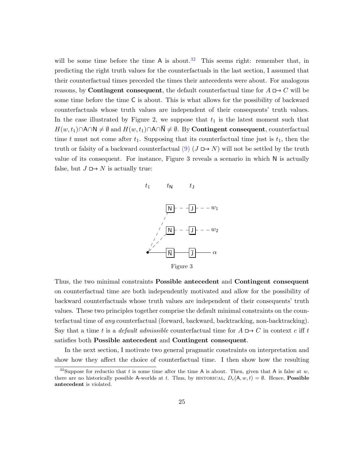will be some time before the time A is about.<sup>[32](#page-25-0)</sup> This seems right: remember that, in predicting the right truth values for the counterfactuals in the last section, I assumed that their counterfactual times preceded the times their antecedents were about. For analogous reasons, by **Contingent consequent**, the default counterfactual time for  $A \square \rightarrow C$  will be some time before the time C is about. This is what allows for the possibility of backward counterfactuals whose truth values are independent of their consequents' truth values. In the case illustrated by Figure 2, we suppose that  $t_1$  is the latest moment such that  $H(w, t_1) \cap A \cap N \neq \emptyset$  and  $H(w, t_1) \cap A \cap \overline{N} \neq \emptyset$ . By **Contingent consequent**, counterfactual time t must not come after  $t_1$ . Supposing that its counterfactual time just is  $t_1$ , then the truth or falsity of a backward counterfactual  $(9)$  ( $J \mapsto N$ ) will not be settled by the truth value of its consequent. For instance, Figure 3 reveals a scenario in which N is actually false, but  $J \mapsto N$  is actually true:



Thus, the two minimal constraints Possible antecedent and Contingent consequent on counterfactual time are both independently motivated and allow for the possibility of backward counterfactuals whose truth values are independent of their consequents' truth values. These two principles together comprise the default minimal constraints on the counterfactual time of any counterfactual (forward, backward, backtracking, non-backtracking). Say that a time t is a *default admissible* counterfactual time for  $A \Box D$  or in context c iff t satisfies both Possible antecedent and Contingent consequent.

In the next section, I motivate two general pragmatic constraints on interpretation and show how they affect the choice of counterfactual time. I then show how the resulting

<span id="page-25-0"></span><sup>&</sup>lt;sup>32</sup>Suppose for reductio that t is some time after the time A is about. Then, given that A is false at w, there are no historically possible A-worlds at t. Thus, by HISTORICAL,  $D_c(A, w, t) = \emptyset$ . Hence, **Possible** antecedent is violated.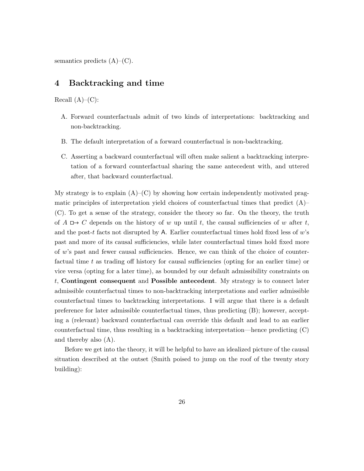semantics predicts  $(A)$ – $(C)$ .

## <span id="page-26-0"></span>4 Backtracking and time

Recall  $(A)$ – $(C)$ :

- A. Forward counterfactuals admit of two kinds of interpretations: backtracking and non-backtracking.
- B. The default interpretation of a forward counterfactual is non-backtracking.
- C. Asserting a backward counterfactual will often make salient a backtracking interpretation of a forward counterfactual sharing the same antecedent with, and uttered after, that backward counterfactual.

My strategy is to explain  $(A)$ – $(C)$  by showing how certain independently motivated pragmatic principles of interpretation yield choices of counterfactual times that predict  $(A)$ – (C). To get a sense of the strategy, consider the theory so far. On the theory, the truth of  $A \rightharpoonup C$  depends on the history of w up until t, the causal sufficiencies of w after t, and the post-t facts not disrupted by A. Earlier counterfactual times hold fixed less of  $w$ 's past and more of its causal sufficiencies, while later counterfactual times hold fixed more of w's past and fewer causal sufficiencies. Hence, we can think of the choice of counterfactual time t as trading off history for causal sufficiencies (opting for an earlier time) or vice versa (opting for a later time), as bounded by our default admissibility constraints on t, Contingent consequent and Possible antecedent. My strategy is to connect later admissible counterfactual times to non-backtracking interpretations and earlier admissible counterfactual times to backtracking interpretations. I will argue that there is a default preference for later admissible counterfactual times, thus predicting (B); however, accepting a (relevant) backward counterfactual can override this default and lead to an earlier counterfactual time, thus resulting in a backtracking interpretation—hence predicting (C) and thereby also (A).

Before we get into the theory, it will be helpful to have an idealized picture of the causal situation described at the outset (Smith poised to jump on the roof of the twenty story building):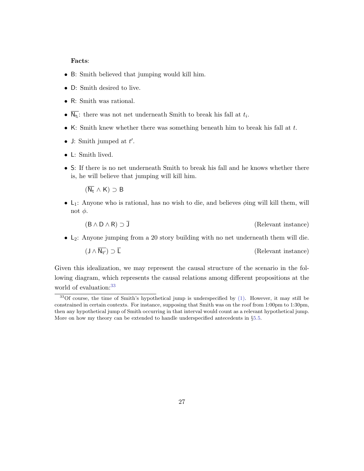#### Facts:

- B: Smith believed that jumping would kill him.
- D: Smith desired to live.
- R: Smith was rational.
- $N_{t_i}$ : there was not net underneath Smith to break his fall at  $t_i$ .
- K: Smith knew whether there was something beneath him to break his fall at  $t$ .
- J: Smith jumped at  $t'$ .
- L: Smith lived.
- S: If there is no net underneath Smith to break his fall and he knows whether there is, he will believe that jumping will kill him.

 $(\overline{\mathsf{N_r}} \wedge \mathsf{K}) \supset \mathsf{B}$ 

•  $L_1$ : Anyone who is rational, has no wish to die, and believes  $\phi$ ing will kill them, will not  $\phi$ .

$$
(B \land D \land R) \supset J \tag{Relevant instance}
$$

• L2: Anyone jumping from a 20 story building with no net underneath them will die.

 $(J \wedge \overline{N_{t'}}) \supset \overline{L}$ (Relevant instance)

Given this idealization, we may represent the causal structure of the scenario in the following diagram, which represents the causal relations among different propositions at the world of evaluation:<sup>[33](#page-27-0)</sup>

<span id="page-27-0"></span> $33$ Of course, the time of Smith's hypothetical jump is underspecified by [\(1\).](#page-1-0) However, it may still be constrained in certain contexts. For instance, supposing that Smith was on the roof from 1:00pm to 1:30pm, then any hypothetical jump of Smith occurring in that interval would count as a relevant hypothetical jump. More on how my theory can be extended to handle underspecified antecedents in §[5.5.](#page-59-0)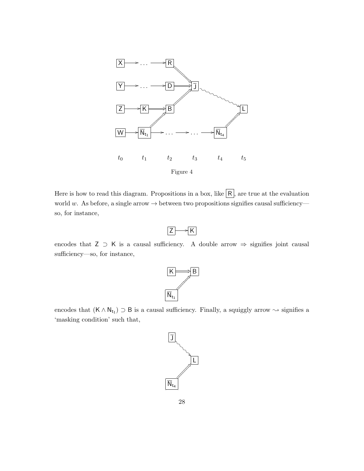

Here is how to read this diagram. Propositions in a box, like  $\overline{R}$ , are true at the evaluation world w. As before, a single arrow  $\rightarrow$  between two propositions signifies causal sufficiency so, for instance,

$$
\boxed{Z} \longrightarrow \boxed{K}
$$

encodes that  $Z \supset K$  is a causal sufficiency. A double arrow  $\Rightarrow$  signifies joint causal sufficiency—so, for instance,



encodes that  $(K \wedge N_{t_1}) \supset B$  is a causal sufficiency. Finally, a squiggly arrow  $\sim$  signifies a 'masking condition' such that,

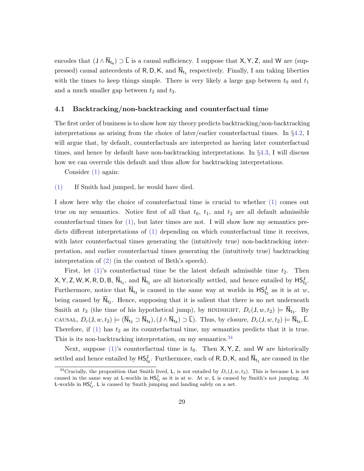encodes that  $(J \wedge N_{t_4}) \supset L$  is a causal sufficiency. I suppose that  $X, Y, Z$ , and W are (suppressed) causal antecedents of  $R, D, K$ , and  $N_{t_1}$  respectively. Finally, I am taking liberties with the times to keep things simple. There is very likely a large gap between  $t_0$  and  $t_1$ and a much smaller gap between  $t_2$  and  $t_3$ .

### <span id="page-29-1"></span>4.1 Backtracking/non-backtracking and counterfactual time

The first order of business is to show how my theory predicts backtracking/non-backtracking interpretations as arising from the choice of later/earlier counterfactual times. In §[4.2,](#page-32-0) I will argue that, by default, counterfactuals are interpreted as having later counterfactual times, and hence by default have non-backtracking interpretations. In §[4.3,](#page-46-0) I will discuss how we can overrule this default and thus allow for backtracking interpretations.

Consider [\(1\)](#page-1-0) again:

[\(1\)](#page-1-0) If Smith had jumped, he would have died.

I show here why the choice of counterfactual time is crucial to whether [\(1\)](#page-1-0) comes out true on my semantics. Notice first of all that  $t_0$ ,  $t_1$ , and  $t_2$  are all default admissible counterfactual times for  $(1)$ , but later times are not. I will show how my semantics predicts different interpretations of [\(1\)](#page-1-0) depending on which counterfactual time it receives, with later counterfactual times generating the (intuitively true) non-backtracking interpretation, and earlier counterfactual times generating the (intuitively true) backtracking interpretation of [\(2\)](#page-2-1) (in the context of Beth's speech).

First, let  $(1)$ 's counterfactual time be the latest default admissible time  $t_2$ . Then  $X, Y, Z, W, K, R, D, B, \overline{N}_{t_1}$ , and  $\overline{N}_{t_2}$  are all historically settled, and hence entailed by  $\overline{MS}^J_{t_2}$ . Furthermore, notice that  $\overline{N}_{t_3}$  is caused in the same way at worlds in  $HS_{t_2}^J$  as it is at w, being caused by  $N_{t_2}$ . Hence, supposing that it is salient that there is no net underneath Smith at  $t_3$  (the time of his hypothetical jump), by HINDSIGHT,  $D_c(1, w, t_2) \models \overline{N}_{t_3}$ . By CAUSAL,  $D_c(J, w, t_2) \models (\overline{N}_{t_3} \supset \overline{N}_{t_4}), (J \wedge \overline{N}_{t_4}) \supset \overline{L})$ . Thus, by closure,  $D_c(J, w, t_2) \models \overline{N}_{t_4}, \overline{L}$ . Therefore, if  $(1)$  has  $t_2$  as its counterfactual time, my semantics predicts that it is true. This is its non-backtracking interpretation, on my semantics.<sup>[34](#page-29-0)</sup>

Next, suppose [\(1\)'](#page-1-0)s counterfactual time is  $t_0$ . Then  $X, Y, Z$ , and W are historically settled and hence entailed by  $HS_{t_0}^J$ . Furthermore, each of R, D, K, and  $\overline{N}_{t_1}$  are caused in the

<span id="page-29-0"></span><sup>&</sup>lt;sup>34</sup>Crucially, the proposition that Smith lived, L, is not entailed by  $D_c(1, w, t_2)$ . This is because L is not caused in the same way at L-worlds in  $HS_{t_2}^J$  as it is at w. At w, L is caused by Smith's not jumping. At **L**-worlds in  $\text{HS}_{t_2}^J$ , **L** is caused by Smith jumping and landing safely on a net.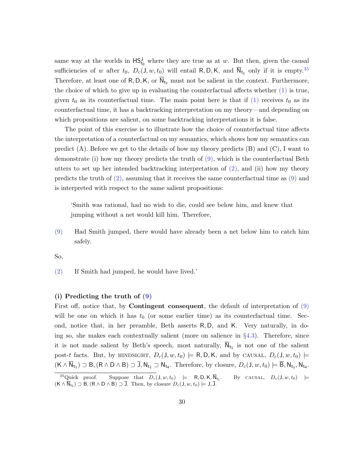same way at the worlds in  $\mathsf{HS}^{\mathsf{J}}_{t_0}$  where they are true as at w. But then, given the causal sufficiencies of w after  $t_0$ ,  $D_c(1, w, t_0)$  will entail R, D, K, and  $\overline{N}_{t_1}$  only if it is empty.<sup>[35](#page-30-0)</sup> Therefore, at least one of R, D, K, or  $\overline{N}_{t_1}$  must not be salient in the context. Furthermore, the choice of which to give up in evaluating the counterfactual affects whether [\(1\)](#page-1-0) is true, given  $t_0$  as its counterfactual time. The main point here is that if [\(1\)](#page-1-0) receives  $t_0$  as its counterfactual time, it has a backtracking interpretation on my theory—and depending on which propositions are salient, on some backtracking interpretations it is false.

The point of this exercise is to illustrate how the choice of counterfactual time affects the interpretation of a counterfactual on my semantics, which shows how my semantics can predict  $(A)$ . Before we get to the details of how my theory predicts  $(B)$  and  $(C)$ , I want to demonstrate (i) how my theory predicts the truth of [\(9\),](#page-20-0) which is the counterfactual Beth utters to set up her intended backtracking interpretation of  $(2)$ , and  $(ii)$  how my theory predicts the truth of [\(2\),](#page-2-1) assuming that it receives the same counterfactual time as [\(9\)](#page-20-0) and is interpreted with respect to the same salient propositions:

'Smith was rational, had no wish to die, could see below him, and knew that jumping without a net would kill him. Therefore,

[\(9\)](#page-20-0) Had Smith jumped, there would have already been a net below him to catch him safely.

So,

[\(2\)](#page-2-1) If Smith had jumped, he would have lived.'

#### (i) Predicting the truth of [\(9\)](#page-20-0)

First off, notice that, by **Contingent consequent**, the default of interpretation of [\(9\)](#page-20-0) will be one on which it has  $t_0$  (or some earlier time) as its counterfactual time. Second, notice that, in her preamble, Beth asserts R, D, and K. Very naturally, in doing so, she makes each contextually salient (more on salience in §[4.3\)](#page-46-0). Therefore, since it is not made salient by Beth's speech, most naturally,  $N_{t_1}$  is not one of the salient post-t facts. But, by HINDSIGHT,  $D_c(J, w, t_0) \models R, D, K$ , and by CAUSAL,  $D_c(J, w, t_0) \models$  $(K \wedge N_{t_1}) \supset B, (R \wedge D \wedge B) \supset J, N_{t_1} \supset N_{t_4}$ . Therefore, by closure,  $D_c(J, w, t_0) \models B, N_{t_1}, N_{t_4}$ .

<span id="page-30-0"></span><sup>&</sup>lt;sup>35</sup>Quick proof. Suppose that  $D_c(J, w, t_0) \models R, D, K, \overline{N}_{t_1}$ . By CAUSAL,  $D_c(J, w, t_0) \models$  $(K \wedge N_{t_1}) \supset B$ ,  $(R \wedge D \wedge B) \supset J$ . Then, by closure  $D_c(J, w, t_0) \models J, J$ .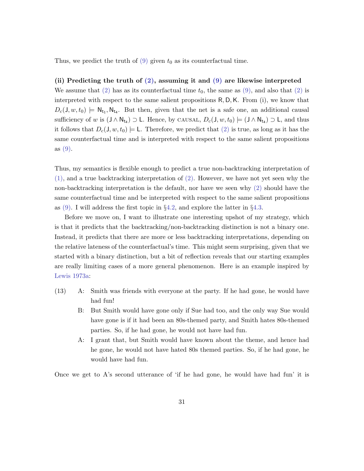Thus, we predict the truth of  $(9)$  given  $t_0$  as its counterfactual time.

#### (ii) Predicting the truth of [\(2\),](#page-2-1) assuming it and [\(9\)](#page-20-0) are likewise interpreted

We assume that [\(2\)](#page-2-1) has as its counterfactual time  $t_0$ , the same as [\(9\),](#page-20-0) and also that (2) is interpreted with respect to the same salient propositions R, D,K. From (i), we know that  $D_c(J, w, t_0) \models \mathsf{N}_{t_1}, \mathsf{N}_{t_4}$ . But then, given that the net is a safe one, an additional causal sufficiency of w is  $(J \wedge N_{t_4}) \supset L$ . Hence, by CAUSAL,  $D_c(J, w, t_0) \models (J \wedge N_{t_4}) \supset L$ , and thus it follows that  $D_c(1, w, t_0) \models L$ . Therefore, we predict that [\(2\)](#page-2-1) is true, as long as it has the same counterfactual time and is interpreted with respect to the same salient propositions as [\(9\).](#page-20-0)

Thus, my semantics is flexible enough to predict a true non-backtracking interpretation of  $(1)$ , and a true backtracking interpretation of  $(2)$ . However, we have not yet seen why the non-backtracking interpretation is the default, nor have we seen why [\(2\)](#page-2-1) should have the same counterfactual time and be interpreted with respect to the same salient propositions as  $(9)$ . I will address the first topic in §[4.2,](#page-32-0) and explore the latter in §[4.3.](#page-46-0)

Before we move on, I want to illustrate one interesting upshot of my strategy, which is that it predicts that the backtracking/non-backtracking distinction is not a binary one. Instead, it predicts that there are more or less backtracking interpretations, depending on the relative lateness of the counterfactual's time. This might seem surprising, given that we started with a binary distinction, but a bit of reflection reveals that our starting examples are really limiting cases of a more general phenomenon. Here is an example inspired by [Lewis](#page-67-0) [1973a:](#page-67-0)

- (13) A: Smith was friends with everyone at the party. If he had gone, he would have had fun!
	- B: But Smith would have gone only if Sue had too, and the only way Sue would have gone is if it had been an 80s-themed party, and Smith hates 80s-themed parties. So, if he had gone, he would not have had fun.
	- A: I grant that, but Smith would have known about the theme, and hence had he gone, he would not have hated 80s themed parties. So, if he had gone, he would have had fun.

Once we get to A's second utterance of 'if he had gone, he would have had fun' it is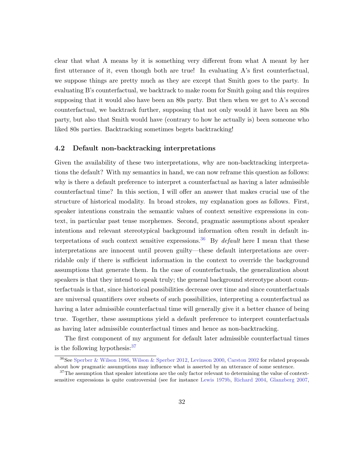clear that what A means by it is something very different from what A meant by her first utterance of it, even though both are true! In evaluating A's first counterfactual, we suppose things are pretty much as they are except that Smith goes to the party. In evaluating B's counterfactual, we backtrack to make room for Smith going and this requires supposing that it would also have been an 80s party. But then when we get to A's second counterfactual, we backtrack further, supposing that not only would it have been an 80s party, but also that Smith would have (contrary to how he actually is) been someone who liked 80s parties. Backtracking sometimes begets backtracking!

### <span id="page-32-0"></span>4.2 Default non-backtracking interpretations

Given the availability of these two interpretations, why are non-backtracking interpretations the default? With my semantics in hand, we can now reframe this question as follows: why is there a default preference to interpret a counterfactual as having a later admissible counterfactual time? In this section, I will offer an answer that makes crucial use of the structure of historical modality. In broad strokes, my explanation goes as follows. First, speaker intentions constrain the semantic values of context sensitive expressions in context, in particular past tense morphemes. Second, pragmatic assumptions about speaker intentions and relevant stereotypical background information often result in default in-terpretations of such context sensitive expressions.<sup>[36](#page-32-1)</sup> By *default* here I mean that these interpretations are innocent until proven guilty—these default interpretations are overridable only if there is sufficient information in the context to override the background assumptions that generate them. In the case of counterfactuals, the generalization about speakers is that they intend to speak truly; the general background stereotype about counterfactuals is that, since historical possibilities decrease over time and since counterfactuals are universal quantifiers over subsets of such possibilities, interpreting a counterfactual as having a later admissible counterfactual time will generally give it a better chance of being true. Together, these assumptions yield a default preference to interpret counterfactuals as having later admissible counterfactual times and hence as non-backtracking.

The first component of my argument for default later admissible counterfactual times is the following hypothesis:  $37$ 

<span id="page-32-1"></span><sup>36</sup>See [Sperber & Wilson](#page-69-12) [1986,](#page-69-12) [Wilson & Sperber](#page-70-9) [2012,](#page-70-9) [Levinson](#page-67-10) [2000,](#page-67-10) [Carston](#page-64-11) [2002](#page-64-11) for related proposals about how pragmatic assumptions may influence what is asserted by an utterance of some sentence.

<span id="page-32-2"></span> $37$ The assumption that speaker intentions are the only factor relevant to determining the value of contextsensitive expressions is quite controversial (see for instance [Lewis](#page-67-11) [1979b,](#page-67-11) [Richard](#page-68-13) [2004,](#page-68-13) [Glanzberg](#page-66-13) [2007,](#page-66-13)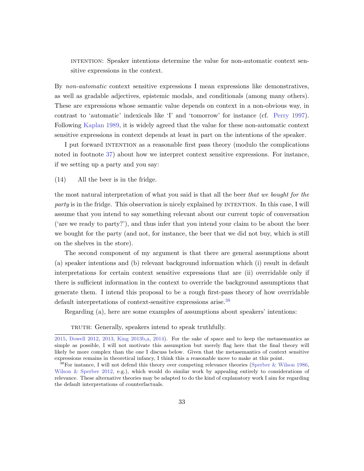intention: Speaker intentions determine the value for non-automatic context sensitive expressions in the context.

By non-automatic context sensitive expressions I mean expressions like demonstratives, as well as gradable adjectives, epistemic modals, and conditionals (among many others). These are expressions whose semantic value depends on context in a non-obvious way, in contrast to 'automatic' indexicals like 'I' and 'tomorrow' for instance (cf. [Perry](#page-68-14) [1997\)](#page-68-14). Following [Kaplan](#page-66-14) [1989,](#page-66-14) it is widely agreed that the value for these non-automatic context sensitive expressions in context depends at least in part on the intentions of the speaker.

I put forward intention as a reasonable first pass theory (modulo the complications noted in footnote [37\)](#page-32-2) about how we interpret context sensitive expressions. For instance, if we setting up a party and you say:

<span id="page-33-1"></span>(14) All the beer is in the fridge.

the most natural interpretation of what you said is that all the beer that we bought for the party is in the fridge. This observation is nicely explained by INTENTION. In this case, I will assume that you intend to say something relevant about our current topic of conversation ('are we ready to party?'), and thus infer that you intend your claim to be about the beer we bought for the party (and not, for instance, the beer that we did not buy, which is still on the shelves in the store).

The second component of my argument is that there are general assumptions about (a) speaker intentions and (b) relevant background information which (i) result in default interpretations for certain context sensitive expressions that are (ii) overridable only if there is sufficient information in the context to override the background assumptions that generate them. I intend this proposal to be a rough first-pass theory of how overridable default interpretations of context-sensitive expressions arise.<sup>[38](#page-33-0)</sup>

Regarding (a), here are some examples of assumptions about speakers' intentions:

TRUTH: Generally, speakers intend to speak truthfully.

[<sup>2015,</sup>](#page-66-15) [Dowell](#page-64-12) [2012,](#page-64-12) [2013,](#page-65-12) [King](#page-67-12) [2013b,](#page-67-12)[a,](#page-67-13) [2014\)](#page-67-14). For the sake of space and to keep the metasemantics as simple as possible, I will not motivate this assumption but merely flag here that the final theory will likely be more complex than the one I discuss below. Given that the metasemantics of context sensitive expressions remains in theoretical infancy, I think this a reasonable move to make at this point.

<span id="page-33-0"></span><sup>38</sup>For instance, I will not defend this theory over competing relevance theories [\(Sperber & Wilson](#page-69-12) [1986,](#page-69-12) [Wilson & Sperber](#page-70-9) [2012,](#page-70-9) e.g.), which would do similar work by appealing entirely to considerations of relevance. These alternative theories may be adapted to do the kind of explanatory work I aim for regarding the default interpretations of counterfactuals.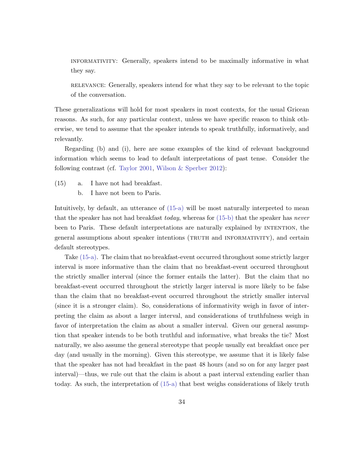informativity: Generally, speakers intend to be maximally informative in what they say.

relevance: Generally, speakers intend for what they say to be relevant to the topic of the conversation.

These generalizations will hold for most speakers in most contexts, for the usual Gricean reasons. As such, for any particular context, unless we have specific reason to think otherwise, we tend to assume that the speaker intends to speak truthfully, informatively, and relevantly.

Regarding (b) and (i), here are some examples of the kind of relevant background information which seems to lead to default interpretations of past tense. Consider the following contrast (cf. [Taylor](#page-69-13) [2001,](#page-69-13) [Wilson & Sperber](#page-70-9) [2012\)](#page-70-9):

- <span id="page-34-1"></span><span id="page-34-0"></span>(15) a. I have not had breakfast.
	- b. I have not been to Paris.

Intuitively, by default, an utterance of [\(15-a\)](#page-34-0) will be most naturally interpreted to mean that the speaker has not had breakfast today, whereas for  $(15-b)$  that the speaker has never been to Paris. These default interpretations are naturally explained by intention, the general assumptions about speaker intentions (TRUTH and INFORMATIVITY), and certain default stereotypes.

Take [\(15-a\).](#page-34-0) The claim that no breakfast-event occurred throughout some strictly larger interval is more informative than the claim that no breakfast-event occurred throughout the strictly smaller interval (since the former entails the latter). But the claim that no breakfast-event occurred throughout the strictly larger interval is more likely to be false than the claim that no breakfast-event occurred throughout the strictly smaller interval (since it is a stronger claim). So, considerations of informativity weigh in favor of interpreting the claim as about a larger interval, and considerations of truthfulness weigh in favor of interpretation the claim as about a smaller interval. Given our general assumption that speaker intends to be both truthful and informative, what breaks the tie? Most naturally, we also assume the general stereotype that people usually eat breakfast once per day (and usually in the morning). Given this stereotype, we assume that it is likely false that the speaker has not had breakfast in the past 48 hours (and so on for any larger past interval)—thus, we rule out that the claim is about a past interval extending earlier than today. As such, the interpretation of [\(15-a\)](#page-34-0) that best weighs considerations of likely truth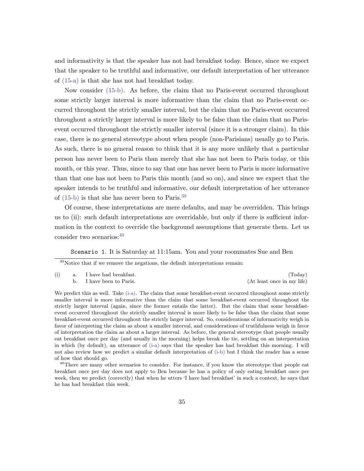and informativity is that the speaker has not had breakfast today. Hence, since we expect that the speaker to be truthful and informative, our default interpretation of her utterance of [\(15-a\)](#page-34-0) is that she has not had breakfast today.

Now consider [\(15-b\).](#page-34-1) As before, the claim that no Paris-event occurred throughout some strictly larger interval is more informative than the claim that no Paris-event occurred throughout the strictly smaller interval, but the claim that no Paris-event occurred throughout a strictly larger interval is more likely to be false than the claim that no Parisevent occurred throughout the strictly smaller interval (since it is a stronger claim). In this case, there is no general stereotype about when people (non-Parisians) usually go to Paris. As such, there is no general reason to think that it is any more unlikely that a particular person has never been to Paris than merely that she has not been to Paris today, or this month, or this year. Thus, since to say that one has never been to Paris is more informative than that one has not been to Paris this month (and so on), and since we expect that the speaker intends to be truthful and informative, our default interpretation of her utterance of  $(15-b)$  is that she has never been to Paris.<sup>[39](#page-35-0)</sup>

Of course, these interpretations are mere defaults, and may be overridden. This brings us to (ii): such default interpretations are overridable, but only if there is sufficient information in the context to override the background assumptions that generate them. Let us consider two scenarios:[40](#page-35-1)

Scenario 1. It is Saturday at 11:15am. You and your roommates Sue and Ben

<span id="page-35-0"></span> $39$ Notice that if we remove the negations, the default interpretations remain:

<span id="page-35-3"></span><span id="page-35-2"></span>

|  |  | a. I have had breakfast. |                            |
|--|--|--------------------------|----------------------------|
|  |  | I have been to Paris.    | (At least once in my life) |

We predict this as well. Take [\(i-a\).](#page-35-2) The claim that some breakfast-event occurred throughout some strictly smaller interval is more informative than the claim that some breakfast-event occurred throughout the strictly larger interval (again, since the former entails the latter). But the claim that some breakfastevent occurred throughout the strictly smaller interval is more likely to be false than the claim that some breakfast-event occurred throughout the strictly larger interval. So, considerations of informativity weigh in favor of interpreting the claim as about a smaller interval, and considerations of truthfulness weigh in favor of interpretation the claim as about a larger interval. As before, the general stereotype that people usually eat breakfast once per day (and usually in the morning) helps break the tie, settling on an interpretation in which (by default), an utterance of [\(i-a\)](#page-35-2) says that the speaker has had breakfast this morning. I will not also review how we predict a similar default interpretation of [\(i-b\)](#page-35-3) but I think the reader has a sense of how that should go.

<span id="page-35-1"></span><sup>40</sup>There are many other scenarios to consider. For instance, if you know the stereotype that people eat breakfast once per day does not apply to Ben because he has a policy of only eating breakfast once per week, then we predict (correctly) that when he utters 'I have had breakfast' in such a context, he says that he has had breakfast this week.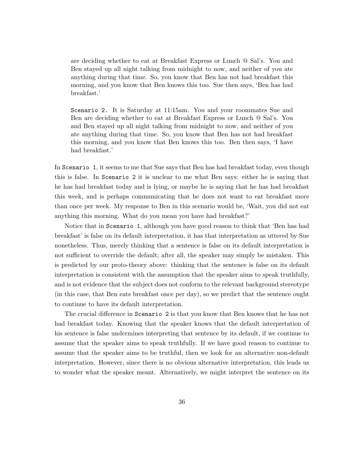are deciding whether to eat at Breakfast Express or Lunch @ Sal's. You and Ben stayed up all night talking from midnight to now, and neither of you ate anything during that time. So, you know that Ben has not had breakfast this morning, and you know that Ben knows this too. Sue then says, 'Ben has had breakfast.'

Scenario 2. It is Saturday at 11:15am. You and your roommates Sue and Ben are deciding whether to eat at Breakfast Express or Lunch @ Sal's. You and Ben stayed up all night talking from midnight to now, and neither of you ate anything during that time. So, you know that Ben has not had breakfast this morning, and you know that Ben knows this too. Ben then says, 'I have had breakfast.'

In Scenario 1, it seems to me that Sue says that Ben has had breakfast today, even though this is false. In Scenario 2 it is unclear to me what Ben says: either he is saying that he has had breakfast today and is lying, or maybe he is saying that he has had breakfast this week, and is perhaps communicating that he does not want to eat breakfast more than once per week. My response to Ben in this scenario would be, 'Wait, you did not eat anything this morning. What do you mean you have had breakfast?'

Notice that in Scenario 1, although you have good reason to think that 'Ben has had breakfast' is false on its default interpretation, it has that interpretation as uttered by Sue nonetheless. Thus, merely thinking that a sentence is false on its default interpretation is not sufficient to override the default; after all, the speaker may simply be mistaken. This is predicted by our proto-theory above: thinking that the sentence is false on its default interpretation is consistent with the assumption that the speaker aims to speak truthfully, and is not evidence that the subject does not conform to the relevant background stereotype (in this case, that Ben eats breakfast once per day), so we predict that the sentence ought to continue to have its default interpretation.

The crucial difference in Scenario 2 is that you know that Ben knows that he has not had breakfast today. Knowing that the speaker knows that the default interpretation of his sentence is false undermines interpreting that sentence by its default, if we continue to assume that the speaker aims to speak truthfully. If we have good reason to continue to assume that the speaker aims to be truthful, then we look for an alternative non-default interpretation. However, since there is no obvious alternative interpretation, this leads us to wonder what the speaker meant. Alternatively, we might interpret the sentence on its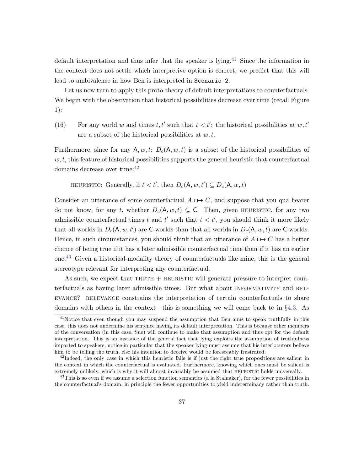default interpretation and thus infer that the speaker is lying.<sup>[41](#page-37-0)</sup> Since the information in the context does not settle which interpretive option is correct, we predict that this will lead to ambivalence in how Ben is interpreted in Scenario 2.

Let us now turn to apply this proto-theory of default interpretations to counterfactuals. We begin with the observation that historical possibilities decrease over time (recall Figure 1):

(16) For any world w and times  $t, t'$  such that  $t < t'$ : the historical possibilities at  $w, t'$ are a subset of the historical possibilities at  $w, t$ .

Furthermore, since for any A, w, t:  $D_c(A, w, t)$  is a subset of the historical possibilities of  $w, t$ , this feature of historical possibilities supports the general heuristic that counterfactual domains decrease over time:  $42$ 

HEURISTIC: Generally, if  $t < t'$ , then  $D_c(A, w, t') \subseteq D_c(A, w, t)$ 

Consider an utterance of some counterfactual  $A \Box B$  C, and suppose that you qua hearer do not know, for any t, whether  $D_c(A, w, t) \subseteq C$ . Then, given HEURISTIC, for any two admissible counterfactual times t and t' such that  $t < t'$ , you should think it more likely that all worlds in  $D_c(A, w, t')$  are C-worlds than that all worlds in  $D_c(A, w, t)$  are C-worlds. Hence, in such circumstances, you should think that an utterance of  $A \Box B$   $C$  has a better chance of being true if it has a later admissible counterfactual time than if it has an earlier one.[43](#page-37-2) Given a historical-modality theory of counterfactuals like mine, this is the general stereotype relevant for interpreting any counterfactual.

As such, we expect that  $TRUTH + HEURISTIC$  will generate pressure to interpret counterfactuals as having later admissible times. But what about informativity and rel-EVANCE? RELEVANCE constrains the interpretation of certain counterfactuals to share domains with others in the context—this is something we will come back to in §[4.3.](#page-46-0) As

<span id="page-37-0"></span><sup>&</sup>lt;sup>41</sup>Notice that even though you may suspend the assumption that Ben aims to speak truthfully in this case, this does not undermine his sentence having its default interpretation. This is because other members of the conversation (in this case, Sue) will continue to make that assumption and thus opt for the default interpretation. This is an instance of the general fact that lying exploits the assumption of truthfulness imparted to speakers; notice in particular that the speaker lying must assume that his interlocutors believe him to be telling the truth, else his intention to deceive would be foreseeably frustrated.

<span id="page-37-1"></span><sup>&</sup>lt;sup>42</sup>Indeed, the only case in which this heuristic fails is if just the right true propositions are salient in the context in which the counterfactual is evaluated. Furthermore, knowing which ones must be salient is extremely unlikely, which is why it will almost invariably be assumed that HEURISTIC holds universally.

<span id="page-37-2"></span><sup>&</sup>lt;sup>43</sup>This is so even if we assume a selection function semantics (a la Stalnaker), for the fewer possibilities in the counterfactual's domain, in principle the fewer opportunities to yield indeterminacy rather than truth.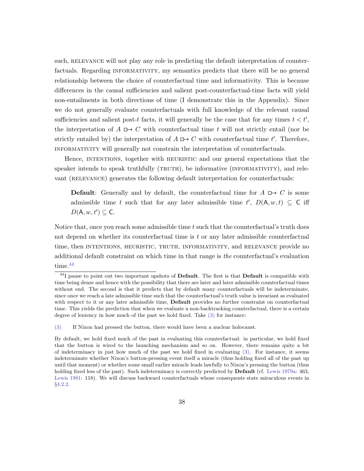such, RELEVANCE will not play any role in predicting the default interpretation of counterfactuals. Regarding INFORMATIVITY, my semantics predicts that there will be no general relationship between the choice of counterfactual time and informativity. This is because differences in the causal sufficiencies and salient post-counterfactual-time facts will yield non-entailments in both directions of time (I demonstrate this in the Appendix). Since we do not generally evaluate counterfactuals with full knowledge of the relevant causal sufficiencies and salient post-t facts, it will generally be the case that for any times  $t < t'$ , the interpretation of  $A \rightharpoonup C$  with counterfactual time t will not strictly entail (nor be strictly entailed by) the interpretation of  $A \mapsto C$  with counterfactual time t'. Therefore, informativity will generally not constrain the interpretation of counterfactuals.

Hence, intentions, together with heuristic and our general expectations that the speaker intends to speak truthfully (TRUTH), be informative (INFORMATIVITY), and relevant (RELEVANCE) generates the following default interpretation for counterfactuals:

**Default:** Generally and by default, the counterfactual time for  $A \rightharpoonup C$  is some admissible time t such that for any later admissible time  $t'$ ,  $D(A, w, t) \subseteq C$  iff  $D(A, w, t') \subseteq C$ .

Notice that, once you reach some admissible time t such that the counterfactual's truth does not depend on whether its counterfactual time is t or any later admissible counterfactual time, then INTENTIONS, HEURISTIC, TRUTH, INFORMATIVITY, and RELEVANCE provide no additional default constraint on which time in that range is the counterfactual's evaluation time.<sup>[44](#page-38-0)</sup>

<span id="page-38-0"></span> $^{44}$ I pause to point out two important upshots of Default. The first is that Default is compatible with time being dense and hence with the possibility that there are later and later admissible counterfactual times without end. The second is that it predicts that by default many counterfactuals will be indeterminate, since once we reach a late admissible time such that the counterfactual's truth value is invariant as evaluated with respect to it or any later admissible time, **Default** provides no further constraint on counterfactual time. This yields the prediction that when we evaluate a non-backtracking counterfactual, there is a certain degree of leniency in how much of the past we hold fixed. Take [\(3\)](#page-7-0) for instance:

[<sup>\(3\)</sup>](#page-7-0) If Nixon had pressed the button, there would have been a nuclear holocaust.

By default, we hold fixed much of the past in evaluating this counterfactual: in particular, we hold fixed that the button is wired to the launching mechanism and so on. However, there remains quite a bit of indeterminacy in just how much of the past we hold fixed in evaluating [\(3\).](#page-7-0) For instance, it seems indeterminate whether Nixon's button-pressing event itself a miracle (thus holding fixed all of the past up until that moment) or whether some small earlier miracle leads lawfully to Nixon's pressing the button (thus holding fixed less of the past). Such indeterminacy is correctly predicted by **Default** (cf. [Lewis](#page-67-1) [1979a:](#page-67-1) 463, [Lewis](#page-67-15) [1981:](#page-67-15) 118). We will discuss backward counterfactuals whose consequents state miraculous events in §[4.2.2.](#page-43-0)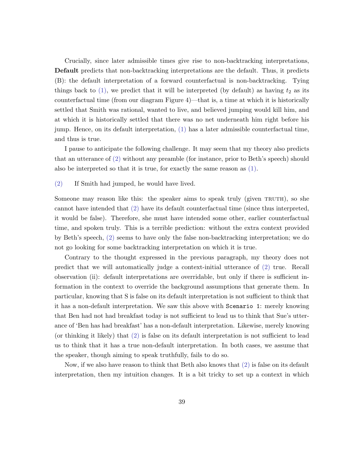Crucially, since later admissible times give rise to non-backtracking interpretations, Default predicts that non-backtracking interpretations are the default. Thus, it predicts (B): the default interpretation of a forward counterfactual is non-backtracking. Tying things back to  $(1)$ , we predict that it will be interpreted (by default) as having  $t_2$  as its counterfactual time (from our diagram Figure 4)—that is, a time at which it is historically settled that Smith was rational, wanted to live, and believed jumping would kill him, and at which it is historically settled that there was no net underneath him right before his jump. Hence, on its default interpretation, [\(1\)](#page-1-0) has a later admissible counterfactual time, and thus is true.

I pause to anticipate the following challenge. It may seem that my theory also predicts that an utterance of [\(2\)](#page-2-1) without any preamble (for instance, prior to Beth's speech) should also be interpreted so that it is true, for exactly the same reason as [\(1\).](#page-1-0)

#### [\(2\)](#page-2-1) If Smith had jumped, he would have lived.

Someone may reason like this: the speaker aims to speak truly (given TRUTH), so she cannot have intended that [\(2\)](#page-2-1) have its default counterfactual time (since thus interpreted, it would be false). Therefore, she must have intended some other, earlier counterfactual time, and spoken truly. This is a terrible prediction: without the extra context provided by Beth's speech, [\(2\)](#page-2-1) seems to have only the false non-backtracking interpretation; we do not go looking for some backtracking interpretation on which it is true.

Contrary to the thought expressed in the previous paragraph, my theory does not predict that we will automatically judge a context-initial utterance of [\(2\)](#page-2-1) true. Recall observation (ii): default interpretations are overridable, but only if there is sufficient information in the context to override the background assumptions that generate them. In particular, knowing that S is false on its default interpretation is not sufficient to think that it has a non-default interpretation. We saw this above with Scenario 1: merely knowing that Ben had not had breakfast today is not sufficient to lead us to think that Sue's utterance of 'Ben has had breakfast' has a non-default interpretation. Likewise, merely knowing (or thinking it likely) that [\(2\)](#page-2-1) is false on its default interpretation is not sufficient to lead us to think that it has a true non-default interpretation. In both cases, we assume that the speaker, though aiming to speak truthfully, fails to do so.

Now, if we also have reason to think that Beth also knows that [\(2\)](#page-2-1) is false on its default interpretation, then my intuition changes. It is a bit tricky to set up a context in which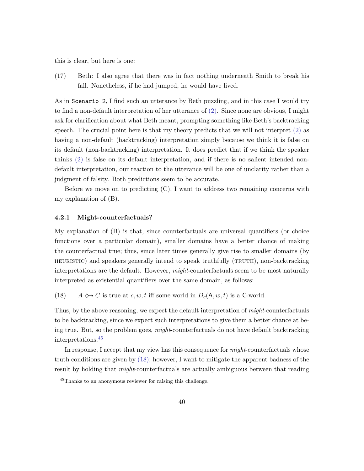this is clear, but here is one:

(17) Beth: I also agree that there was in fact nothing underneath Smith to break his fall. Nonetheless, if he had jumped, he would have lived.

As in Scenario 2, I find such an utterance by Beth puzzling, and in this case I would try to find a non-default interpretation of her utterance of [\(2\).](#page-2-1) Since none are obvious, I might ask for clarification about what Beth meant, prompting something like Beth's backtracking speech. The crucial point here is that my theory predicts that we will not interpret [\(2\)](#page-2-1) as having a non-default (backtracking) interpretation simply because we think it is false on its default (non-backtracking) interpretation. It does predict that if we think the speaker thinks [\(2\)](#page-2-1) is false on its default interpretation, and if there is no salient intended nondefault interpretation, our reaction to the utterance will be one of unclarity rather than a judgment of falsity. Both predictions seem to be accurate.

Before we move on to predicting  $(C)$ , I want to address two remaining concerns with my explanation of (B).

#### 4.2.1 Might-counterfactuals?

My explanation of (B) is that, since counterfactuals are universal quantifiers (or choice functions over a particular domain), smaller domains have a better chance of making the counterfactual true; thus, since later times generally give rise to smaller domains (by heuristic) and speakers generally intend to speak truthfully (truth), non-backtracking interpretations are the default. However, might-counterfactuals seem to be most naturally interpreted as existential quantifiers over the same domain, as follows:

<span id="page-40-1"></span>(18)  $A \leftrightarrow C$  is true at c, w, t iff some world in  $D_c(A, w, t)$  is a C-world.

Thus, by the above reasoning, we expect the default interpretation of *might-counterfactuals* to be backtracking, since we expect such interpretations to give them a better chance at being true. But, so the problem goes, might-counterfactuals do not have default backtracking interpretations.[45](#page-40-0)

In response, I accept that my view has this consequence for *might*-counterfactuals whose truth conditions are given by [\(18\);](#page-40-1) however, I want to mitigate the apparent badness of the result by holding that *might*-counterfactuals are actually ambiguous between that reading

<span id="page-40-0"></span><sup>45</sup>Thanks to an anonymous reviewer for raising this challenge.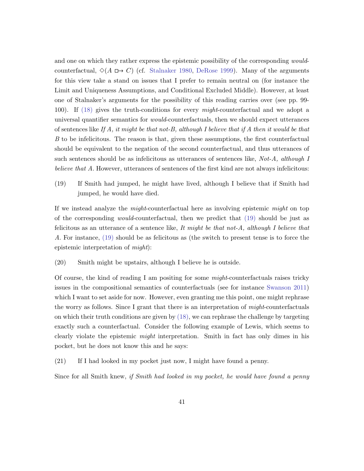and one on which they rather express the epistemic possibility of the corresponding *would*counterfactual,  $\Diamond(A \Box \rightarrow C)$  (cf. [Stalnaker](#page-69-8) [1980,](#page-69-8) [DeRose](#page-64-13) [1999\)](#page-64-13). Many of the arguments for this view take a stand on issues that I prefer to remain neutral on (for instance the Limit and Uniqueness Assumptions, and Conditional Excluded Middle). However, at least one of Stalnaker's arguments for the possibility of this reading carries over (see pp. 99- 100). If [\(18\)](#page-40-1) gives the truth-conditions for every might-counterfactual and we adopt a universal quantifier semantics for would-counterfactuals, then we should expect utterances of sentences like If A, it might be that not-B, although I believe that if A then it would be that B to be infelicitous. The reason is that, given these assumptions, the first counterfactual should be equivalent to the negation of the second counterfactual, and thus utterances of such sentences should be as infelicitous as utterances of sentences like, Not-A, although I believe that A. However, utterances of sentences of the first kind are not always infelicitous:

<span id="page-41-0"></span>(19) If Smith had jumped, he might have lived, although I believe that if Smith had jumped, he would have died.

If we instead analyze the might-counterfactual here as involving epistemic might on top of the corresponding would-counterfactual, then we predict that [\(19\)](#page-41-0) should be just as felicitous as an utterance of a sentence like, It might be that not-A, although I believe that A. For instance, [\(19\)](#page-41-0) should be as felicitous as (the switch to present tense is to force the epistemic interpretation of might):

(20) Smith might be upstairs, although I believe he is outside.

Of course, the kind of reading I am positing for some  $might$ -counterfactuals raises tricky issues in the compositional semantics of counterfactuals (see for instance [Swanson](#page-69-9) [2011\)](#page-69-9) which I want to set aside for now. However, even granting me this point, one might rephrase the worry as follows. Since I grant that there is an interpretation of might-counterfactuals on which their truth conditions are given by  $(18)$ , we can rephrase the challenge by targeting exactly such a counterfactual. Consider the following example of Lewis, which seems to clearly violate the epistemic *might* interpretation. Smith in fact has only dimes in his pocket, but he does not know this and he says:

<span id="page-41-1"></span>(21) If I had looked in my pocket just now, I might have found a penny.

Since for all Smith knew, if Smith had looked in my pocket, he would have found a penny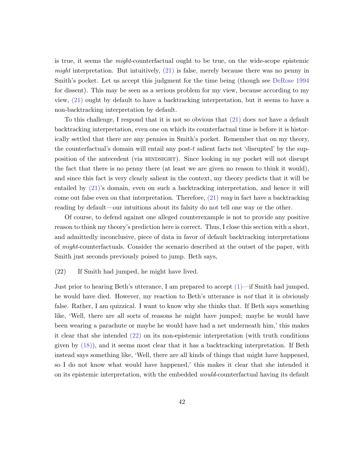is true, it seems the might-counterfactual ought to be true, on the wide-scope epistemic might interpretation. But intuitively,  $(21)$  is false, merely because there was no penny in Smith's pocket. Let us accept this judgment for the time being (though see [DeRose](#page-64-14) [1994](#page-64-14) for dissent). This may be seen as a serious problem for my view, because according to my view, [\(21\)](#page-41-1) ought by default to have a backtracking interpretation, but it seems to have a non-backtracking interpretation by default.

To this challenge, I respond that it is not so obvious that [\(21\)](#page-41-1) does not have a default backtracking interpretation, even one on which its counterfactual time is before it is historically settled that there are any pennies in Smith's pocket. Remember that on my theory, the counterfactual's domain will entail any post-t salient facts not 'disrupted' by the supposition of the antecedent (via HINDSIGHT). Since looking in my pocket will not disrupt the fact that there is no penny there (at least we are given no reason to think it would), and since this fact is very clearly salient in the context, my theory predicts that it will be entailed by [\(21\)'](#page-41-1)s domain, even on such a backtracking interpretation, and hence it will come out false even on that interpretation. Therefore,  $(21)$  may in fact have a backtracking reading by default—our intuitions about its falsity do not tell one way or the other.

Of course, to defend against one alleged counterexample is not to provide any positive reason to think my theory's prediction here is correct. Thus, I close this section with a short, and admittedly inconclusive, piece of data in favor of default backtracking interpretations of might-counterfactuals. Consider the scenario described at the outset of the paper, with Smith just seconds previously poised to jump. Beth says,

#### <span id="page-42-0"></span>(22) If Smith had jumped, he might have lived.

Just prior to hearing Beth's utterance, I am prepared to accept [\(1\)—](#page-1-0)if Smith had jumped, he would have died. However, my reaction to Beth's utterance is not that it is obviously false. Rather, I am quizzical. I want to know why she thinks that. If Beth says something like, 'Well, there are all sorts of reasons he might have jumped; maybe he would have been wearing a parachute or maybe he would have had a net underneath him,' this makes it clear that she intended [\(22\)](#page-42-0) on its non-epistemic interpretation (with truth conditions given by [\(18\)\)](#page-40-1), and it seems most clear that it has a backtracking interpretation. If Beth instead says something like, 'Well, there are all kinds of things that might have happened, so I do not know what would have happened,' this makes it clear that she intended it on its epistemic interpretation, with the embedded would-counterfactual having its default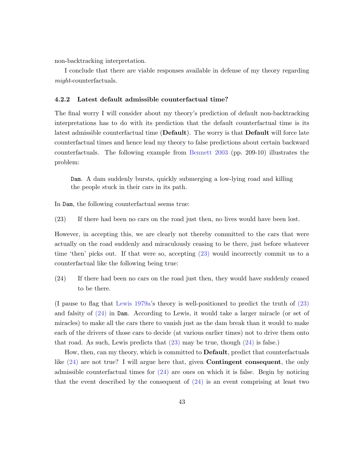non-backtracking interpretation.

I conclude that there are viable responses available in defense of my theory regarding might-counterfactuals.

#### <span id="page-43-0"></span>4.2.2 Latest default admissible counterfactual time?

The final worry I will consider about my theory's prediction of default non-backtracking interpretations has to do with its prediction that the default counterfactual time is its latest admissible counterfactual time (Default). The worry is that Default will force late counterfactual times and hence lead my theory to false predictions about certain backward counterfactuals. The following example from [Bennett](#page-64-1) [2003](#page-64-1) (pp. 209-10) illustrates the problem:

Dam. A dam suddenly bursts, quickly submerging a low-lying road and killing the people stuck in their cars in its path.

<span id="page-43-1"></span>In Dam, the following counterfactual seems true:

(23) If there had been no cars on the road just then, no lives would have been lost.

However, in accepting this, we are clearly not thereby committed to the cars that were actually on the road suddenly and miraculously ceasing to be there, just before whatever time 'then' picks out. If that were so, accepting [\(23\)](#page-43-1) would incorrectly commit us to a counterfactual like the following being true:

<span id="page-43-2"></span>(24) If there had been no cars on the road just then, they would have suddenly ceased to be there.

(I pause to flag that [Lewis](#page-67-1) [1979a'](#page-67-1)s theory is well-positioned to predict the truth of [\(23\)](#page-43-1) and falsity of [\(24\)](#page-43-2) in Dam. According to Lewis, it would take a larger miracle (or set of miracles) to make all the cars there to vanish just as the dam break than it would to make each of the drivers of those cars to decide (at various earlier times) not to drive them onto that road. As such, Lewis predicts that [\(23\)](#page-43-1) may be true, though [\(24\)](#page-43-2) is false.)

How, then, can my theory, which is committed to Default, predict that counterfactuals like [\(24\)](#page-43-2) are not true? I will argue here that, given Contingent consequent, the only admissible counterfactual times for  $(24)$  are ones on which it is false. Begin by noticing that the event described by the consequent of  $(24)$  is an event comprising at least two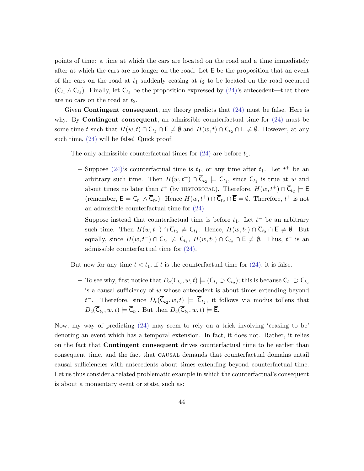points of time: a time at which the cars are located on the road and a time immediately after at which the cars are no longer on the road. Let E be the proposition that an event of the cars on the road at  $t_1$  suddenly ceasing at  $t_2$  to be located on the road occurred  $(C_{t_1} \wedge C_{t_2})$ . Finally, let  $C_{t_2}$  be the proposition expressed by  $(24)$ 's antecedent—that there are no cars on the road at  $t_2$ .

Given **Contingent consequent**, my theory predicts that  $(24)$  must be false. Here is why. By **Contingent consequent**, an admissible counterfactual time for  $(24)$  must be some time t such that  $H(w, t) \cap \overline{C}_{t_2} \cap E \neq \emptyset$  and  $H(w, t) \cap \overline{C}_{t_2} \cap \overline{E} \neq \emptyset$ . However, at any such time, [\(24\)](#page-43-2) will be false! Quick proof:

The only admissible counterfactual times for  $(24)$  are before  $t_1$ .

- Suppose [\(24\)'](#page-43-2)s counterfactual time is  $t_1$ , or any time after  $t_1$ . Let  $t^+$  be an arbitrary such time. Then  $H(w, t^+) \cap \overline{C}_{t_2} \models C_{t_1}$ , since  $C_{t_1}$  is true at w and about times no later than  $t^+$  (by HISTORICAL). Therefore,  $H(w, t^+) \cap \overline{\mathsf{C}}_{t_2} \models \mathsf{E}$ (remember,  $\mathsf{E} = \mathsf{C}_{t_1} \wedge \overline{\mathsf{C}}_{t_2}$ ). Hence  $H(w, t^+) \cap \overline{\mathsf{C}}_{t_2} \cap \overline{\mathsf{E}} = \emptyset$ . Therefore,  $t^+$  is not an admissible counterfactual time for [\(24\).](#page-43-2)
- − Suppose instead that counterfactual time is before  $t_1$ . Let  $t^-$  be an arbitrary such time. Then  $H(w, t^{-}) \cap \overline{C}_{t_2} \not\models C_{t_1}$ . Hence,  $H(w, t_1) \cap \overline{C}_{t_2} \cap \overline{E} \neq \emptyset$ . But equally, since  $H(w, t^{-}) \cap \overline{C}_{t_2} \not\models \overline{C}_{t_1}, H(w, t_1) \cap \overline{C}_{t_2} \cap E \neq \emptyset$ . Thus,  $t^{-}$  is an admissible counterfactual time for [\(24\).](#page-43-2)

But now for any time  $t < t_1$ , if t is the counterfactual time for  $(24)$ , it is false.

− To see why, first notice that  $D_c(\overline{C}_{t_2}, w, t) \models (C_{t_1} \supset C_{t_2})$ ; this is because  $C_{t_1} \supset C_{t_2}$ is a causal sufficiency of  $w$  whose antecedent is about times extending beyond  $t^{-}$ . Therefore, since  $D_c(\overline{\mathsf{C}}_{t_2}, w, t) \models \overline{\mathsf{C}}_{t_2}$ , it follows via modus tollens that  $D_c(C_{t_2}, w, t) \models C_{t_1}$ . But then  $D_c(C_{t_2}, w, t) \models E$ .

<span id="page-44-0"></span>Now, my way of predicting [\(24\)](#page-43-2) may seem to rely on a trick involving 'ceasing to be' denoting an event which has a temporal extension. In fact, it does not. Rather, it relies on the fact that Contingent consequent drives counterfactual time to be earlier than consequent time, and the fact that causal demands that counterfactual domains entail causal sufficiencies with antecedents about times extending beyond counterfactual time. Let us thus consider a related problematic example in which the counterfactual's consequent is about a momentary event or state, such as: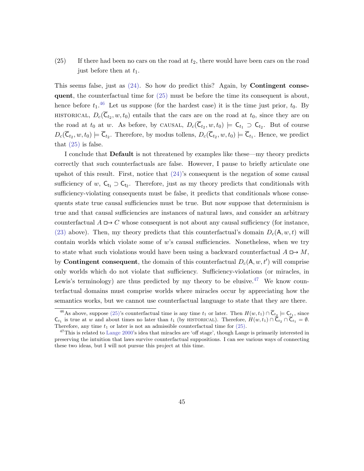## $(25)$  If there had been no cars on the road at  $t_2$ , there would have been cars on the road just before then at  $t_1$ .

This seems false, just as  $(24)$ . So how do predict this? Again, by **Contingent conse**quent, the counterfactual time for  $(25)$  must be before the time its consequent is about, hence before  $t_1$ .<sup>[46](#page-45-0)</sup> Let us suppose (for the hardest case) it is the time just prior,  $t_0$ . By HISTORICAL,  $D_c(\overline{C}_{t_2}, w, t_0)$  entails that the cars are on the road at  $t_0$ , since they are on the road at  $t_0$  at w. As before, by CAUSAL,  $D_c(\overline{C}_{t_2}, w, t_0) \models C_{t_1} \supset C_{t_2}$ . But of course  $D_c(\mathsf{C}_{t_2}, w, t_0) \models \mathsf{C}_{t_2}$ . Therefore, by modus tollens,  $D_c(\mathsf{C}_{t_2}, w, t_0) \models \mathsf{C}_{t_1}$ . Hence, we predict that  $(25)$  is false.

I conclude that Default is not threatened by examples like these—my theory predicts correctly that such counterfactuals are false. However, I pause to briefly articulate one upshot of this result. First, notice that  $(24)$ 's consequent is the negation of some causal sufficiency of w,  $C_{t_1} \supset C_{t_2}$ . Therefore, just as my theory predicts that conditionals with sufficiency-violating consequents must be false, it predicts that conditionals whose consequents state true causal sufficiencies must be true. But now suppose that determinism is true and that causal sufficiencies are instances of natural laws, and consider an arbitrary counterfactual  $A \mapsto C$  whose consequent is not about any causal sufficiency (for instance, [\(23\)](#page-43-1) above). Then, my theory predicts that this counterfactual's domain  $D_c(A, w, t)$  will contain worlds which violate some of w's causal sufficiencies. Nonetheless, when we try to state what such violations would have been using a backward counterfactual  $A \rightharpoonup M$ , by **Contingent consequent**, the domain of this counterfactual  $D_c(A, w, t')$  will comprise only worlds which do not violate that sufficiency. Sufficiency-violations (or miracles, in Lewis's terminology) are thus predicted by my theory to be elusive.<sup>[47](#page-45-1)</sup> We know counterfactual domains must comprise worlds where miracles occur by appreciating how the semantics works, but we cannot use counterfactual language to state that they are there.

<span id="page-45-0"></span><sup>&</sup>lt;sup>46</sup>As above, suppose [\(25\)'](#page-44-0)s counterfactual time is any time  $t_1$  or later. Then  $H(w, t_1) \cap \overline{C}_{t_2} \models C_{t_1}$ , since  $\mathsf{C}_{t_1}$  is true at w and about times no later than  $t_1$  (by HISTORICAL). Therefore,  $H(w, t_1) \cap \overline{\mathsf{C}}_{t_2} \cap \overline{\mathsf{C}}_{t_1} = \emptyset$ . Therefore, any time  $t_1$  or later is not an admissible counterfactual time for  $(25)$ .

<span id="page-45-1"></span><sup>&</sup>lt;sup>47</sup>This is related to [Lange](#page-67-16) [2000'](#page-67-16)s idea that miracles are 'off stage', though Lange is primarily interested in preserving the intuition that laws survive counterfactual suppositions. I can see various ways of connecting these two ideas, but I will not pursue this project at this time.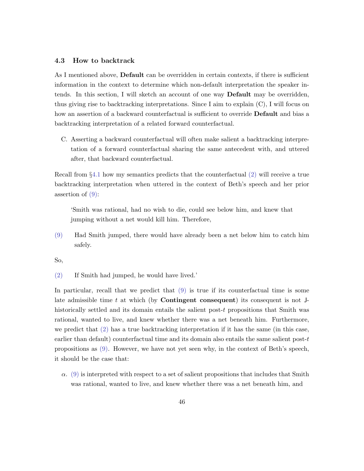#### <span id="page-46-0"></span>4.3 How to backtrack

As I mentioned above, Default can be overridden in certain contexts, if there is sufficient information in the context to determine which non-default interpretation the speaker intends. In this section, I will sketch an account of one way Default may be overridden, thus giving rise to backtracking interpretations. Since I aim to explain (C), I will focus on how an assertion of a backward counterfactual is sufficient to override **Default** and bias a backtracking interpretation of a related forward counterfactual.

C. Asserting a backward counterfactual will often make salient a backtracking interpretation of a forward counterfactual sharing the same antecedent with, and uttered after, that backward counterfactual.

Recall from §[4.1](#page-29-1) how my semantics predicts that the counterfactual [\(2\)](#page-2-1) will receive a true backtracking interpretation when uttered in the context of Beth's speech and her prior assertion of  $(9)$ :

'Smith was rational, had no wish to die, could see below him, and knew that jumping without a net would kill him. Therefore,

[\(9\)](#page-20-0) Had Smith jumped, there would have already been a net below him to catch him safely.

So,

[\(2\)](#page-2-1) If Smith had jumped, he would have lived.'

In particular, recall that we predict that [\(9\)](#page-20-0) is true if its counterfactual time is some late admissible time t at which (by **Contingent consequent**) its consequent is not  $J$ historically settled and its domain entails the salient post-t propositions that Smith was rational, wanted to live, and knew whether there was a net beneath him. Furthermore, we predict that  $(2)$  has a true backtracking interpretation if it has the same (in this case, earlier than default) counterfactual time and its domain also entails the same salient post- $t$ propositions as [\(9\).](#page-20-0) However, we have not yet seen why, in the context of Beth's speech, it should be the case that:

 $\alpha$ . [\(9\)](#page-20-0) is interpreted with respect to a set of salient propositions that includes that Smith was rational, wanted to live, and knew whether there was a net beneath him, and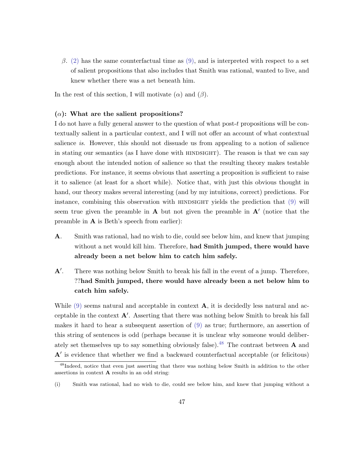β. [\(2\)](#page-2-1) has the same counterfactual time as [\(9\),](#page-20-0) and is interpreted with respect to a set of salient propositions that also includes that Smith was rational, wanted to live, and knew whether there was a net beneath him.

In the rest of this section, I will motivate  $(\alpha)$  and  $(\beta)$ .

#### $(\alpha)$ : What are the salient propositions?

I do not have a fully general answer to the question of what post-t propositions will be contextually salient in a particular context, and I will not offer an account of what contextual salience is. However, this should not dissuade us from appealing to a notion of salience in stating our semantics (as I have done with HINDSIGHT). The reason is that we can say enough about the intended notion of salience so that the resulting theory makes testable predictions. For instance, it seems obvious that asserting a proposition is sufficient to raise it to salience (at least for a short while). Notice that, with just this obvious thought in hand, our theory makes several interesting (and by my intuitions, correct) predictions. For instance, combining this observation with HINDSIGHT yields the prediction that  $(9)$  will seem true given the preamble in  $A$  but not given the preamble in  $A'$  (notice that the preamble in A is Beth's speech from earlier):

- A. Smith was rational, had no wish to die, could see below him, and knew that jumping without a net would kill him. Therefore, had Smith jumped, there would have already been a net below him to catch him safely.
- $A^{\prime}$ . . There was nothing below Smith to break his fall in the event of a jump. Therefore, ??had Smith jumped, there would have already been a net below him to catch him safely.

While  $(9)$  seems natural and acceptable in context  $\bf{A}$ , it is decidedly less natural and acceptable in the context  $A'$ . Asserting that there was nothing below Smith to break his fall makes it hard to hear a subsequent assertion of [\(9\)](#page-20-0) as true; furthermore, an assertion of this string of sentences is odd (perhaps because it is unclear why someone would deliber-ately set themselves up to say something obviously false).<sup>[48](#page-47-0)</sup> The contrast between  $\bf{A}$  and  $A'$  is evidence that whether we find a backward counterfactual acceptable (or felicitous)

<span id="page-47-0"></span><sup>&</sup>lt;sup>48</sup>Indeed, notice that even just asserting that there was nothing below Smith in addition to the other assertions in context A results in an odd string:

<sup>(</sup>i) Smith was rational, had no wish to die, could see below him, and knew that jumping without a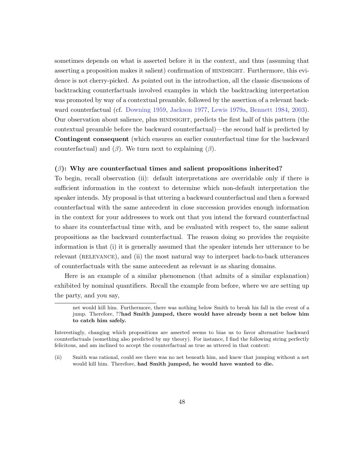sometimes depends on what is asserted before it in the context, and thus (assuming that asserting a proposition makes it salient) confirmation of HINDSIGHT. Furthermore, this evi-dence is not cherry-picked. As pointed out in the introduction, all the classic discussions of backtracking counterfactuals involved examples in which the backtracking interpretation was promoted by way of a contextual preamble, followed by the assertion of a relevant backward counterfactual (cf. [Downing](#page-65-0) [1959,](#page-65-0) [Jackson](#page-66-0) [1977,](#page-66-0) [Lewis](#page-67-1) [1979a,](#page-67-1) [Bennett](#page-64-0) [1984,](#page-64-0) [2003\)](#page-64-1). Our observation about salience, plus hindsight, predicts the first half of this pattern (the contextual preamble before the backward counterfactual)—the second half is predicted by Contingent consequent (which ensures an earlier counterfactual time for the backward counterfactual) and  $(\beta)$ . We turn next to explaining  $(\beta)$ .

## $(\beta)$ : Why are counterfactual times and salient propositions inherited?

To begin, recall observation (ii): default interpretations are overridable only if there is sufficient information in the context to determine which non-default interpretation the speaker intends. My proposal is that uttering a backward counterfactual and then a forward counterfactual with the same antecedent in close succession provides enough information in the context for your addressees to work out that you intend the forward counterfactual to share its counterfactual time with, and be evaluated with respect to, the same salient propositions as the backward counterfactual. The reason doing so provides the requisite information is that (i) it is generally assumed that the speaker intends her utterance to be relevant (RELEVANCE), and (ii) the most natural way to interpret back-to-back utterances of counterfactuals with the same antecedent as relevant is as sharing domains.

Here is an example of a similar phenomenon (that admits of a similar explanation) exhibited by nominal quantifiers. Recall the example from before, where we are setting up the party, and you say,

net would kill him. Furthermore, there was nothing below Smith to break his fall in the event of a jump. Therefore, ??had Smith jumped, there would have already been a net below him to catch him safely.

Interestingly, changing which propositions are asserted seems to bias us to favor alternative backward counterfactuals (something also predicted by my theory). For instance, I find the following string perfectly felicitous, and am inclined to accept the counterfactual as true as uttered in that context:

<sup>(</sup>ii) Smith was rational, could see there was no net beneath him, and knew that jumping without a net would kill him. Therefore, had Smith jumped, he would have wanted to die.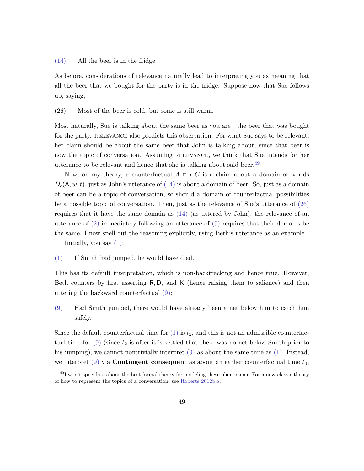[\(14\)](#page-33-1) All the beer is in the fridge.

As before, considerations of relevance naturally lead to interpreting you as meaning that all the beer that we bought for the party is in the fridge. Suppose now that Sue follows up, saying,

<span id="page-49-1"></span>(26) Most of the beer is cold, but some is still warm.

Most naturally, Sue is talking about the same beer as you are—the beer that was bought for the party. RELEVANCE also predicts this observation. For what Sue says to be relevant, her claim should be about the same beer that John is talking about, since that beer is now the topic of conversation. Assuming RELEVANCE, we think that Sue intends for her utterance to be relevant and hence that she is talking about said beer.<sup>[49](#page-49-0)</sup>

Now, on my theory, a counterfactual  $A \mapsto C$  is a claim about a domain of worlds  $D_c(A, w, t)$ , just as John's utterance of [\(14\)](#page-33-1) is about a domain of beer. So, just as a domain of beer can be a topic of conversation, so should a domain of counterfactual possibilities be a possible topic of conversation. Then, just as the relevance of Sue's utterance of [\(26\)](#page-49-1) requires that it have the same domain as [\(14\)](#page-33-1) (as uttered by John), the relevance of an utterance of [\(2\)](#page-2-1) immediately following an utterance of [\(9\)](#page-20-0) requires that their domains be the same. I now spell out the reasoning explicitly, using Beth's utterance as an example.

Initially, you say  $(1)$ :

[\(1\)](#page-1-0) If Smith had jumped, he would have died.

This has its default interpretation, which is non-backtracking and hence true. However, Beth counters by first asserting R, D, and K (hence raising them to salience) and then uttering the backward counterfactual [\(9\):](#page-20-0)

[\(9\)](#page-20-0) Had Smith jumped, there would have already been a net below him to catch him safely.

Since the default counterfactual time for  $(1)$  is  $t_2$ , and this is not an admissible counterfactual time for  $(9)$  (since  $t_2$  is after it is settled that there was no net below Smith prior to his jumping), we cannot nontrivially interpret [\(9\)](#page-20-0) as about the same time as [\(1\).](#page-1-0) Instead, we interpret  $(9)$  via **Contingent consequent** as about an earlier counterfactual time  $t_0$ ,

<span id="page-49-0"></span> $^{49}$ I won't speculate about the best formal theory for modeling these phenomena. For a now-classic theory of how to represent the topics of a conversation, see [Roberts](#page-69-14) [2012b,](#page-69-14)[a.](#page-69-15)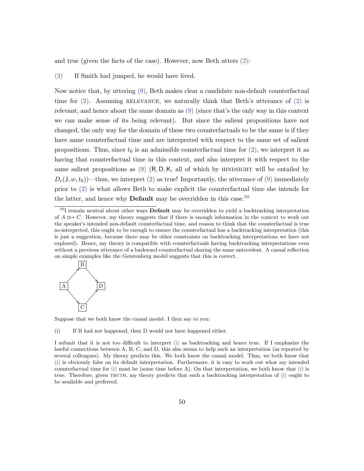and true (given the facts of the case). However, now Beth utters [\(2\):](#page-2-1)

[\(2\)](#page-2-1) If Smith had jumped, he would have lived.

Now notice that, by uttering [\(9\),](#page-20-0) Beth makes clear a candidate non-default counterfactual time for  $(2)$ . Assuming RELEVANCE, we naturally think that Beth's utterance of  $(2)$  is relevant, and hence about the same domain as [\(9\)](#page-20-0) (since that's the only way in this context we can make sense of its being relevant). But since the salient propositions have not changed, the only way for the domain of these two counterfactuals to be the same is if they have same counterfactual time and are interpreted with respect to the same set of salient propositions. Thus, since  $t_0$  is an admissible counterfactual time for  $(2)$ , we interpret it as having that counterfactual time in this context, and also interpret it with respect to the same salient propositions as  $(9)$  (R, D, K, all of which by HINDSIGHT will be entailed by  $D_c(J, w, t_0)$ —thus, we interpret [\(2\)](#page-2-1) as true! Importantly, the utterance of [\(9\)](#page-20-0) immediately prior to [\(2\)](#page-2-1) is what allows Beth to make explicit the counterfactual time she intends for the latter, and hence why **Default** may be overridden in this case.<sup>[50](#page-50-0)</sup>

<span id="page-50-0"></span><sup>&</sup>lt;sup>50</sup>I remain neutral about other ways **Default** may be overridden to yield a backtracking interpretation of  $A \rightharpoonup C$ . However, my theory suggests that if there is enough information in the context to work out the speaker's intended non-default counterfactual time, and reason to think that the counterfactual is true so-interpreted, this ought to be enough to ensure the counterfactual has a backtracking interpretation (this is just a suggestion, because there may be other constraints on backtracking interpretations we have not explored). Hence, my theory is compatible with counterfactuals having backtracking interpretations even without a previous utterance of a backward counterfactual sharing the same antecedent. A casual reflection on simple examples like the Gerstenberg model suggests that this is correct.



<span id="page-50-1"></span>Suppose that we both know the causal model. I then say to you:

(i) If B had not happened, then D would not have happened either.

I submit that it is not too difficult to interpret [\(i\)](#page-50-1) as backtracking and hence true. If I emphasize the lawful connections between A, B, C, and D, this also seems to help such an interpretation (as reported by several colleagues). My theory predicts this. We both know the causal model. Thus, we both know that [\(i\)](#page-50-1) is obviously false on its default interpretation. Furthermore, it is easy to work out what my intended counterfactual time for [\(i\)](#page-50-1) must be (some time before A). On that interpretation, we both know that [\(i\)](#page-50-1) is true. Therefore, given truth, my theory predicts that such a backtracking interpretation of [\(i\)](#page-50-1) ought to be available and preferred.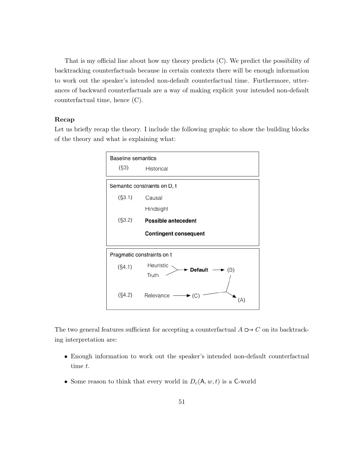That is my official line about how my theory predicts (C). We predict the possibility of backtracking counterfactuals because in certain contexts there will be enough information to work out the speaker's intended non-default counterfactual time. Furthermore, utterances of backward counterfactuals are a way of making explicit your intended non-default counterfactual time, hence (C).

## Recap

Let us briefly recap the theory. I include the following graphic to show the building blocks of the theory and what is explaining what:



The two general features sufficient for accepting a counterfactual  $A \Box \rightarrow C$  on its backtracking interpretation are:

- Enough information to work out the speaker's intended non-default counterfactual time t.
- Some reason to think that every world in  $D_c(\mathsf{A}, w, t)$  is a C-world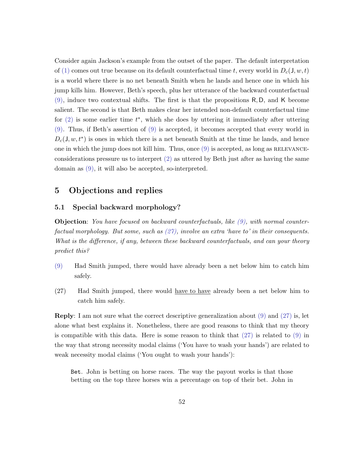Consider again Jackson's example from the outset of the paper. The default interpretation of [\(1\)](#page-1-0) comes out true because on its default counterfactual time t, every world in  $D_c(J, w, t)$ is a world where there is no net beneath Smith when he lands and hence one in which his jump kills him. However, Beth's speech, plus her utterance of the backward counterfactual [\(9\),](#page-20-0) induce two contextual shifts. The first is that the propositions R, D, and K become salient. The second is that Beth makes clear her intended non-default counterfactual time for  $(2)$  is some earlier time  $t^*$ , which she does by uttering it immediately after uttering [\(9\).](#page-20-0) Thus, if Beth's assertion of [\(9\)](#page-20-0) is accepted, it becomes accepted that every world in  $D_c(J, w, t^*)$  is ones in which there is a net beneath Smith at the time he lands, and hence one in which the jump does not kill him. Thus, once  $(9)$  is accepted, as long as RELEVANCEconsiderations pressure us to interpret  $(2)$  as uttered by Beth just after as having the same domain as [\(9\),](#page-20-0) it will also be accepted, so-interpreted.

## <span id="page-52-0"></span>5 Objections and replies

## <span id="page-52-1"></span>5.1 Special backward morphology?

**Objection:** You have focused on backward counterfactuals, like  $(9)$ , with normal counterfactual morphology. But some, such as  $(27)$ , involve an extra 'have to' in their consequents. What is the difference, if any, between these backward counterfactuals, and can your theory predict this?

- [\(9\)](#page-20-0) Had Smith jumped, there would have already been a net below him to catch him safely.
- <span id="page-52-2"></span>(27) Had Smith jumped, there would have to have already been a net below him to catch him safely.

Reply: I am not sure what the correct descriptive generalization about [\(9\)](#page-20-0) and [\(27\)](#page-52-2) is, let alone what best explains it. Nonetheless, there are good reasons to think that my theory is compatible with this data. Here is some reason to think that  $(27)$  is related to  $(9)$  in the way that strong necessity modal claims ('You have to wash your hands') are related to weak necessity modal claims ('You ought to wash your hands'):

Bet. John is betting on horse races. The way the payout works is that those betting on the top three horses win a percentage on top of their bet. John in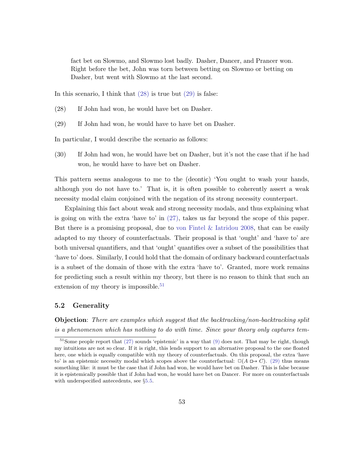fact bet on Slowmo, and Slowmo lost badly. Dasher, Dancer, and Prancer won. Right before the bet, John was torn between betting on Slowmo or betting on Dasher, but went with Slowmo at the last second.

<span id="page-53-0"></span>In this scenario, I think that  $(28)$  is true but  $(29)$  is false:

- (28) If John had won, he would have bet on Dasher.
- <span id="page-53-1"></span>(29) If John had won, he would have to have bet on Dasher.

In particular, I would describe the scenario as follows:

(30) If John had won, he would have bet on Dasher, but it's not the case that if he had won, he would have to have bet on Dasher.

This pattern seems analogous to me to the (deontic) 'You ought to wash your hands, although you do not have to.' That is, it is often possible to coherently assert a weak necessity modal claim conjoined with the negation of its strong necessity counterpart.

Explaining this fact about weak and strong necessity modals, and thus explaining what is going on with the extra 'have to' in [\(27\),](#page-52-2) takes us far beyond the scope of this paper. But there is a promising proposal, due to von Fintel  $\&$  Iatridou [2008,](#page-65-13) that can be easily adapted to my theory of counterfactuals. Their proposal is that 'ought' and 'have to' are both universal quantifiers, and that 'ought' quantifies over a subset of the possibilities that 'have to' does. Similarly, I could hold that the domain of ordinary backward counterfactuals is a subset of the domain of those with the extra 'have to'. Granted, more work remains for predicting such a result within my theory, but there is no reason to think that such an extension of my theory is impossible.<sup>[51](#page-53-2)</sup>

## 5.2 Generality

Objection: There are examples which suggest that the backtracking/non-backtracking split is a phenomenon which has nothing to do with time. Since your theory only captures tem-

<span id="page-53-2"></span> $51$ Some people report that [\(27\)](#page-52-2) sounds 'epistemic' in a way that [\(9\)](#page-20-0) does not. That may be right, though my intuitions are not so clear. If it is right, this lends support to an alternative proposal to the one floated here, one which is equally compatible with my theory of counterfactuals. On this proposal, the extra 'have to' is an epistemic necessity modal which scopes above the counterfactual:  $\Box(A \Box B)$  thus means something like: it must be the case that if John had won, he would have bet on Dasher. This is false because it is epistemically possible that if John had won, he would have bet on Dancer. For more on counterfactuals with underspecified antecedents, see  $\S 5.5$ .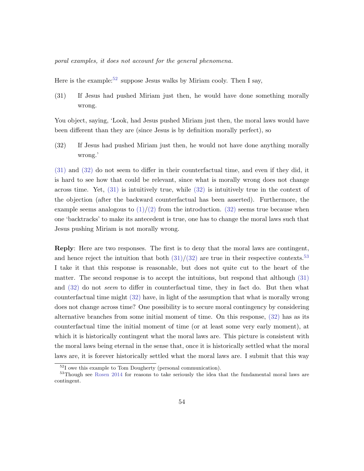poral examples, it does not account for the general phenomena.

<span id="page-54-1"></span>Here is the example:<sup>[52](#page-54-0)</sup> suppose Jesus walks by Miriam cooly. Then I say,

(31) If Jesus had pushed Miriam just then, he would have done something morally wrong.

You object, saying, 'Look, had Jesus pushed Miriam just then, the moral laws would have been different than they are (since Jesus is by definition morally perfect), so

<span id="page-54-2"></span>(32) If Jesus had pushed Miriam just then, he would not have done anything morally wrong.'

[\(31\)](#page-54-1) and [\(32\)](#page-54-2) do not seem to differ in their counterfactual time, and even if they did, it is hard to see how that could be relevant, since what is morally wrong does not change across time. Yet, [\(31\)](#page-54-1) is intuitively true, while [\(32\)](#page-54-2) is intuitively true in the context of the objection (after the backward counterfactual has been asserted). Furthermore, the example seems analogous to  $(1)/(2)$  $(1)/(2)$  from the introduction. [\(32\)](#page-54-2) seems true because when one 'backtracks' to make its antecedent is true, one has to change the moral laws such that Jesus pushing Miriam is not morally wrong.

Reply: Here are two responses. The first is to deny that the moral laws are contingent, and hence reject the intuition that both  $(31)/(32)$  $(31)/(32)$  are true in their respective contexts.<sup>[53](#page-54-3)</sup> I take it that this response is reasonable, but does not quite cut to the heart of the matter. The second response is to accept the intuitions, but respond that although [\(31\)](#page-54-1) and [\(32\)](#page-54-2) do not seem to differ in counterfactual time, they in fact do. But then what counterfactual time might [\(32\)](#page-54-2) have, in light of the assumption that what is morally wrong does not change across time? One possibility is to secure moral contingency by considering alternative branches from some initial moment of time. On this response, [\(32\)](#page-54-2) has as its counterfactual time the initial moment of time (or at least some very early moment), at which it is historically contingent what the moral laws are. This picture is consistent with the moral laws being eternal in the sense that, once it is historically settled what the moral laws are, it is forever historically settled what the moral laws are. I submit that this way

<span id="page-54-3"></span><span id="page-54-0"></span> $52$ I owe this example to Tom Dougherty (personal communication).

<sup>53</sup>Though see [Rosen](#page-69-16) [2014](#page-69-16) for reasons to take seriously the idea that the fundamental moral laws are contingent.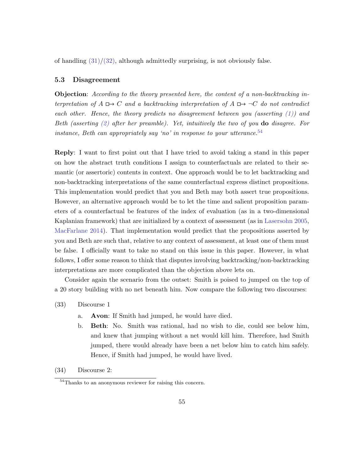of handling  $(31)/(32)$  $(31)/(32)$ , although admittedly surprising, is not obviously false.

#### 5.3 Disagreement

Objection: According to the theory presented here, the content of a non-backtracking interpretation of  $A \rightharpoonup C$  and a backtracking interpretation of  $A \rightharpoonup C$  do not contradict each other. Hence, the theory predicts no disagreement between you (asserting  $(1)$ ) and Beth (asserting  $(2)$  after her preamble). Yet, intuitively the two of you **do** disagree. For instance, Beth can appropriately say 'no' in response to your utterance.<sup>[54](#page-55-0)</sup>

Reply: I want to first point out that I have tried to avoid taking a stand in this paper on how the abstract truth conditions I assign to counterfactuals are related to their semantic (or assertoric) contents in context. One approach would be to let backtracking and non-backtracking interpretations of the same counterfactual express distinct propositions. This implementation would predict that you and Beth may both assert true propositions. However, an alternative approach would be to let the time and salient proposition parameters of a counterfactual be features of the index of evaluation (as in a two-dimensional Kaplanian framework) that are initialized by a context of assessment (as in [Lasersohn](#page-67-17) [2005,](#page-67-17) [MacFarlane](#page-68-15) [2014\)](#page-68-15). That implementation would predict that the propositions asserted by you and Beth are such that, relative to any context of assessment, at least one of them must be false. I officially want to take no stand on this issue in this paper. However, in what follows, I offer some reason to think that disputes involving backtracking/non-backtracking interpretations are more complicated than the objection above lets on.

Consider again the scenario from the outset: Smith is poised to jumped on the top of a 20 story building with no net beneath him. Now compare the following two discourses:

- (33) Discourse 1
	- a. Avon: If Smith had jumped, he would have died.
	- b. Beth: No. Smith was rational, had no wish to die, could see below him, and knew that jumping without a net would kill him. Therefore, had Smith jumped, there would already have been a net below him to catch him safely. Hence, if Smith had jumped, he would have lived.
- (34) Discourse 2:

<span id="page-55-0"></span><sup>54</sup>Thanks to an anonymous reviewer for raising this concern.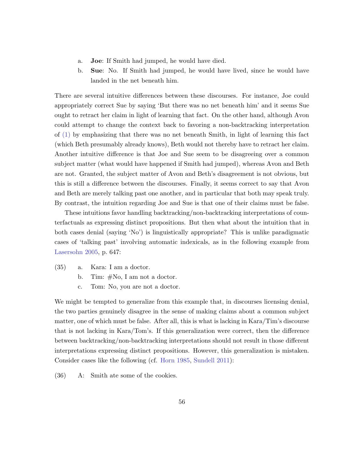- a. Joe: If Smith had jumped, he would have died.
- b. Sue: No. If Smith had jumped, he would have lived, since he would have landed in the net beneath him.

There are several intuitive differences between these discourses. For instance, Joe could appropriately correct Sue by saying 'But there was no net beneath him' and it seems Sue ought to retract her claim in light of learning that fact. On the other hand, although Avon could attempt to change the context back to favoring a non-backtracking interpretation of [\(1\)](#page-1-0) by emphasizing that there was no net beneath Smith, in light of learning this fact (which Beth presumably already knows), Beth would not thereby have to retract her claim. Another intuitive difference is that Joe and Sue seem to be disagreeing over a common subject matter (what would have happened if Smith had jumped), whereas Avon and Beth are not. Granted, the subject matter of Avon and Beth's disagreement is not obvious, but this is still a difference between the discourses. Finally, it seems correct to say that Avon and Beth are merely talking past one another, and in particular that both may speak truly. By contrast, the intuition regarding Joe and Sue is that one of their claims must be false.

These intuitions favor handling backtracking/non-backtracking interpretations of counterfactuals as expressing distinct propositions. But then what about the intuition that in both cases denial (saying 'No') is linguistically appropriate? This is unlike paradigmatic cases of 'talking past' involving automatic indexicals, as in the following example from [Lasersohn](#page-67-17) [2005,](#page-67-17) p. 647:

- (35) a. Kara: I am a doctor.
	- b. Tim: #No, I am not a doctor.
	- c. Tom: No, you are not a doctor.

We might be tempted to generalize from this example that, in discourses licensing denial, the two parties genuinely disagree in the sense of making claims about a common subject matter, one of which must be false. After all, this is what is lacking in Kara/Tim's discourse that is not lacking in Kara/Tom's. If this generalization were correct, then the difference between backtracking/non-backtracking interpretations should not result in those different interpretations expressing distinct propositions. However, this generalization is mistaken. Consider cases like the following (cf. [Horn](#page-66-16) [1985,](#page-66-16) [Sundell](#page-69-17) [2011\)](#page-69-17):

(36) A: Smith ate some of the cookies.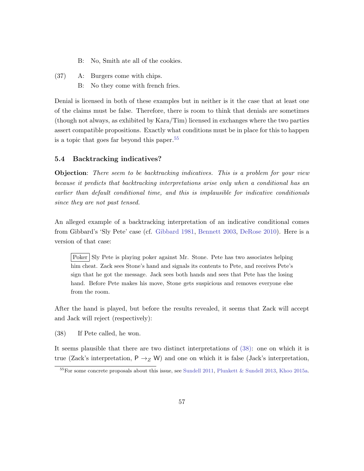- B: No, Smith ate all of the cookies.
- (37) A: Burgers come with chips.
	- B: No they come with french fries.

Denial is licensed in both of these examples but in neither is it the case that at least one of the claims must be false. Therefore, there is room to think that denials are sometimes (though not always, as exhibited by Kara/Tim) licensed in exchanges where the two parties assert compatible propositions. Exactly what conditions must be in place for this to happen is a topic that goes far beyond this paper.[55](#page-57-0)

### 5.4 Backtracking indicatives?

**Objection:** There seem to be backtracking indicatives. This is a problem for your view because it predicts that backtracking interpretations arise only when a conditional has an earlier than default conditional time, and this is implausible for indicative conditionals since they are not past tensed.

An alleged example of a backtracking interpretation of an indicative conditional comes from Gibbard's 'Sly Pete' case (cf. [Gibbard](#page-66-5) [1981,](#page-66-5) [Bennett](#page-64-1) [2003,](#page-64-1) [DeRose](#page-64-15) [2010\)](#page-64-15). Here is a version of that case:

Poker Sly Pete is playing poker against Mr. Stone. Pete has two associates helping him cheat. Zack sees Stone's hand and signals its contents to Pete, and receives Pete's sign that he got the message. Jack sees both hands and sees that Pete has the losing hand. Before Pete makes his move, Stone gets suspicious and removes everyone else from the room.

After the hand is played, but before the results revealed, it seems that Zack will accept and Jack will reject (respectively):

<span id="page-57-1"></span>(38) If Pete called, he won.

It seems plausible that there are two distinct interpretations of [\(38\):](#page-57-1) one on which it is true (Zack's interpretation,  $P \rightarrow Z W$ ) and one on which it is false (Jack's interpretation,

<span id="page-57-0"></span><sup>55</sup>For some concrete proposals about this issue, see [Sundell](#page-69-17) [2011,](#page-69-17) [Plunkett & Sundell](#page-68-16) [2013,](#page-68-16) [Khoo](#page-66-17) [2015a.](#page-66-17)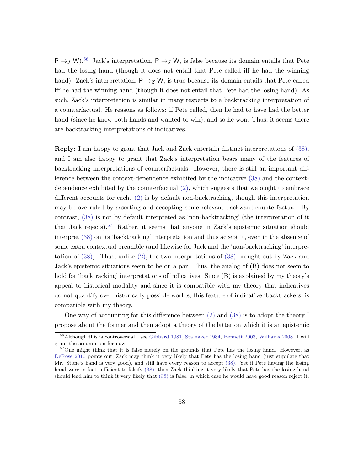P  $\rightarrow$  J W).<sup>[56](#page-58-0)</sup> Jack's interpretation, P  $\rightarrow$  J W, is false because its domain entails that Pete had the losing hand (though it does not entail that Pete called iff he had the winning hand). Zack's interpretation,  $P \rightarrow Z W$ , is true because its domain entails that Pete called iff he had the winning hand (though it does not entail that Pete had the losing hand). As such, Zack's interpretation is similar in many respects to a backtracking interpretation of a counterfactual. He reasons as follows: if Pete called, then he had to have had the better hand (since he knew both hands and wanted to win), and so he won. Thus, it seems there are backtracking interpretations of indicatives.

Reply: I am happy to grant that Jack and Zack entertain distinct interpretations of [\(38\),](#page-57-1) and I am also happy to grant that Zack's interpretation bears many of the features of backtracking interpretations of counterfactuals. However, there is still an important difference between the context-dependence exhibited by the indicative [\(38\)](#page-57-1) and the contextdependence exhibited by the counterfactual [\(2\),](#page-2-1) which suggests that we ought to embrace different accounts for each. [\(2\)](#page-2-1) is by default non-backtracking, though this interpretation may be overruled by asserting and accepting some relevant backward counterfactual. By contrast, [\(38\)](#page-57-1) is not by default interpreted as 'non-backtracking' (the interpretation of it that Jack rejects).<sup>[57](#page-58-1)</sup> Rather, it seems that anyone in Zack's epistemic situation should interpret [\(38\)](#page-57-1) on its 'backtracking' interpretation and thus accept it, even in the absence of some extra contextual preamble (and likewise for Jack and the 'non-backtracking' interpretation of [\(38\)\)](#page-57-1). Thus, unlike [\(2\),](#page-2-1) the two interpretations of [\(38\)](#page-57-1) brought out by Zack and Jack's epistemic situations seem to be on a par. Thus, the analog of (B) does not seem to hold for 'backtracking' interpretations of indicatives. Since (B) is explained by my theory's appeal to historical modality and since it is compatible with my theory that indicatives do not quantify over historically possible worlds, this feature of indicative 'backtrackers' is compatible with my theory.

One way of accounting for this difference between [\(2\)](#page-2-1) and [\(38\)](#page-57-1) is to adopt the theory I propose about the former and then adopt a theory of the latter on which it is an epistemic

<span id="page-58-0"></span><sup>56</sup>Although this is controversial—see [Gibbard](#page-66-5) [1981,](#page-66-5) [Stalnaker](#page-69-18) [1984,](#page-69-18) [Bennett](#page-64-1) [2003,](#page-64-1) [Williams](#page-70-10) [2008.](#page-70-10) I will grant the assumption for now.

<span id="page-58-1"></span><sup>57</sup>One might think that it is false merely on the grounds that Pete has the losing hand. However, as [DeRose](#page-64-15) [2010](#page-64-15) points out, Zack may think it very likely that Pete has the losing hand (just stipulate that Mr. Stone's hand is very good), and still have every reason to accept [\(38\).](#page-57-1) Yet if Pete having the losing hand were in fact sufficient to falsify [\(38\),](#page-57-1) then Zack thinking it very likely that Pete has the losing hand should lead him to think it very likely that [\(38\)](#page-57-1) is false, in which case he would have good reason reject it.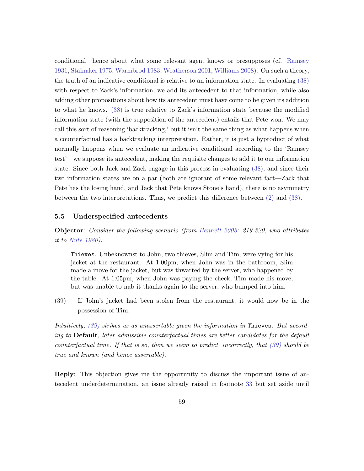conditional—hence about what some relevant agent knows or presupposes (cf. [Ramsey](#page-68-17) [1931,](#page-68-17) [Stalnaker](#page-69-5) [1975,](#page-69-5) [Warmbrod](#page-70-11) [1983,](#page-70-11) [Weatherson](#page-70-12) [2001,](#page-70-12) [Williams](#page-70-10) [2008\)](#page-70-10). On such a theory, the truth of an indicative conditional is relative to an information state. In evaluating [\(38\)](#page-57-1) with respect to Zack's information, we add its antecedent to that information, while also adding other propositions about how its antecedent must have come to be given its addition to what he knows. [\(38\)](#page-57-1) is true relative to Zack's information state because the modified information state (with the supposition of the antecedent) entails that Pete won. We may call this sort of reasoning 'backtracking,' but it isn't the same thing as what happens when a counterfactual has a backtracking interpretation. Rather, it is just a byproduct of what normally happens when we evaluate an indicative conditional according to the 'Ramsey test'—we suppose its antecedent, making the requisite changes to add it to our information state. Since both Jack and Zack engage in this process in evaluating [\(38\),](#page-57-1) and since their two information states are on a par (both are ignorant of some relevant fact—Zack that Pete has the losing hand, and Jack that Pete knows Stone's hand), there is no asymmetry between the two interpretations. Thus, we predict this difference between [\(2\)](#page-2-1) and [\(38\).](#page-57-1)

### <span id="page-59-0"></span>5.5 Underspecified antecedents

Objector: Consider the following scenario (from [Bennett](#page-64-1) [2003:](#page-64-1) 219-220, who attributes it to [Nute](#page-68-18) [1980\)](#page-68-18):

Thieves. Unbeknownst to John, two thieves, Slim and Tim, were vying for his jacket at the restaurant. At 1:00pm, when John was in the bathroom, Slim made a move for the jacket, but was thwarted by the server, who happened by the table. At 1:05pm, when John was paying the check, Tim made his move, but was unable to nab it thanks again to the server, who bumped into him.

<span id="page-59-1"></span>(39) If John's jacket had been stolen from the restaurant, it would now be in the possession of Tim.

Intuitively, [\(39\)](#page-59-1) strikes us as unassertable given the information in Thieves. But according to Default, later admissible counterfactual times are better candidates for the default counterfactual time. If that is so, then we seem to predict, incorrectly, that  $(39)$  should be true and known (and hence assertable).

Reply: This objection gives me the opportunity to discuss the important issue of antecedent underdetermination, an issue already raised in footnote [33](#page-27-0) but set aside until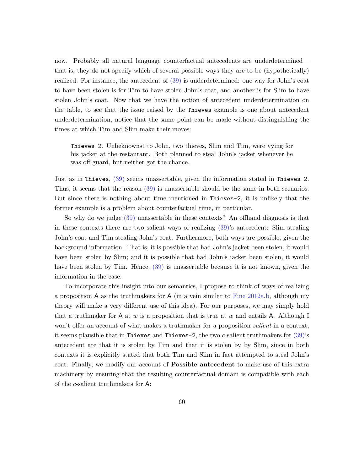now. Probably all natural language counterfactual antecedents are underdetermined that is, they do not specify which of several possible ways they are to be (hypothetically) realized. For instance, the antecedent of [\(39\)](#page-59-1) is underdetermined: one way for John's coat to have been stolen is for Tim to have stolen John's coat, and another is for Slim to have stolen John's coat. Now that we have the notion of antecedent underdetermination on the table, to see that the issue raised by the Thieves example is one about antecedent underdetermination, notice that the same point can be made without distinguishing the times at which Tim and Slim make their moves:

Thieves-2. Unbeknownst to John, two thieves, Slim and Tim, were vying for his jacket at the restaurant. Both planned to steal John's jacket whenever he was off-guard, but neither got the chance.

Just as in Thieves, [\(39\)](#page-59-1) seems unassertable, given the information stated in Thieves-2. Thus, it seems that the reason [\(39\)](#page-59-1) is unassertable should be the same in both scenarios. But since there is nothing about time mentioned in Thieves-2, it is unlikely that the former example is a problem about counterfactual time, in particular.

So why do we judge [\(39\)](#page-59-1) unassertable in these contexts? An offhand diagnosis is that in these contexts there are two salient ways of realizing [\(39\)'](#page-59-1)s antecedent: Slim stealing John's coat and Tim stealing John's coat. Furthermore, both ways are possible, given the background information. That is, it is possible that had John's jacket been stolen, it would have been stolen by Slim; and it is possible that had John's jacket been stolen, it would have been stolen by Tim. Hence,  $(39)$  is unassertable because it is not known, given the information in the case.

To incorporate this insight into our semantics, I propose to think of ways of realizing a proposition A as the truthmakers for A (in a vein similar to [Fine](#page-65-14) [2012a,](#page-65-14)[b,](#page-65-15) although my theory will make a very different use of this idea). For our purposes, we may simply hold that a truthmaker for A at w is a proposition that is true at w and entails A. Although I won't offer an account of what makes a truthmaker for a proposition *salient* in a context, it seems plausible that in Thieves and Thieves-2, the two c-salient truthmakers for  $(39)$ 's antecedent are that it is stolen by Tim and that it is stolen by by Slim, since in both contexts it is explicitly stated that both Tim and Slim in fact attempted to steal John's coat. Finally, we modify our account of Possible antecedent to make use of this extra machinery by ensuring that the resulting counterfactual domain is compatible with each of the c-salient truthmakers for A: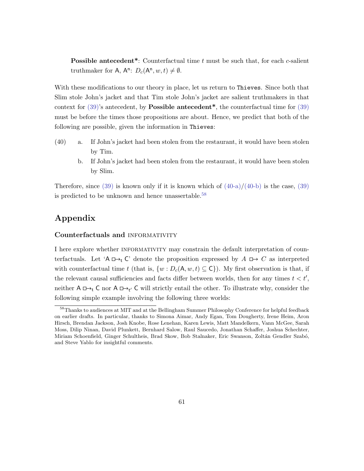**Possible antecedent\*:** Counterfactual time  $t$  must be such that, for each  $c$ -salient truthmaker for A,  $A^n$ :  $D_c(A^n, w, t) \neq \emptyset$ .

With these modifications to our theory in place, let us return to Thieves. Since both that Slim stole John's jacket and that Tim stole John's jacket are salient truthmakers in that context for  $(39)$ 's antecedent, by **Possible antecedent\***, the counterfactual time for  $(39)$ must be before the times those propositions are about. Hence, we predict that both of the following are possible, given the information in Thieves:

- <span id="page-61-1"></span><span id="page-61-0"></span>(40) a. If John's jacket had been stolen from the restaurant, it would have been stolen by Tim.
	- b. If John's jacket had been stolen from the restaurant, it would have been stolen by Slim.

Therefore, since  $(39)$  is known only if it is known which of  $(40-a)/(40-b)$  $(40-a)/(40-b)$  is the case,  $(39)$ is predicted to be unknown and hence unassertable.<sup>[58](#page-61-2)</sup>

## Appendix

### Counterfactuals and informativity

I here explore whether INFORMATIVITY may constrain the default interpretation of counterfactuals. Let 'A  $\Box$ , C' denote the proposition expressed by  $A \Box$   $\rightarrow$  C as interpreted with counterfactual time t (that is,  $\{w : D_c(\mathsf{A}, w, t) \subseteq \mathsf{C}\}\)$ ). My first observation is that, if the relevant causal sufficiencies and facts differ between worlds, then for any times  $t < t'$ , neither  $A \Box \rightarrow_t C$  nor  $A \Box \rightarrow_{t'} C$  will strictly entail the other. To illustrate why, consider the following simple example involving the following three worlds:

<span id="page-61-2"></span><sup>58</sup>Thanks to audiences at MIT and at the Bellingham Summer Philosophy Conference for helpful feedback on earlier drafts. In particular, thanks to Simona Aimar, Andy Egan, Tom Dougherty, Irene Heim, Aron Hirsch, Brendan Jackson, Josh Knobe, Rose Lenehan, Karen Lewis, Matt Mandelkern, Vann McGee, Sarah Moss, Dilip Ninan, David Plunkett, Bernhard Salow, Raul Saucedo, Jonathan Schaffer, Joshua Schechter, Miriam Schoenfield, Ginger Schultheis, Brad Skow, Bob Stalnaker, Eric Swanson, Zoltán Gendler Szabó, and Steve Yablo for insightful comments.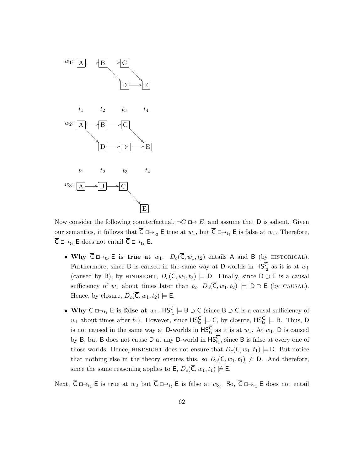

Now consider the following counterfactual,  $\neg C \Box \rightarrow E$ , and assume that D is salient. Given our semantics, it follows that  $\overline{C} \square \rightarrow_{t_2} E$  true at  $w_1$ , but  $\overline{C} \square \rightarrow_{t_1} E$  is false at  $w_1$ . Therefore,  $\overline{C} \square \rightarrow_{t_2} E$  does not entail  $\overline{C} \square \rightarrow_{t_1} E$ .

- Why  $\overline{C} \Box \rightarrow_{t_2} E$  is true at  $w_1$ .  $D_c(\overline{C}, w_1, t_2)$  entails A and B (by HISTORICAL). Furthermore, since D is caused in the same way at D-worlds in  $\mathsf{HS}^{\mathsf{C}}_{t_2}$  as it is at  $w_1$ (caused by B), by HINDSIGHT,  $D_c(\overline{C}, w_1, t_2) \models D$ . Finally, since  $D \supset E$  is a causal sufficiency of  $w_1$  about times later than  $t_2$ ,  $D_c(\overline{C}, w_1, t_2) \models D \supset E$  (by CAUSAL). Hence, by closure,  $D_c(\overline{C}, w_1, t_2) \models E$ .
- Why  $\overline{C} \Box \rightarrow_{t_1} E$  is false at  $w_1$ .  $\overline{HS}_{t_1}^{\overline{C}} \models B \supset C$  (since  $B \supset C$  is a causal sufficiency of  $w_1$  about times after  $t_1$ ). However, since  $\mathsf{HS}^{\mathsf{C}}_{t_1} \models \overline{\mathsf{C}}$ , by closure,  $\mathsf{HS}^{\mathsf{C}}_{t_1} \models \overline{\mathsf{B}}$ . Thus, D is not caused in the same way at D-worlds in  $\mathsf{HS}_{t_1}^C$  as it is at  $w_1$ . At  $w_1$ , D is caused by B, but B does not cause D at any D-world in  $\mathsf{HS}^{\mathsf{C}}_{t_1}$ , since B is false at every one of those worlds. Hence, HINDSIGHT does not ensure that  $D_c(\overline{C}, w_1, t_1) \models D$ . But notice that nothing else in the theory ensures this, so  $D_c(\overline{C}, w_1, t_1) \not\models D$ . And therefore, since the same reasoning applies to  $\mathsf{E}, D_c(\overline{\mathsf{C}}, w_1, t_1) \not\models \mathsf{E}.$

Next,  $\overline{C} \mapsto_{t_1} E$  is true at  $w_2$  but  $\overline{C} \mapsto_{t_2} E$  is false at  $w_3$ . So,  $\overline{C} \mapsto_{t_1} E$  does not entail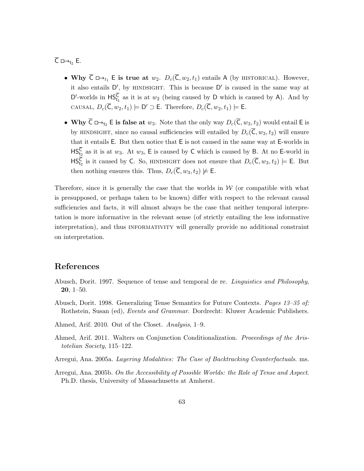$\overline{C} \square \rightarrow_{t_2} E$ .

- Why  $\overline{C} \Box \rightarrow_{t_1} E$  is true at  $w_2$ .  $D_c(\overline{C}, w_2, t_1)$  entails A (by HISTORICAL). However, it also entails  $D'$ , by HINDSIGHT. This is because  $D'$  is caused in the same way at D'-worlds in  $\mathsf{HS}^C_{t_1}$  as it is at  $w_2$  (being caused by D which is caused by A). And by CAUSAL,  $D_c(\overline{C}, w_2, t_1) \models D' \supset E$ . Therefore,  $D_c(\overline{C}, w_2, t_1) \models E$ .
- Why  $\overline{C} \Box \rightarrow_{t_2} E$  is false at  $w_3$ . Note that the only way  $D_c(\overline{C}, w_3, t_2)$  would entail E is by HINDSIGHT, since no causal sufficiencies will entailed by  $D_c(\overline{C}, w_3, t_2)$  will ensure that it entails E. But then notice that E is not caused in the same way at E-worlds in  $\mathsf{HS}^{\mathsf{C}}_{t_2}$  as it is at  $w_3$ . At  $w_3$ , E is caused by C which is caused by B. At no E-world in  $\mathsf{HS}_{t_2}^{\overline{\mathsf{C}}}$  is it caused by C. So, HINDSIGHT does not ensure that  $D_c(\overline{\mathsf{C}}, w_3, t_2) \models \mathsf{E}$ . But then nothing ensures this. Thus,  $D_c(\overline{\mathsf{C}}, w_3, t_2) \not\models \mathsf{E}.$

Therefore, since it is generally the case that the worlds in  $W$  (or compatible with what is presupposed, or perhaps taken to be known) differ with respect to the relevant causal sufficiencies and facts, it will almost always be the case that neither temporal interpretation is more informative in the relevant sense (of strictly entailing the less informative interpretation), and thus INFORMATIVITY will generally provide no additional constraint on interpretation.

## References

- <span id="page-63-1"></span>Abusch, Dorit. 1997. Sequence of tense and temporal de re. Linguistics and Philosophy, 20, 1–50.
- <span id="page-63-2"></span>Abusch, Dorit. 1998. Generalizing Tense Semantics for Future Contexts. Pages 13–35 of: Rothstein, Susan (ed), Events and Grammar. Dordrecht: Kluwer Academic Publishers.
- <span id="page-63-4"></span>Ahmed, Arif. 2010. Out of the Closet. Analysis, 1–9.
- <span id="page-63-5"></span>Ahmed, Arif. 2011. Walters on Conjunction Conditionalization. Proceedings of the Aristotelian Society, 115–122.
- <span id="page-63-3"></span>Arregui, Ana. 2005a. Layering Modalities: The Case of Backtracking Counterfactuals. ms.
- <span id="page-63-0"></span>Arregui, Ana. 2005b. On the Accessibility of Possible Worlds: the Role of Tense and Aspect. Ph.D. thesis, University of Massachusetts at Amherst.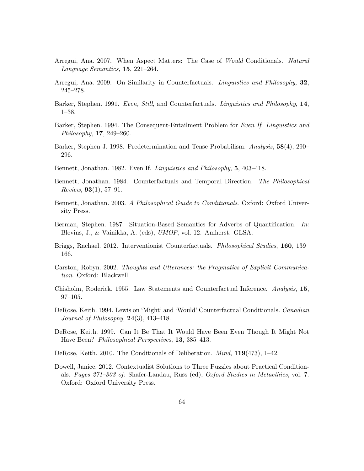- <span id="page-64-2"></span>Arregui, Ana. 2007. When Aspect Matters: The Case of Would Conditionals. Natural Language Semantics, 15, 221–264.
- <span id="page-64-3"></span>Arregui, Ana. 2009. On Similarity in Counterfactuals. Linguistics and Philosophy, 32, 245–278.
- <span id="page-64-9"></span>Barker, Stephen. 1991. Even, Still, and Counterfactuals. Linguistics and Philosophy, 14, 1–38.
- <span id="page-64-10"></span>Barker, Stephen. 1994. The Consequent-Entailment Problem for *Even If. Linguistics and* Philosophy, 17, 249–260.
- <span id="page-64-6"></span>Barker, Stephen J. 1998. Predetermination and Tense Probabilism. Analysis, 58(4), 290– 296.
- <span id="page-64-8"></span>Bennett, Jonathan. 1982. Even If. Linguistics and Philosophy, 5, 403–418.
- <span id="page-64-0"></span>Bennett, Jonathan. 1984. Counterfactuals and Temporal Direction. The Philosophical *Review*, **93**(1), 57–91.
- <span id="page-64-1"></span>Bennett, Jonathan. 2003. A Philosophical Guide to Conditionals. Oxford: Oxford University Press.
- <span id="page-64-7"></span>Berman, Stephen. 1987. Situation-Based Semantics for Adverbs of Quantification. In: Blevins, J., & Vainikka, A. (eds), UMOP, vol. 12. Amherst: GLSA.
- <span id="page-64-4"></span>Briggs, Rachael. 2012. Interventionist Counterfactuals. Philosophical Studies, 160, 139– 166.
- <span id="page-64-11"></span>Carston, Robyn. 2002. Thoughts and Utterances: the Pragmatics of Explicit Communication. Oxford: Blackwell.
- <span id="page-64-5"></span>Chisholm, Roderick. 1955. Law Statements and Counterfactual Inference. Analysis, 15, 97–105.
- <span id="page-64-14"></span>DeRose, Keith. 1994. Lewis on 'Might' and 'Would' Counterfactual Conditionals. Canadian Journal of Philosophy,  $24(3)$ ,  $413-418$ .
- <span id="page-64-13"></span>DeRose, Keith. 1999. Can It Be That It Would Have Been Even Though It Might Not Have Been? Philosophical Perspectives, 13, 385–413.
- <span id="page-64-15"></span>DeRose, Keith. 2010. The Conditionals of Deliberation. Mind, 119(473), 1–42.
- <span id="page-64-12"></span>Dowell, Janice. 2012. Contextualist Solutions to Three Puzzles about Practical Conditionals. Pages 271–303 of: Shafer-Landau, Russ (ed), Oxford Studies in Metaethics, vol. 7. Oxford: Oxford University Press.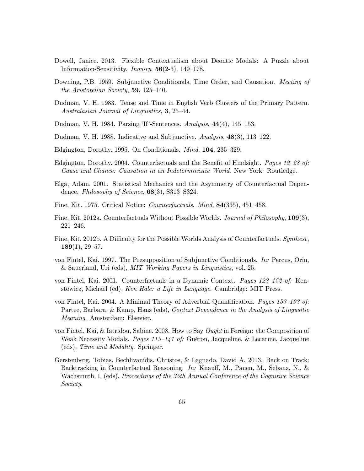- <span id="page-65-12"></span>Dowell, Janice. 2013. Flexible Contextualism about Deontic Modals: A Puzzle about Information-Sensitivity. *Inquiry*,  $\mathbf{56}(2-3)$ , 149–178.
- <span id="page-65-0"></span>Downing, P.B. 1959. Subjunctive Conditionals, Time Order, and Causation. *Meeting of* the Aristotelian Society, 59, 125–140.
- <span id="page-65-5"></span>Dudman, V. H. 1983. Tense and Time in English Verb Clusters of the Primary Pattern. Australasian Journal of Linguistics, 3, 25–44.
- <span id="page-65-6"></span>Dudman, V. H. 1984. Parsing 'If'-Sentences. Analysis, 44(4), 145–153.
- <span id="page-65-7"></span>Dudman, V. H. 1988. Indicative and Subjunctive. Analysis, 48(3), 113–122.
- <span id="page-65-8"></span>Edgington, Dorothy. 1995. On Conditionals. Mind, 104, 235–329.
- <span id="page-65-4"></span>Edgington, Dorothy. 2004. Counterfactuals and the Benefit of Hindsight. Pages 12–28 of: Cause and Chance: Causation in an Indeterministic World. New York: Routledge.
- <span id="page-65-3"></span>Elga, Adam. 2001. Statistical Mechanics and the Asymmetry of Counterfactual Dependence. Philosophy of Science, 68(3), S313–S324.
- <span id="page-65-2"></span>Fine, Kit. 1975. Critical Notice: Counterfactuals. Mind, 84(335), 451–458.
- <span id="page-65-14"></span>Fine, Kit. 2012a. Counterfactuals Without Possible Worlds. Journal of Philosophy, 109(3), 221–246.
- <span id="page-65-15"></span>Fine, Kit. 2012b. A Difficulty for the Possible Worlds Analysis of Counterfactuals. Synthese,  $189(1), 29-57.$
- <span id="page-65-9"></span>von Fintel, Kai. 1997. The Presupposition of Subjunctive Conditionals. In: Percus, Orin, & Sauerland, Uri (eds), MIT Working Papers in Linguistics, vol. 25.
- <span id="page-65-10"></span>von Fintel, Kai. 2001. Counterfactuals in a Dynamic Context. Pages 123–152 of: Kenstowicz, Michael (ed), Ken Hale: a Life in Language. Cambridge: MIT Press.
- <span id="page-65-11"></span>von Fintel, Kai. 2004. A Minimal Theory of Adverbial Quantification. Pages 153–193 of: Partee, Barbara, & Kamp, Hans (eds), Context Dependence in the Analysis of Lingusitic Meaning. Amsterdam: Elsevier.
- <span id="page-65-13"></span>von Fintel, Kai, & Iatridou, Sabine. 2008. How to Say Ought in Foreign: the Composition of Weak Necessity Modals. *Pages 115–141 of:* Guéron, Jacqueline, & Lecarme, Jacqueline (eds), Time and Modality. Springer.
- <span id="page-65-1"></span>Gerstenberg, Tobias, Bechlivanidis, Christos, & Lagnado, David A. 2013. Back on Track: Backtracking in Counterfactual Reasoning. In: Knauff, M., Pauen, M., Sebanz, N., & Wachsmuth, I. (eds), Proceedings of the 35th Annual Conference of the Cognitive Science Society.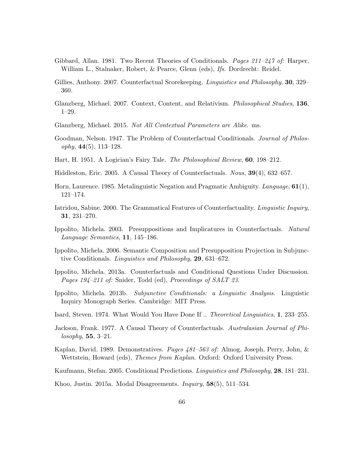- <span id="page-66-5"></span>Gibbard, Allan. 1981. Two Recent Theories of Conditionals. Pages 211–247 of: Harper, William L., Stalnaker, Robert, & Pearce, Glenn (eds), Ifs. Dordrecht: Reidel.
- <span id="page-66-8"></span>Gillies, Anthony. 2007. Counterfactual Scorekeeping. *Linguistics and Philosophy*, **30**, 329– 360.
- <span id="page-66-13"></span>Glanzberg, Michael. 2007. Context, Content, and Relativism. Philosophical Studies, 136, 1–29.
- <span id="page-66-15"></span>Glanzberg, Michael. 2015. Not All Contextual Parameters are Alike. ms.
- <span id="page-66-9"></span>Goodman, Nelson. 1947. The Problem of Counterfactual Conditionals. Journal of Philos $ophy, 44(5), 113-128.$
- <span id="page-66-12"></span>Hart, H. 1951. A Logician's Fairy Tale. The Philosophical Review, 60, 198–212.
- <span id="page-66-4"></span>Hiddleston, Eric. 2005. A Causal Theory of Counterfactuals. Nous, 39(4), 632–657.
- <span id="page-66-16"></span>Horn, Laurence. 1985. Metalinguistic Negation and Pragmatic Ambiguity. Language, 61(1), 121–174.
- <span id="page-66-6"></span>Iatridou, Sabine. 2000. The Grammatical Features of Counterfactuality. Linguistic Inquiry, 31, 231–270.
- <span id="page-66-1"></span>Ippolito, Michela. 2003. Presuppositions and Implicatures in Counterfactuals. Natural Language Semantics, 11, 145–186.
- <span id="page-66-2"></span>Ippolito, Michela. 2006. Semantic Composition and Presupposition Projection in Subjunctive Conditionals. Linguistics and Philosophy, 29, 631–672.
- <span id="page-66-11"></span>Ippolito, Michela. 2013a. Counterfactuals and Conditional Questions Under Discussion. Pages 194–211 of: Snider, Todd (ed), Proceedings of SALT 23.
- <span id="page-66-3"></span>Ippolito, Michela. 2013b. Subjunctive Conditionals: a Linguistic Analysis. Linguistic Inquiry Monograph Series. Cambridge: MIT Press.
- <span id="page-66-7"></span>Isard, Steven. 1974. What Would You Have Done If .. Theoretical Linguistics, 1, 233–255.
- <span id="page-66-0"></span>Jackson, Frank. 1977. A Causal Theory of Counterfactuals. Australasian Journal of Phi $losophy, 55, 3-21.$
- <span id="page-66-14"></span>Kaplan, David. 1989. Demonstratives. Pages 481–563 of: Almog, Joseph, Perry, John, & Wettstein, Howard (eds), *Themes from Kaplan*. Oxford: Oxford University Press.
- <span id="page-66-10"></span>Kaufmann, Stefan. 2005. Conditional Predictions. Linguistics and Philosophy, 28, 181–231.
- <span id="page-66-17"></span>Khoo, Justin. 2015a. Modal Disagreements. Inquiry, 58(5), 511–534.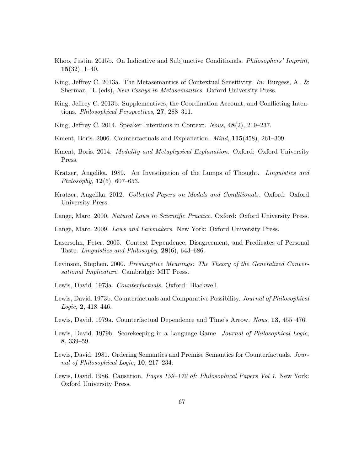- <span id="page-67-5"></span>Khoo, Justin. 2015b. On Indicative and Subjunctive Conditionals. Philosophers' Imprint,  $15(32), 1-40.$
- <span id="page-67-13"></span>King, Jeffrey C. 2013a. The Metasemantics of Contextual Sensitivity. In: Burgess, A., & Sherman, B. (eds), New Essays in Metasemantics. Oxford University Press.
- <span id="page-67-12"></span>King, Jeffrey C. 2013b. Supplementives, the Coordination Account, and Conflicting Intentions. Philosophical Perspectives, 27, 288–311.
- <span id="page-67-14"></span>King, Jeffrey C. 2014. Speaker Intentions in Context. Nous, 48(2), 219–237.
- <span id="page-67-6"></span>Kment, Boris. 2006. Counterfactuals and Explanation. Mind, 115(458), 261–309.
- <span id="page-67-7"></span>Kment, Boris. 2014. *Modality and Metaphysical Explanation*. Oxford: Oxford University Press.
- <span id="page-67-3"></span>Kratzer, Angelika. 1989. An Investigation of the Lumps of Thought. Linguistics and Philosophy,  $12(5)$ , 607–653.
- <span id="page-67-4"></span>Kratzer, Angelika. 2012. Collected Papers on Modals and Conditionals. Oxford: Oxford University Press.
- <span id="page-67-16"></span>Lange, Marc. 2000. Natural Laws in Scientific Practice. Oxford: Oxford University Press.
- <span id="page-67-9"></span>Lange, Marc. 2009. Laws and Lawmakers. New York: Oxford University Press.
- <span id="page-67-17"></span>Lasersohn, Peter. 2005. Context Dependence, Disagreement, and Predicates of Personal Taste. Linguistics and Philosophy, 28(6), 643–686.
- <span id="page-67-10"></span>Levinson, Stephen. 2000. Presumptive Meanings: The Theory of the Generalized Conversational Implicature. Cambridge: MIT Press.
- <span id="page-67-0"></span>Lewis, David. 1973a. Counterfactuals. Oxford: Blackwell.
- <span id="page-67-2"></span>Lewis, David. 1973b. Counterfactuals and Comparative Possibility. Journal of Philosophical Logic, 2, 418–446.
- <span id="page-67-1"></span>Lewis, David. 1979a. Counterfactual Dependence and Time's Arrow. Nous, 13, 455–476.
- <span id="page-67-11"></span>Lewis, David. 1979b. Scorekeeping in a Language Game. Journal of Philosophical Logic, 8, 339–59.
- <span id="page-67-15"></span>Lewis, David. 1981. Ordering Semantics and Premise Semantics for Counterfactuals. Journal of Philosophical Logic, 10, 217–234.
- <span id="page-67-8"></span>Lewis, David. 1986. Causation. *Pages 159–172 of: Philosophical Papers Vol 1*. New York: Oxford University Press.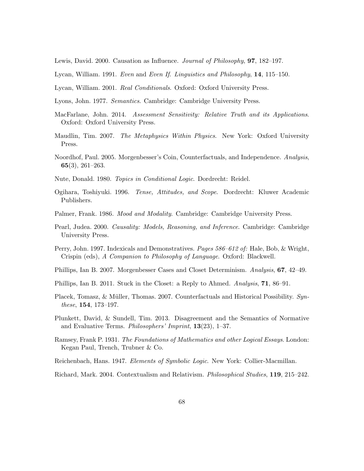<span id="page-68-6"></span>Lewis, David. 2000. Causation as Influence. Journal of Philosophy, 97, 182–197.

<span id="page-68-11"></span>Lycan, William. 1991. Even and Even If. Linguistics and Philosophy, 14, 115–150.

<span id="page-68-12"></span>Lycan, William. 2001. Real Conditionals. Oxford: Oxford University Press.

<span id="page-68-5"></span>Lyons, John. 1977. Semantics. Cambridge: Cambridge University Press.

- <span id="page-68-15"></span>MacFarlane, John. 2014. Assessment Sensitivity: Relative Truth and its Applications. Oxford: Oxford University Press.
- <span id="page-68-7"></span>Maudlin, Tim. 2007. The Metaphysics Within Physics. New York: Oxford University Press.
- <span id="page-68-8"></span>Noordhof, Paul. 2005. Morgenbesser's Coin, Counterfactuals, and Independence. Analysis, 65(3), 261–263.

<span id="page-68-18"></span>Nute, Donald. 1980. Topics in Conditional Logic. Dordrecht: Reidel.

- <span id="page-68-4"></span>Ogihara, Toshiyuki. 1996. Tense, Attitudes, and Scope. Dordrecht: Kluwer Academic Publishers.
- <span id="page-68-3"></span>Palmer, Frank. 1986. *Mood and Modality*. Cambridge: Cambridge University Press.
- <span id="page-68-1"></span>Pearl, Judea. 2000. Causality: Models, Reasoning, and Inference. Cambridge: Cambridge University Press.
- <span id="page-68-14"></span>Perry, John. 1997. Indexicals and Demonstratives. Pages 586–612 of: Hale, Bob, & Wright, Crispin (eds), A Companion to Philosophy of Language. Oxford: Blackwell.
- <span id="page-68-9"></span>Phillips, Ian B. 2007. Morgenbesser Cases and Closet Determinism. Analysis, 67, 42–49.
- <span id="page-68-10"></span>Phillips, Ian B. 2011. Stuck in the Closet: a Reply to Ahmed. Analysis, 71, 86–91.
- <span id="page-68-0"></span>Placek, Tomasz, & Müller, Thomas. 2007. Counterfactuals and Historical Possibility. Synthese, 154, 173–197.
- <span id="page-68-16"></span>Plunkett, David, & Sundell, Tim. 2013. Disagreement and the Semantics of Normative and Evaluative Terms. Philosophers' Imprint, 13(23), 1–37.
- <span id="page-68-17"></span>Ramsey, Frank P. 1931. The Foundations of Mathematics and other Logical Essays. London: Kegan Paul, Trench, Trubner & Co.
- <span id="page-68-2"></span>Reichenbach, Hans. 1947. Elements of Symbolic Logic. New York: Collier-Macmillan.

<span id="page-68-13"></span>Richard, Mark. 2004. Contextualism and Relativism. Philosophical Studies, 119, 215–242.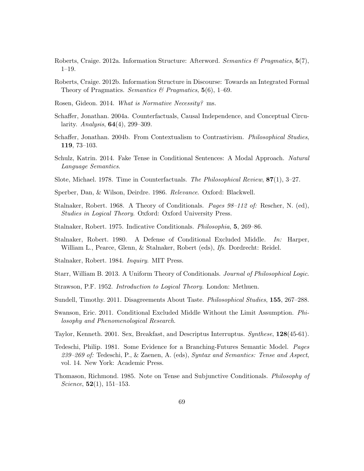- <span id="page-69-15"></span>Roberts, Craige. 2012a. Information Structure: Afterword. Semantics  $\mathcal{B}$  Pragmatics, 5(7), 1–19.
- <span id="page-69-14"></span>Roberts, Craige. 2012b. Information Structure in Discourse: Towards an Integrated Formal Theory of Pragmatics. Semantics & Pragmatics,  $5(6)$ , 1–69.
- <span id="page-69-16"></span>Rosen, Gideon. 2014. What is Normative Necessity? ms.
- <span id="page-69-10"></span>Schaffer, Jonathan. 2004a. Counterfactuals, Causal Independence, and Conceptual Circularity. *Analysis*,  $64(4)$ , 299–309.
- <span id="page-69-4"></span>Schaffer, Jonathan. 2004b. From Contextualism to Contrastivism. Philosophical Studies, 119, 73–103.
- <span id="page-69-7"></span>Schulz, Katrin. 2014. Fake Tense in Conditional Sentences: A Modal Approach. Natural Language Semantics.
- <span id="page-69-3"></span>Slote, Michael. 1978. Time in Counterfactuals. The Philosophical Review, 87(1), 3–27.
- <span id="page-69-12"></span>Sperber, Dan, & Wilson, Deirdre. 1986. Relevance. Oxford: Blackwell.
- <span id="page-69-0"></span>Stalnaker, Robert. 1968. A Theory of Conditionals. Pages 98–112 of: Rescher, N. (ed), Studies in Logical Theory. Oxford: Oxford University Press.
- <span id="page-69-5"></span>Stalnaker, Robert. 1975. Indicative Conditionals. Philosophia, 5, 269–86.
- <span id="page-69-8"></span>Stalnaker, Robert. 1980. A Defense of Conditional Excluded Middle. In: Harper, William L., Pearce, Glenn, & Stalnaker, Robert (eds), Ifs. Dordrecht: Reidel.
- <span id="page-69-18"></span>Stalnaker, Robert. 1984. Inquiry. MIT Press.
- <span id="page-69-6"></span>Starr, William B. 2013. A Uniform Theory of Conditionals. Journal of Philosophical Logic.
- <span id="page-69-11"></span>Strawson, P.F. 1952. Introduction to Logical Theory. London: Methuen.
- <span id="page-69-17"></span>Sundell, Timothy. 2011. Disagreements About Taste. *Philosophical Studies*, **155**, 267–288.
- <span id="page-69-9"></span>Swanson, Eric. 2011. Conditional Excluded Middle Without the Limit Assumption. Philosophy and Phenomenological Research.
- <span id="page-69-13"></span>Taylor, Kenneth. 2001. Sex, Breakfast, and Descriptus Interruptus. Synthese, 128(45-61).
- <span id="page-69-1"></span>Tedeschi, Philip. 1981. Some Evidence for a Branching-Futures Semantic Model. Pages 239–269 of: Tedeschi, P., & Zaenen, A. (eds), Syntax and Semantics: Tense and Aspect, vol. 14. New York: Academic Press.
- <span id="page-69-2"></span>Thomason, Richmond. 1985. Note on Tense and Subjunctive Conditionals. Philosophy of *Science*,  $52(1)$ ,  $151-153$ .